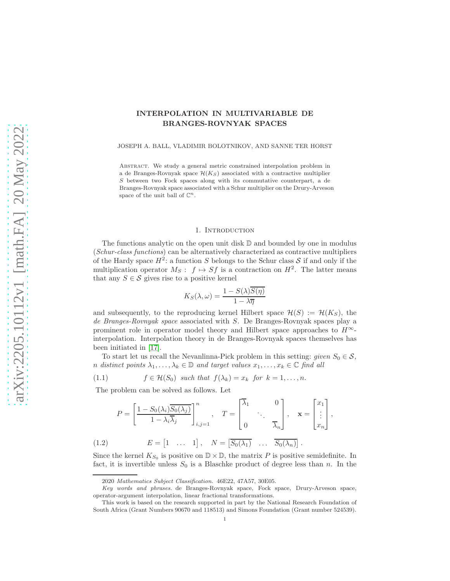# INTERPOLATION IN MULTIVARIABLE DE BRANGES-ROVNYAK SPACES

JOSEPH A. BALL, VLADIMIR BOLOTNIKOV, AND SANNE TER HORST

Abstract. We study a general metric constrained interpolation problem in a de Branges-Rovnyak space  $\mathcal{H}(K_S)$  associated with a contractive multiplier S between two Fock spaces along with its commutative counterpart, a de Branges-Rovnyak space associated with a Schur multiplier on the Drury-Arveson space of the unit ball of  $\mathbb{C}^n$ .

### 1. INTRODUCTION

<span id="page-0-2"></span>The functions analytic on the open unit disk  $\mathbb D$  and bounded by one in modulus (Schur-class functions) can be alternatively characterized as contractive multipliers of the Hardy space  $H^2$ : a function S belongs to the Schur class S if and only if the multiplication operator  $M_S: f \mapsto Sf$  is a contraction on  $H^2$ . The latter means that any  $S \in \mathcal{S}$  gives rise to a positive kernel

$$
K_S(\lambda, \omega) = \frac{1 - S(\lambda)\overline{S(\eta)}}{1 - \lambda \overline{\eta}}
$$

and subsequently, to the reproducing kernel Hilbert space  $\mathcal{H}(S) := \mathcal{H}(K_S)$ , the de Branges-Rovnyak space associated with S. De Branges-Rovnyak spaces play a prominent role in operator model theory and Hilbert space approaches to  $H^{\infty}$ interpolation. Interpolation theory in de Branges-Rovnyak spaces themselves has been initiated in [\[17\]](#page-44-0).

To start let us recall the Nevanlinna-Pick problem in this setting: given  $S_0 \in \mathcal{S}$ , n distinct points  $\lambda_1, \ldots, \lambda_k \in \mathbb{D}$  and target values  $x_1, \ldots, x_k \in \mathbb{C}$  find all

<span id="page-0-0"></span>(1.1) 
$$
f \in \mathcal{H}(S_0) \text{ such that } f(\lambda_k) = x_k \text{ for } k = 1, ..., n.
$$

The problem can be solved as follows. Let

$$
P = \left[\frac{1 - S_0(\lambda_i) \overline{S_0(\lambda_j)}}{1 - \lambda_i \overline{\lambda_j}}\right]_{i,j=1}^n, \quad T = \begin{bmatrix} \overline{\lambda_1} & 0 \\ \cdot & \cdot \\ 0 & \overline{\lambda_n} \end{bmatrix}, \quad \mathbf{x} = \begin{bmatrix} x_1 \\ \vdots \\ x_n \end{bmatrix},
$$
\n
$$
(1.2) \quad E = \begin{bmatrix} 1 & \cdots & 1 \end{bmatrix}, \quad N = \begin{bmatrix} S_0(\lambda_1) & \cdots & \overline{S_0(\lambda_n)} \end{bmatrix}.
$$

<span id="page-0-1"></span>Since the kernel  $K_{S_0}$  is positive on  $\mathbb{D} \times \mathbb{D}$ , the matrix P is positive semidefinite. In fact, it is invertible unless  $S_0$  is a Blaschke product of degree less than n. In the

<sup>2020</sup> Mathematics Subject Classification. 46E22, 47A57, 30E05.

Key words and phrases. de Branges-Rovnyak space, Fock space, Drury-Arveson space, operator-argument interpolation, linear fractional transformations.

This work is based on the research supported in part by the National Research Foundation of South Africa (Grant Numbers 90670 and 118513) and Simons Foundation (Grant number 524539).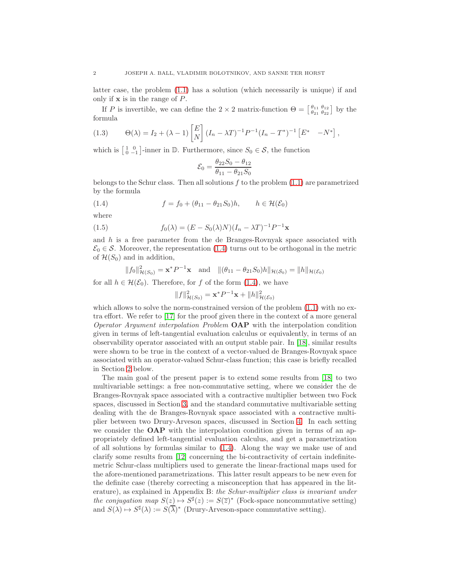latter case, the problem [\(1.1\)](#page-0-0) has a solution (which necessarily is unique) if and only if  $x$  is in the range of  $P$ .

If P is invertible, we can define the  $2 \times 2$  matrix-function  $\Theta = \begin{bmatrix} \theta_{11} & \theta_{12} \\ \theta_{21} & \theta_{22} \end{bmatrix}$  by the formula

<span id="page-1-1"></span>(1.3) 
$$
\Theta(\lambda) = I_2 + (\lambda - 1) \begin{bmatrix} E \\ N \end{bmatrix} (I_n - \lambda T)^{-1} P^{-1} (I_n - T^*)^{-1} \begin{bmatrix} E^* & -N^* \end{bmatrix},
$$

which is  $\begin{bmatrix} 1 & 0 \\ 0 & -1 \end{bmatrix}$ -inner in  $\mathbb{D}$ . Furthermore, since  $S_0 \in \mathcal{S}$ , the function

<span id="page-1-0"></span>
$$
\mathcal{E}_0 = \frac{\theta_{22} S_0 - \theta_{12}}{\theta_{11} - \theta_{21} S_0}
$$

belongs to the Schur class. Then all solutions  $f$  to the problem  $(1.1)$  are parametrized by the formula

(1.4)  $f = f_0 + (\theta_{11} - \theta_{21}S_0)h, \quad h \in \mathcal{H}(\mathcal{E}_0)$ 

where

(1.5) 
$$
f_0(\lambda) = (E - S_0(\lambda)N)(I_n - \lambda T)^{-1}P^{-1}\mathbf{x}
$$

and h is a free parameter from the de Branges-Rovnyak space associated with  $\mathcal{E}_0 \in \mathcal{S}$ . Moreover, the representation [\(1.4\)](#page-1-0) turns out to be orthogonal in the metric of  $\mathcal{H}(S_0)$  and in addition,

$$
||f_0||^2_{\mathcal{H}(S_0)} = \mathbf{x}^* P^{-1} \mathbf{x}
$$
 and  $||(\theta_{11} - \theta_{21} S_0) h||_{\mathcal{H}(S_0)} = ||h||_{\mathcal{H}(\mathcal{E}_0)}$ 

for all  $h \in \mathcal{H}(\mathcal{E}_0)$ . Therefore, for f of the form [\(1.4\)](#page-1-0), we have

$$
||f||_{\mathcal{H}(S_0)}^2 = \mathbf{x}^* P^{-1} \mathbf{x} + ||h||_{\mathcal{H}(\mathcal{E}_0)}^2
$$

which allows to solve the norm-constrained version of the problem  $(1.1)$  with no extra effort. We refer to [\[17\]](#page-44-0) for the proof given there in the context of a more general Operator Argument interpolation Problem OAP with the interpolation condition given in terms of left-tangential evaluation calculus or equivalently, in terms of an observability operator associated with an output stable pair. In [\[18\]](#page-44-1), similar results were shown to be true in the context of a vector-valued de Branges-Rovnyak space associated with an operator-valued Schur-class function; this case is briefly recalled in Section [2](#page-2-0) below.

The main goal of the present paper is to extend some results from [\[18\]](#page-44-1) to two multivariable settings: a free non-commutative setting, where we consider the de Branges-Rovnyak space associated with a contractive multiplier between two Fock spaces, discussed in Section [3,](#page-7-0) and the standard commutative multivariable setting dealing with the de Branges-Rovnyak space associated with a contractive multiplier between two Drury-Arveson spaces, discussed in Section [4.](#page-26-0) In each setting we consider the **OAP** with the interpolation condition given in terms of an appropriately defined left-tangential evaluation calculus, and get a parametrization of all solutions by formulas similar to [\(1.4\)](#page-1-0). Along the way we make use of and clarify some results from [\[12\]](#page-44-2) concerning the bi-contractivity of certain indefinitemetric Schur-class multipliers used to generate the linear-fractional maps used for the afore-mentioned parametrizations. This latter result appears to be new even for the definite case (thereby correcting a misconception that has appeared in the literature), as explained in Appendix B: the Schur-multiplier class is invariant under the conjugation map  $S(z) \mapsto S^{\sharp}(z) := S(\overline{z})^*$  (Fock-space noncommutative setting) and  $S(\lambda) \mapsto S^{\sharp}(\lambda) := S(\overline{\lambda})^*$  (Drury-Arveson-space commutative setting).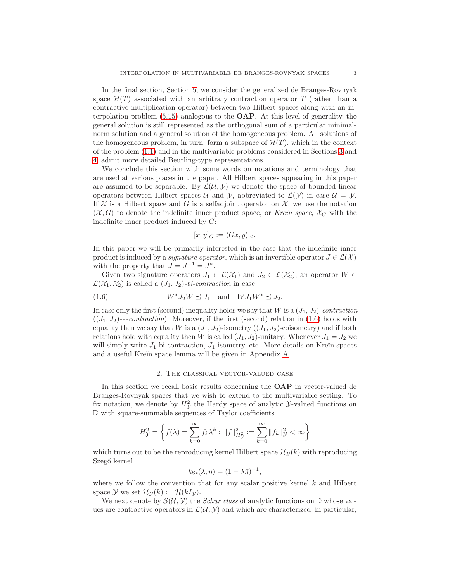In the final section, Section [5,](#page-33-0) we consider the generalized de Branges-Rovnyak space  $\mathcal{H}(T)$  associated with an arbitrary contraction operator T (rather than a contractive multiplication operator) between two Hilbert spaces along with an interpolation problem [\(5.15\)](#page-37-0) analogous to the OAP. At this level of generality, the general solution is still represented as the orthogonal sum of a particular minimalnorm solution and a general solution of the homogeneous problem. All solutions of the homogeneous problem, in turn, form a subspace of  $\mathcal{H}(T)$ , which in the context of the problem [\(1.1\)](#page-0-0) and in the multivariable problems considered in Sections [3](#page-7-0) and [4,](#page-26-0) admit more detailed Beurling-type representations.

We conclude this section with some words on notations and terminology that are used at various places in the paper. All Hilbert spaces appearing in this paper are assumed to be separable. By  $\mathcal{L}(\mathcal{U}, \mathcal{Y})$  we denote the space of bounded linear operators between Hilbert spaces U and Y, abbreviated to  $\mathcal{L}(\mathcal{Y})$  in case  $\mathcal{U} = \mathcal{Y}$ . If X is a Hilbert space and G is a selfadjoint operator on  $\mathcal{X}$ , we use the notation  $(\mathcal{X}, G)$  to denote the indefinite inner product space, or Kre $\check{n}$  space,  $\mathcal{X}_G$  with the indefinite inner product induced by G:

<span id="page-2-1"></span>
$$
[x,y]_G := \langle Gx,y \rangle_{\mathcal{X}}.
$$

In this paper we will be primarily interested in the case that the indefinite inner product is induced by a *signature operator*, which is an invertible operator  $J \in \mathcal{L}(\mathcal{X})$ with the property that  $J = J^{-1} = J^*$ .

Given two signature operators  $J_1 \in \mathcal{L}(\mathcal{X}_1)$  and  $J_2 \in \mathcal{L}(\mathcal{X}_2)$ , an operator  $W \in$  $\mathcal{L}(\mathcal{X}_1, \mathcal{X}_2)$  is called a  $(J_1, J_2)$ -bi-contraction in case

$$
(1.6) \t W^*J_2W \preceq J_1 \quad \text{and} \quad WJ_1W^* \preceq J_2.
$$

In case only the first (second) inequality holds we say that  $W$  is a  $(J_1, J_2)$ -contraction  $((J_1, J_2)*\text{-}contraction)$ . Moreover, if the first (second) relation in [\(1.6\)](#page-2-1) holds with equality then we say that W is a  $(J_1, J_2)$ -isometry  $((J_1, J_2)$ -coisometry) and if both relations hold with equality then W is called  $(J_1, J_2)$ -unitary. Whenever  $J_1 = J_2$  we will simply write  $J_1$ -bi-contraction,  $J_1$ -isometry, etc. More details on Kreĭn spaces and a useful Kreĭn space lemma will be given in Appendix [A.](#page-38-0)

#### 2. The classical vector-valued case

<span id="page-2-0"></span>In this section we recall basic results concerning the **OAP** in vector-valued de Branges-Rovnyak spaces that we wish to extend to the multivariable setting. To fix notation, we denote by  $H^2_{\mathcal{Y}}$  the Hardy space of analytic  $\mathcal{Y}$ -valued functions on D with square-summable sequences of Taylor coefficients

$$
H_{\mathcal{Y}}^2 = \left\{ f(\lambda) = \sum_{k=0}^{\infty} f_k \lambda^k : ||f||_{H_{\mathcal{Y}}^2}^2 := \sum_{k=0}^{\infty} ||f_k||_{\mathcal{Y}}^2 < \infty \right\}
$$

which turns out to be the reproducing kernel Hilbert space  $\mathcal{H}_{\mathcal{V}}(k)$  with reproducing Szegő kernel

$$
k_{\rm Sz}(\lambda, \eta) = (1 - \lambda \bar{\eta})^{-1},
$$

where we follow the convention that for any scalar positive kernel  $k$  and Hilbert space Y we set  $\mathcal{H}_{\mathcal{Y}}(k) := \mathcal{H}(kI_{\mathcal{Y}}).$ 

We next denote by  $\mathcal{S}(\mathcal{U}, \mathcal{Y})$  the *Schur class* of analytic functions on  $\mathbb D$  whose values are contractive operators in  $\mathcal{L}(\mathcal{U}, \mathcal{Y})$  and which are characterized, in particular,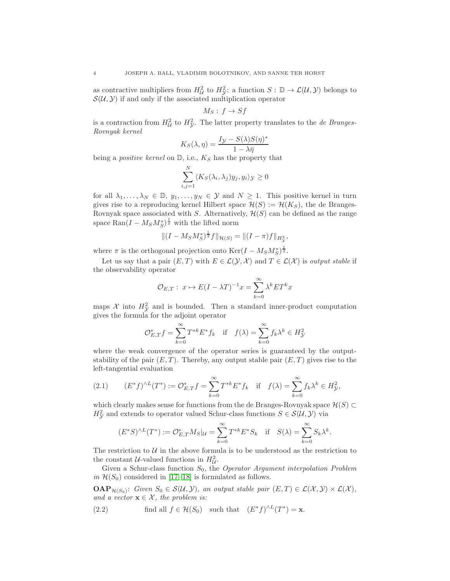as contractive multipliers from  $H^2_{\mathcal{U}}$  to  $H^2_{\mathcal{Y}}$ : a function  $S: \mathbb{D} \to \mathcal{L}(\mathcal{U}, \mathcal{Y})$  belongs to  $\mathcal{S}(\mathcal{U}, \mathcal{Y})$  if and only if the associated multiplication operator

$$
M_S: f \to Sf
$$

is a contraction from  $H^2_{\mathcal{U}}$  to  $H^2_{\mathcal{Y}}$ . The latter property translates to the *de Branges*-Rovnyak kernel

$$
K_S(\lambda, \eta) = \frac{I_{\mathcal{Y}} - S(\lambda)S(\eta)^*}{1 - \lambda \bar{\eta}}
$$

being a *positive kernel* on  $\mathbb{D}$ , i.e.,  $K_S$  has the property that

$$
\sum_{i,j=1}^N \langle K_S(\lambda_i, \lambda_j) y_j, y_i \rangle_{\mathcal{Y}} \ge 0
$$

for all  $\lambda_1, \ldots, \lambda_N \in \mathbb{D}, y_1, \ldots, y_N \in \mathcal{Y}$  and  $N \geq 1$ . This positive kernel in turn gives rise to a reproducing kernel Hilbert space  $\mathcal{H}(S) := \mathcal{H}(K_S)$ , the de Branges-Rovnyak space associated with S. Alternatively,  $\mathcal{H}(S)$  can be defined as the range space  $\text{Ran}(I - M_S M_S^*)^{\frac{1}{2}}$  with the lifted norm

$$
\|(I - M_S M_S^*)^{\frac{1}{2}} f\|_{\mathcal{H}(S)} = \|(I - \pi)f\|_{H^2_{\mathcal{Y}}},
$$

where  $\pi$  is the orthogonal projection onto  $\text{Ker}(I - M_S M_S^*)^{\frac{1}{2}}$ .

Let us say that a pair  $(E, T)$  with  $E \in \mathcal{L}(\mathcal{Y}, \mathcal{X})$  and  $T \in \mathcal{L}(\mathcal{X})$  is *output stable* if the observability operator

$$
\mathcal{O}_{E,T}: x \mapsto E(I - \lambda T)^{-1}x = \sum_{k=0}^{\infty} \lambda^k E T^k x
$$

maps  $\mathcal X$  into  $H^2_{\mathcal Y}$  and is bounded. Then a standard inner-product computation gives the formula for the adjoint operator

$$
\mathcal{O}_{E,T}^* f = \sum_{k=0}^{\infty} T^{*k} E^* f_k \quad \text{if} \quad f(\lambda) = \sum_{k=0}^{\infty} f_k \lambda^k \in H^2_{\mathcal{Y}}
$$

where the weak convergence of the operator series is guaranteed by the outputstability of the pair  $(E, T)$ . Thereby, any output stable pair  $(E, T)$  gives rise to the left-tangential evaluation

<span id="page-3-0"></span>(2.1) 
$$
(E^* f)^{\wedge L}(T^*) := \mathcal{O}_{E,T}^* f = \sum_{k=0}^{\infty} T^{*k} E^* f_k \text{ if } f(\lambda) = \sum_{k=0}^{\infty} f_k \lambda^k \in H_{\mathcal{Y}}^2,
$$

which clearly makes sense for functions from the de Branges-Rovnyak space  $\mathcal{H}(S) \subset$  $H^2_{\mathcal{Y}}$  and extends to operator valued Schur-class functions  $S \in \mathcal{S}(\mathcal{U}, \mathcal{Y})$  via

$$
(E^*S)^{\wedge L}(T^*) := \mathcal{O}_{E,T}^* M_S |_{\mathcal{U}} = \sum_{k=0}^{\infty} T^{*k} E^* S_k \quad \text{if} \quad S(\lambda) = \sum_{k=0}^{\infty} S_k \lambda^k.
$$

The restriction to  $U$  in the above formula is to be understood as the restriction to the constant  $U$ -valued functions in  $H_U^2$ .

Given a Schur-class function  $S_0$ , the *Operator Argument interpolation Problem* in  $\mathcal{H}(S_0)$  considered in [\[17,](#page-44-0) [18\]](#page-44-1) is formulated as follows.

 $\mathbf{OAP}_{\mathcal{H}(S_0)}$ : Given  $S_0 \in \mathcal{S}(\mathcal{U}, \mathcal{Y})$ , an output stable pair  $(E, T) \in \mathcal{L}(\mathcal{X}, \mathcal{Y}) \times \mathcal{L}(\mathcal{X})$ , and a vector  $\mathbf{x} \in \mathcal{X}$ , the problem is:

<span id="page-3-1"></span>(2.2) find all 
$$
f \in \mathcal{H}(S_0)
$$
 such that  $(E^*f)^{\wedge L}(T^*) = \mathbf{x}$ .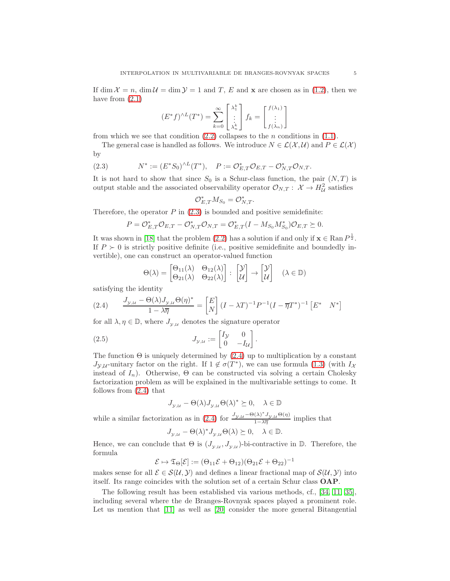If dim  $\mathcal{X} = n$ , dim  $\mathcal{U} = \dim \mathcal{Y} = 1$  and T, E and **x** are chosen as in [\(1.2\)](#page-0-1), then we have from  $(2.1)$ 

$$
(E^*f)^{\wedge L}(T^*) = \sum_{k=0}^{\infty} \begin{bmatrix} \lambda_1^k \\ \vdots \\ \lambda_n^k \end{bmatrix} f_k = \begin{bmatrix} f(\lambda_1) \\ \vdots \\ f(\lambda_n) \end{bmatrix}
$$

from which we see that condition  $(2.2)$  collapses to the *n* conditions in  $(1.1)$ .

The general case is handled as follows. We introduce  $N \in \mathcal{L}(\mathcal{X}, \mathcal{U})$  and  $P \in \mathcal{L}(\mathcal{X})$ by

<span id="page-4-0"></span>(2.3) 
$$
N^* := (E^* S_0)^{\wedge L} (T^*), \quad P := \mathcal{O}_{E,T}^* \mathcal{O}_{E,T} - \mathcal{O}_{N,T}^* \mathcal{O}_{N,T}.
$$

It is not hard to show that since  $S_0$  is a Schur-class function, the pair  $(N, T)$  is output stable and the associated observability operator  $\mathcal{O}_{N,T}: \mathcal{X} \to H^2_{\mathcal{U}}$  satisfies

$$
\mathcal{O}_{E,T}^* M_{S_0} = \mathcal{O}_{N,T}^*.
$$

Therefore, the operator  $P$  in  $(2.3)$  is bounded and positive semidefinite:

$$
P = \mathcal{O}_{E,T}^* \mathcal{O}_{E,T} - \mathcal{O}_{N,T}^* \mathcal{O}_{N,T} = \mathcal{O}_{E,T}^* (I - M_{S_0} M_{S_0}^*) \mathcal{O}_{E,T} \succeq 0.
$$

It was shown in [\[18\]](#page-44-1) that the problem [\(2.2\)](#page-3-1) has a solution if and only if  $\mathbf{x} \in \text{Ran } P^{\frac{1}{2}}$ . If  $P \succ 0$  is strictly positive definite (i.e., positive semidefinite and boundedly invertible), one can construct an operator-valued function

$$
\Theta(\lambda) = \begin{bmatrix} \Theta_{11}(\lambda) & \Theta_{12}(\lambda) \\ \Theta_{21}(\lambda) & \Theta_{22}(\lambda) \end{bmatrix} : \begin{bmatrix} \mathcal{Y} \\ \mathcal{U} \end{bmatrix} \to \begin{bmatrix} \mathcal{Y} \\ \mathcal{U} \end{bmatrix} \quad (\lambda \in \mathbb{D})
$$

satisfying the identity

<span id="page-4-1"></span>(2.4) 
$$
\frac{J_{\mathcal{Y},\mathcal{U}} - \Theta(\lambda)J_{\mathcal{Y},\mathcal{U}}\Theta(\eta)^*}{1 - \lambda \overline{\eta}} = \begin{bmatrix} E \\ N \end{bmatrix} (I - \lambda T)^{-1} P^{-1} (I - \overline{\eta}T^*)^{-1} \begin{bmatrix} E^* & N^* \end{bmatrix}
$$

for all  $\lambda, \eta \in \mathbb{D}$ , where  $J_{\mathcal{Y},\mathcal{U}}$  denotes the signature operator

(2.5) 
$$
J_{\mathcal{Y},\mathcal{U}} := \begin{bmatrix} I_{\mathcal{Y}} & 0 \\ 0 & -I_{\mathcal{U}} \end{bmatrix}.
$$

The function  $\Theta$  is uniquely determined by [\(2.4\)](#page-4-1) up to multiplication by a constant  $J_{\mathcal{Y},\mathcal{U}}$ -unitary factor on the right. If  $1 \notin \sigma(T^*)$ , we can use formula [\(1.3\)](#page-1-1) (with  $I_{\mathcal{X}}$ instead of  $I_n$ ). Otherwise,  $\Theta$  can be constructed via solving a certain Cholesky factorization problem as will be explained in the multivariable settings to come. It follows from [\(2.4\)](#page-4-1) that

<span id="page-4-2"></span>
$$
J_{\mathcal{Y},\mathcal{U}} - \Theta(\lambda) J_{\mathcal{Y},\mathcal{U}} \Theta(\lambda)^* \succeq 0, \quad \lambda \in \mathbb{D}
$$

while a similar factorization as in [\(2.4\)](#page-4-1) for  $\frac{J_{\mathcal{Y},\mathcal{U}} - \Theta(\lambda)^* J_{\mathcal{Y},\mathcal{U}} \Theta(\eta)}{1 - \lambda \overline{n}}$  $\frac{\sqrt{N}}{1-\lambda\overline{\eta}}$  implies that

$$
J_{y,u} - \Theta(\lambda)^* J_{y,u} \Theta(\lambda) \succeq 0, \quad \lambda \in \mathbb{D}.
$$

Hence, we can conclude that  $\Theta$  is  $(J_{y,u}, J_{y,u})$ -bi-contractive in  $\mathbb{D}$ . Therefore, the formula

$$
\mathcal{E}\mapsto \mathfrak{T}_\Theta[\mathcal{E}]:=(\Theta_{11}\mathcal{E}+\Theta_{12})(\Theta_{21}\mathcal{E}+\Theta_{22})^{-1}
$$

makes sense for all  $\mathcal{E} \in \mathcal{S}(\mathcal{U}, \mathcal{Y})$  and defines a linear fractional map of  $\mathcal{S}(\mathcal{U}, \mathcal{Y})$  into itself. Its range coincides with the solution set of a certain Schur class OAP.

The following result has been established via various methods, cf., [\[34,](#page-45-0) [11,](#page-44-3) [35\]](#page-45-1), including several where the de Branges-Rovnyak spaces played a prominent role. Let us mention that [\[11\]](#page-44-3) as well as [\[20\]](#page-44-4) consider the more general Bitangential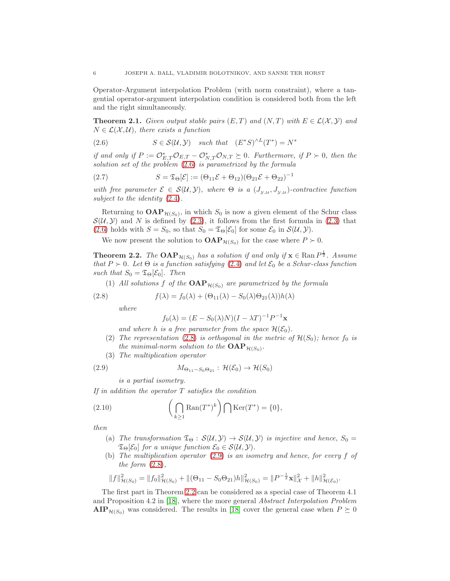Operator-Argument interpolation Problem (with norm constraint), where a tangential operator-argument interpolation condition is considered both from the left and the right simultaneously.

**Theorem 2.1.** Given output stable pairs  $(E, T)$  and  $(N, T)$  with  $E \in \mathcal{L}(\mathcal{X}, \mathcal{Y})$  and  $N \in \mathcal{L}(\mathcal{X}, \mathcal{U})$ , there exists a function

<span id="page-5-0"></span>(2.6) 
$$
S \in \mathcal{S}(\mathcal{U}, \mathcal{Y}) \quad such \, that \quad (E^*S)^{\wedge L}(T^*) = N^*
$$

if and only if  $P := \mathcal{O}_{E,T}^* \mathcal{O}_{E,T} - \mathcal{O}_{N,T}^* \mathcal{O}_{N,T} \succeq 0$ . Furthermore, if  $P \succ 0$ , then the solution set of the problem [\(2.6\)](#page-5-0) is parametrized by the formula

<span id="page-5-4"></span>(2.7) 
$$
S = \mathfrak{T}_{\Theta}[\mathcal{E}] := (\Theta_{11}\mathcal{E} + \Theta_{12})(\Theta_{21}\mathcal{E} + \Theta_{22})^{-1}
$$

with free parameter  $\mathcal{E} \in \mathcal{S}(\mathcal{U}, \mathcal{Y})$ , where  $\Theta$  is a  $(J_{\mathcal{Y},\mathcal{U}}, J_{\mathcal{Y},\mathcal{U}})$ -contractive function subject to the identity [\(2.4\)](#page-4-1).

Returning to  $\mathbf{OAP}_{\mathcal{H}(S_0)}$ , in which  $S_0$  is now a given element of the Schur class  $\mathcal{S}(\mathcal{U}, \mathcal{Y})$  and N is defined by [\(2.3\)](#page-4-0), it follows from the first formula in (2.3) that [\(2.6\)](#page-5-0) holds with  $S = S_0$ , so that  $S_0 = \mathfrak{T}_{\Theta}[\mathcal{E}_0]$  for some  $\mathcal{E}_0$  in  $\mathcal{S}(\mathcal{U}, \mathcal{Y})$ .

We now present the solution to  $\mathbf{OAP}_{\mathcal{H}(S_0)}$  for the case where  $P \succ 0$ .

<span id="page-5-3"></span>**Theorem 2.2.** The  $\text{OAP}_{\mathcal{H}(S_0)}$  has a solution if and only if  $\mathbf{x} \in \text{Ran } P^{\frac{1}{2}}$ . Assume that  $P \succ 0$ . Let  $\Theta$  is a function satisfying [\(2.4\)](#page-4-1) and let  $\mathcal{E}_0$  be a Schur-class function such that  $S_0 = \mathfrak{T}_{\Theta}[\mathcal{E}_0]$ . Then

(1) All solutions f of the  $\text{OAP}_{\mathcal{H}(S_0)}$  are parametrized by the formula

(2.8) 
$$
f(\lambda) = f_0(\lambda) + (\Theta_{11}(\lambda) - S_0(\lambda)\Theta_{21}(\lambda))h(\lambda)
$$

where

<span id="page-5-2"></span><span id="page-5-1"></span>
$$
f_0(\lambda) = (E - S_0(\lambda)N)(I - \lambda T)^{-1}P^{-1}\mathbf{x}
$$

and where h is a free parameter from the space  $\mathcal{H}(\mathcal{E}_0)$ .

- (2) The representation [\(2.8\)](#page-5-1) is orthogonal in the metric of  $\mathcal{H}(S_0)$ ; hence  $f_0$  is the minimal-norm solution to the  $\text{OAP}_{\mathcal{H}(S_0)}$ .
- (3) The multiplication operator

$$
(2.9) \t\t\t M_{\Theta_{11}-S_0\Theta_{21}} : \mathcal{H}(\mathcal{E}_0) \to \mathcal{H}(S_0)
$$

<span id="page-5-5"></span>is a partial isometry.

If in addition the operator  $T$  satisfies the condition

(2.10) 
$$
\left(\bigcap_{k\geq 1} \text{Ran}(T^*)^k\right) \bigcap \text{Ker}(T^*) = \{0\},\
$$

then

- (a) The transformation  $\mathfrak{T}_{\Theta} : \mathcal{S}(\mathcal{U}, \mathcal{Y}) \to \mathcal{S}(\mathcal{U}, \mathcal{Y})$  is injective and hence,  $S_0 =$  $\mathfrak{T}_{\Theta}[\mathcal{E}_0]$  for a unique function  $\mathcal{E}_0 \in \mathcal{S}(\mathcal{U}, \mathcal{Y})$ .
- (b) The multiplication operator [\(2.9\)](#page-5-2) is an isometry and hence, for every f of the form  $(2.8)$ ,

$$
||f||_{\mathcal{H}(S_0)}^2 = ||f_0||_{\mathcal{H}(S_0)}^2 + ||(\Theta_{11} - S_0 \Theta_{21})h||_{\mathcal{H}(S_0)}^2 = ||P^{-\frac{1}{2}} \mathbf{x}||_{\mathcal{X}}^2 + ||h||_{\mathcal{H}(\mathcal{E}_0)}^2.
$$

The first part in Theorem [2.2](#page-5-3) can be considered as a special case of Theorem 4.1 and Proposition 4.2 in [\[18\]](#page-44-1), where the more general Abstract Interpolation Problem  $\text{AIP}_{\mathcal{H}(S_0)}$  was considered. The results in [\[18\]](#page-44-1) cover the general case when  $P \succeq 0$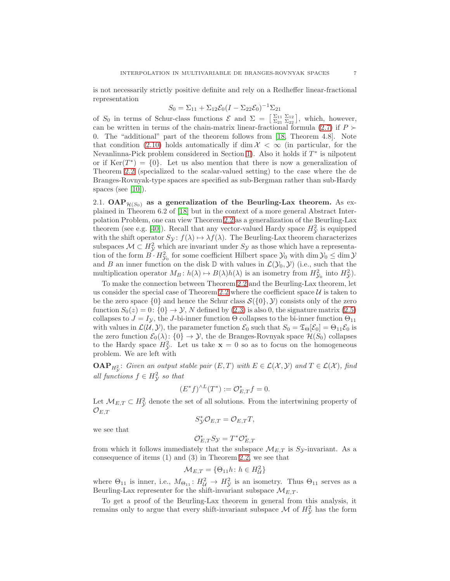is not necessarily strictly positive definite and rely on a Redheffer linear-fractional representation

$$
S_0 = \Sigma_{11} + \Sigma_{12} \mathcal{E}_0 (I - \Sigma_{22} \mathcal{E}_0)^{-1} \Sigma_{21}
$$

of  $S_0$  in terms of Schur-class functions  $\mathcal{E}$  and  $\Sigma = \left[\frac{\Sigma_{11}}{\Sigma_{21}} \frac{\Sigma_{12}}{\Sigma_{22}}\right]$ , which, however, can be written in terms of the chain-matrix linear-fractional formula [\(2.7\)](#page-5-4) if  $P \succ$ 0. The "additional" part of the theorem follows from [\[18,](#page-44-1) Theorem 4.8]. Note that condition [\(2.10\)](#page-5-5) holds automatically if dim  $\mathcal{X} < \infty$  (in particular, for the Nevanlinna-Pick problem considered in Section [1\)](#page-0-2). Also it holds if  $T^*$  is nilpotent or if  $Ker(T^*) = \{0\}$ . Let us also mention that there is now a generalization of Theorem [2.2](#page-5-3) (specialized to the scalar-valued setting) to the case where the de Branges-Rovnyak-type spaces are specified as sub-Bergman rather than sub-Hardy spaces (see  $[10]$ ).

<span id="page-6-0"></span>2.1. OAP $_{\mathcal{H}(S_0)}$  as a generalization of the Beurling-Lax theorem. As explained in Theorem 6.2 of [\[18\]](#page-44-1) but in the context of a more general Abstract Interpolation Problem, one can view Theorem [2.2](#page-5-3) as a generalization of the Beurling-Lax theorem (see e.g. [\[40\]](#page-45-2)). Recall that any vector-valued Hardy space  $H_y^2$  is equipped with the shift operator  $S_{\mathcal{Y}}: f(\lambda) \mapsto \lambda f(\lambda)$ . The Beurling-Lax theorem characterizes subspaces  $\mathcal{M} \subset H^2_{\mathcal{Y}}$  which are invariant under  $S_{\mathcal{Y}}$  as those which have a representation of the form  $B \cdot H_{\mathcal{Y}_0}^2$  for some coefficient Hilbert space  $\mathcal{Y}_0$  with  $\dim \mathcal{Y}_0 \leq \dim \mathcal{Y}$ and B an inner function on the disk  $\mathbb D$  with values in  $\mathcal L(\mathcal Y_0, \mathcal Y)$  (i.e., such that the multiplication operator  $M_B: h(\lambda) \mapsto B(\lambda)h(\lambda)$  is an isometry from  $H_{\mathcal{Y}_0}^2$  into  $H_{\mathcal{Y}}^2$ .

To make the connection between Theorem [2.2](#page-5-3) and the Beurling-Lax theorem, let us consider the special case of Theorem [2.2](#page-5-3) where the coefficient space  $U$  is taken to be the zero space  $\{0\}$  and hence the Schur class  $\mathcal{S}(\{0\}, \mathcal{Y})$  consists only of the zero function  $S_0(z) = 0$ :  $\{0\} \rightarrow \mathcal{Y}$ , N defined by [\(2.3\)](#page-4-0) is also 0, the signature matrix [\(2.5\)](#page-4-2) collapses to  $J = I_{\mathcal{Y}}$ , the J-bi-inner function  $\Theta$  collapses to the bi-inner function  $\Theta_{11}$ with values in  $\mathcal{L}(\mathcal{U}, \mathcal{Y})$ , the parameter function  $\mathcal{E}_0$  such that  $S_0 = \mathfrak{T}_{\Theta}[\mathcal{E}_0] = \Theta_{11}\mathcal{E}_0$  is the zero function  $\mathcal{E}_0(\lambda)$ :  $\{0\} \to \mathcal{Y}$ , the de Branges-Rovnyak space  $\mathcal{H}(S_0)$  collapses to the Hardy space  $H_{\mathcal{Y}}^2$ . Let us take  $\mathbf{x} = 0$  so as to focus on the homogeneous problem. We are left with

**OAP**<sub>H<sub>2</sub><sup>2</sup>: Given an output stable pair  $(E, T)$  with  $E \in \mathcal{L}(\mathcal{X}, \mathcal{Y})$  and  $T \in \mathcal{L}(\mathcal{X})$ , find</sub> all functions  $f \in H^2_{\mathcal{Y}}$  so that

$$
(E^*f)^{\wedge L}(T^*) := \mathcal{O}_{E,T}^*f = 0.
$$

Let  $\mathcal{M}_{E,T} \subset H^2_{\mathcal{Y}}$  denote the set of all solutions. From the intertwining property of  $\mathcal{O}_{E.T}$ 

$$
S_{\mathcal{Y}}^* \mathcal{O}_{E,T} = \mathcal{O}_{E,T} T,
$$

we see that

$$
\mathcal{O}_{E,T}^* S_{\mathcal{Y}} = T^* \mathcal{O}_{E,T}^*
$$

from which it follows immediately that the subspace  $\mathcal{M}_{E,T}$  is Sy-invariant. As a consequence of items (1) and (3) in Theorem [2.2,](#page-5-3) we see that

$$
\mathcal{M}_{E,T} = \{ \Theta_{11} h \colon h \in H^2_{\mathcal{U}} \}
$$

where  $\Theta_{11}$  is inner, i.e.,  $M_{\Theta_{11}}: H^2_{\mathcal{U}} \to H^2_{\mathcal{Y}}$  is an isometry. Thus  $\Theta_{11}$  serves as a Beurling-Lax representer for the shift-invariant subspace  $\mathcal{M}_{E,T}$ .

To get a proof of the Beurling-Lax theorem in general from this analysis, it remains only to argue that every shift-invariant subspace  $\mathcal M$  of  $H^2_{\mathcal Y}$  has the form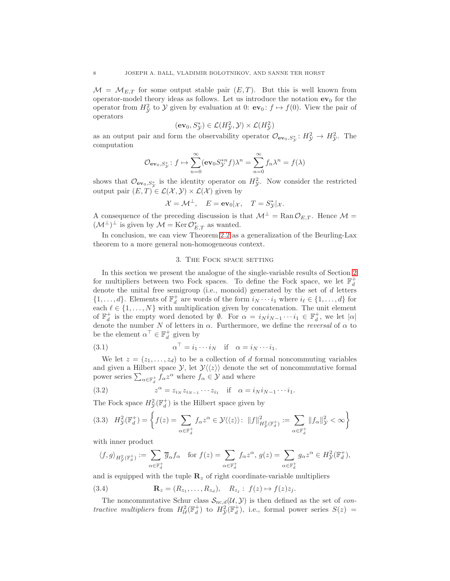$\mathcal{M} = \mathcal{M}_{E,T}$  for some output stable pair  $(E,T)$ . But this is well known from operator-model theory ideas as follows. Let us introduce the notation  $ev_0$  for the operator from  $H^2_{\mathcal{Y}}$  to  $\mathcal{Y}$  given by evaluation at 0:  $ev_0: f \mapsto f(0)$ . View the pair of operators

$$
(\mathbf{ev}_0, S^*_{\mathcal{Y}}) \in \mathcal{L}(H^2_{\mathcal{Y}}, \mathcal{Y}) \times \mathcal{L}(H^2_{\mathcal{Y}})
$$

as an output pair and form the observability operator  $\mathcal{O}_{ev_0,S^*_{\mathcal{Y}}}: H^2_{\mathcal{Y}} \to H^2_{\mathcal{Y}}$ . The computation

$$
\mathcal{O}_{\mathbf{ev}_0, S_{\mathcal{Y}}^*}: f \mapsto \sum_{n=0}^{\infty} (\mathbf{ev}_0 S_{\mathcal{Y}}^{*n} f) \lambda^n = \sum_{n=0}^{\infty} f_n \lambda^n = f(\lambda)
$$

shows that  $\mathcal{O}_{ev_0,S^*_{\mathcal{Y}}}$  is the identity operator on  $H^2_{\mathcal{Y}}$ . Now consider the restricted output pair  $(E, T) \in \mathcal{L}(\mathcal{X}, \mathcal{Y}) \times \mathcal{L}(\mathcal{X})$  given by

$$
\mathcal{X} = \mathcal{M}^{\perp}, \quad E = \mathbf{ev}_0 |_{\mathcal{X}}, \quad T = S_{\mathcal{Y}}^* |_{\mathcal{X}}.
$$

A consequence of the preceding discussion is that  $\mathcal{M}^{\perp} = \text{Ran} \mathcal{O}_{E,T}$ . Hence  $\mathcal{M} =$  $(\mathcal{M}^{\perp})^{\perp}$  is given by  $\mathcal{M} = \text{Ker } \mathcal{O}_{E,T}^*$  as wanted.

<span id="page-7-0"></span>In conclusion, we can view Theorem [2.2](#page-5-3) as a generalization of the Beurling-Lax theorem to a more general non-homogeneous context.

#### 3. The Fock space setting

In this section we present the analogue of the single-variable results of Section [2](#page-2-0) for multipliers between two Fock spaces. To define the Fock space, we let  $\mathbb{F}_d^+$ denote the unital free semigroup (i.e., monoid) generated by the set of  $d$  letters  $\{1,\ldots,d\}$ . Elements of  $\mathbb{F}_d^+$  are words of the form  $i_N\cdots i_1$  where  $i_\ell \in \{1,\ldots,d\}$  for each  $\ell \in \{1, \ldots, N\}$  with multiplication given by concatenation. The unit element of  $\mathbb{F}_d^+$  is the empty word denoted by  $\emptyset$ . For  $\alpha = i_N i_{N-1} \cdots i_1 \in \mathbb{F}_d^+$ , we let  $|\alpha|$ denote the number N of letters in  $\alpha$ . Furthermore, we define the *reversal* of  $\alpha$  to be the element  $\alpha^{\top} \in \mathbb{F}_d^+$  given by

<span id="page-7-3"></span>(3.1) 
$$
\alpha^{\top} = i_1 \cdots i_N \quad \text{if} \quad \alpha = i_N \cdots i_1.
$$

We let  $z = (z_1, \ldots, z_d)$  to be a collection of d formal noncommuting variables and given a Hilbert space  $\mathcal{Y}$ , let  $\mathcal{Y}\langle\langle z\rangle\rangle$  denote the set of noncommutative formal power series  $\sum_{\alpha \in \mathbb{F}_d^+} f_{\alpha} z^{\alpha}$  where  $f_{\alpha} \in \mathcal{Y}$  and where

<span id="page-7-1"></span>(3.2) 
$$
z^{\alpha} = z_{i_N} z_{i_{N-1}} \cdots z_{i_1} \text{ if } \alpha = i_N i_{N-1} \cdots i_1.
$$

The Fock space  $H_{\mathcal{Y}}^2(\mathbb{F}_d^+)$  is the Hilbert space given by

<span id="page-7-2"></span>
$$
(3.3) \quad H^2_{\mathcal{Y}}(\mathbb{F}_d^+) = \left\{ f(z) = \sum_{\alpha \in \mathbb{F}_d^+} f_\alpha z^\alpha \in \mathcal{Y} \langle \langle z \rangle \rangle : \ \|f\|_{H^2_{\mathcal{Y}}(\mathbb{F}_d^+)}^2 := \sum_{\alpha \in \mathbb{F}_d^+} \|f_\alpha\|_{\mathcal{Y}}^2 < \infty \right\}
$$

with inner product

$$
\langle f, g \rangle_{H^2_{\mathcal{Y}}(\mathbb{F}^+_d)} := \sum_{\alpha \in \mathbb{F}^+_d} \overline{g}_{\alpha} f_{\alpha} \quad \text{for } f(z) = \sum_{\alpha \in \mathbb{F}^+_d} f_{\alpha} z^{\alpha}, \, g(z) = \sum_{\alpha \in \mathbb{F}^+_d} g_{\alpha} z^{\alpha} \in H^2_{\mathcal{Y}}(\mathbb{F}^+_d),
$$

and is equipped with the tuple  $\mathbf{R}_z$  of right coordinate-variable multipliers

<span id="page-7-4"></span>(3.4)  $\mathbf{R}_z = (R_{z_1}, \dots, R_{z_d}), \quad R_{z_j} : f(z) \mapsto f(z) z_j.$ 

The noncommutative Schur class  $\mathcal{S}_{\text{nc},d}(\mathcal{U}, \mathcal{Y})$  is then defined as the set of contractive multipliers from  $H^2_{\mathcal{U}}(\mathbb{F}^+_d)$  to  $H^2_{\mathcal{Y}}(\mathbb{F}^+_d)$ , i.e., formal power series  $S(z)$  =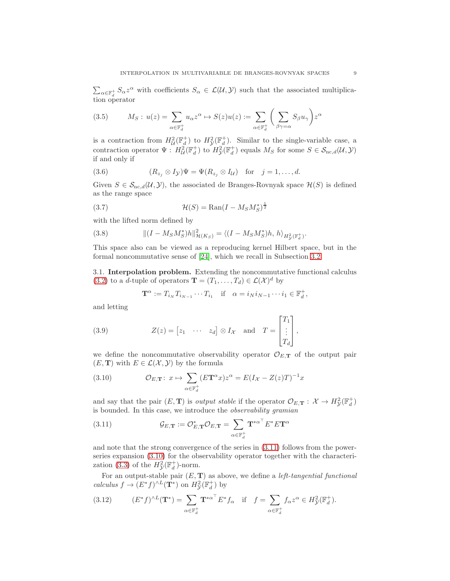$\sum_{\alpha \in \mathbb{F}_d^+} S_\alpha z^\alpha$  with coefficients  $S_\alpha \in \mathcal{L}(\mathcal{U}, \mathcal{Y})$  such that the associated multiplication operator

<span id="page-8-5"></span>(3.5) 
$$
M_S: u(z) = \sum_{\alpha \in \mathbb{F}_d^+} u_{\alpha} z^{\alpha} \mapsto S(z)u(z) := \sum_{\alpha \in \mathbb{F}_d^+} \left( \sum_{\beta \gamma = \alpha} S_{\beta} u_{\gamma} \right) z^{\alpha}
$$

is a contraction from  $H^2_{\mathcal{U}}(\mathbb{F}_d^+)$  to  $H^2_{\mathcal{Y}}(\mathbb{F}_d^+)$ . Similar to the single-variable case, a contraction operator  $\Psi$ :  $H^2_{\mathcal{U}}(\mathbb{F}^+_d)$  to  $H^2_{\mathcal{Y}}(\mathbb{F}^+_d)$  equals  $M_S$  for some  $S \in \mathcal{S}_{\text{nc},d}(\mathcal{U},\mathcal{Y})$ if and only if

<span id="page-8-6"></span>(3.6) 
$$
(R_{z_j} \otimes I_{\mathcal{Y}})\Psi = \Psi(R_{z_j} \otimes I_{\mathcal{U}}) \text{ for } j = 1, ..., d.
$$

Given  $S \in \mathcal{S}_{\text{nc},d}(\mathcal{U}, \mathcal{Y})$ , the associated de Branges-Rovnyak space  $\mathcal{H}(S)$  is defined as the range space

<span id="page-8-3"></span>
$$
\mathcal{H}(S) = \text{Ran}(I - M_S M_S^*)^{\frac{1}{2}}
$$

with the lifted norm defined by

<span id="page-8-4"></span>(3.8) 
$$
\| (I - M_S M_S^*)h \|_{\mathcal{H}(K_S)}^2 = \langle (I - M_S M_S^*)h, h \rangle_{H^2_{\mathcal{Y}}(\mathbb{F}_d^+)}.
$$

This space also can be viewed as a reproducing kernel Hilbert space, but in the formal noncommutative sense of [\[24\]](#page-45-3), which we recall in Subsection [3.2.](#page-10-0)

3.1. Interpolation problem. Extending the noncommutative functional calculus [\(3.2\)](#page-7-1) to a *d*-tuple of operators  $\mathbf{T} = (T_1, \ldots, T_d) \in \mathcal{L}(\mathcal{X})^d$  by

<span id="page-8-7"></span>
$$
\mathbf{T}^{\alpha} := T_{i_N} T_{i_{N-1}} \cdots T_{i_1} \quad \text{if} \quad \alpha = i_N i_{N-1} \cdots i_1 \in \mathbb{F}_d^+,
$$

and letting

(3.9) 
$$
Z(z) = \begin{bmatrix} z_1 & \cdots & z_d \end{bmatrix} \otimes I_{\mathcal{X}} \text{ and } T = \begin{bmatrix} T_1 \\ \vdots \\ T_d \end{bmatrix},
$$

we define the noncommutative observability operator  $\mathcal{O}_{E,\mathbf{T}}$  of the output pair  $(E, T)$  with  $E \in \mathcal{L}(\mathcal{X}, \mathcal{Y})$  by the formula

<span id="page-8-1"></span>(3.10) 
$$
\mathcal{O}_{E,\mathbf{T}}: x \mapsto \sum_{\alpha \in \mathbb{F}_d^+} (E\mathbf{T}^{\alpha}x)z^{\alpha} = E(I_{\mathcal{X}} - Z(z)T)^{-1}x
$$

and say that the pair  $(E, T)$  is *output stable* if the operator  $\mathcal{O}_{E,T}: \mathcal{X} \to H^2_{\mathcal{Y}}(\mathbb{F}_d^+)$ is bounded. In this case, we introduce the observability gramian

<span id="page-8-0"></span>(3.11) 
$$
\mathcal{G}_{E,\mathbf{T}} := \mathcal{O}_{E,\mathbf{T}}^* \mathcal{O}_{E,\mathbf{T}} = \sum_{\alpha \in \mathbb{F}_d^+} \mathbf{T}^{*\alpha^{\top}} E^* E \mathbf{T}^{\alpha}
$$

and note that the strong convergence of the series in [\(3.11\)](#page-8-0) follows from the powerseries expansion [\(3.10\)](#page-8-1) for the observability operator together with the characteri-zation [\(3.3\)](#page-7-2) of the  $H_{\mathcal{Y}}^2(\mathbb{F}_d^+)$ -norm.

For an output-stable pair  $(E, T)$  as above, we define a *left-tangential functional* calculus  $f \to (E^* f)^{\wedge L}(\mathbf{T}^*)$  on  $H^2_{\mathcal{Y}}(\mathbb{F}_d^+)$  by

<span id="page-8-2"></span>(3.12) 
$$
(E^* f)^{\wedge L} (\mathbf{T}^*) = \sum_{\alpha \in \mathbb{F}_d^+} \mathbf{T}^{*\alpha^{\top}} E^* f_{\alpha} \quad \text{if} \quad f = \sum_{\alpha \in \mathbb{F}_d^+} f_{\alpha} z^{\alpha} \in H^2_{\mathcal{Y}}(\mathbb{F}_d^+).
$$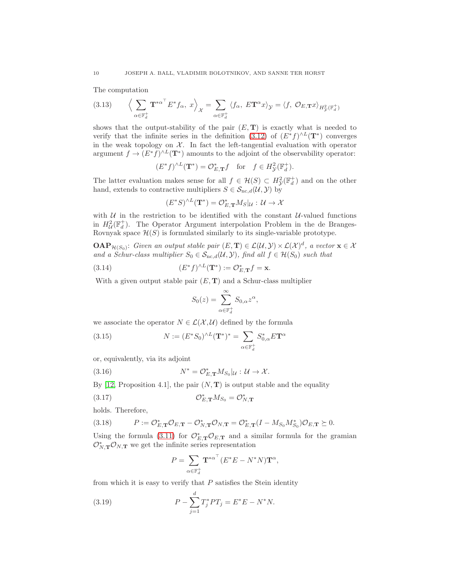The computation

<span id="page-9-5"></span>(3.13) 
$$
\left\langle \sum_{\alpha \in \mathbb{F}_d^+} \mathbf{T}^{*\alpha^{\top}} E^* f_{\alpha}, x \right\rangle_{\mathcal{X}} = \sum_{\alpha \in \mathbb{F}_d^+} \left\langle f_{\alpha}, E \mathbf{T}^{\alpha} x \right\rangle_{\mathcal{Y}} = \left\langle f, \mathcal{O}_{E, \mathbf{T}} x \right\rangle_{H^2_{\mathcal{Y}}(\mathbb{F}_d^+)}
$$

shows that the output-stability of the pair  $(E, T)$  is exactly what is needed to verify that the infinite series in the definition [\(3.12\)](#page-8-2) of  $(E^*f)^{\wedge L}(\mathbf{T}^*)$  converges in the weak topology on  $X$ . In fact the left-tangential evaluation with operator argument  $f \to (E^* f)^{\wedge L}(\mathbf{T}^*)$  amounts to the adjoint of the observability operator:

$$
(E^*f)^{\wedge L}(\mathbf{T}^*) = \mathcal{O}_{E,\mathbf{T}}^*f \quad \text{for} \quad f \in H^2_{\mathcal{Y}}(\mathbb{F}_d^+).
$$

The latter evaluation makes sense for all  $f \in \mathcal{H}(S) \subset H^2_{\mathcal{Y}}(\mathbb{F}_d^+)$  and on the other hand, extends to contractive multipliers  $S \in \mathcal{S}_{\text{nc},d}(\mathcal{U}, \mathcal{Y})$  by

$$
(E^*S)^{\wedge L}(\mathbf{T}^*) = \mathcal{O}_{E,\mathbf{T}}^*M_S|_{\mathcal{U}} : \mathcal{U} \to \mathcal{X}
$$

with  $U$  in the restriction to be identified with the constant  $U$ -valued functions in  $H^2_{\mathcal{U}}(\mathbb{F}_d^+)$ . The Operator Argument interpolation Problem in the de Branges-Rovnyak space  $\mathcal{H}(S)$  is formulated similarly to its single-variable prototype.

**OAP**<sub> $\mathcal{H}(S_0)$ : Given an output stable pair  $(E, T) \in \mathcal{L}(\mathcal{U}, \mathcal{Y}) \times \mathcal{L}(\mathcal{X})^d$ , a vector  $\mathbf{x} \in \mathcal{X}$ </sub> and a Schur-class multiplier  $S_0 \in S_{\text{nc.}d}(\mathcal{U}, \mathcal{Y})$ , find all  $f \in \mathcal{H}(S_0)$  such that

(3.14) 
$$
(E^*f)^{\wedge L}(\mathbf{T}^*) := \mathcal{O}_{E,\mathbf{T}}^*f = \mathbf{x}.
$$

With a given output stable pair  $(E, T)$  and a Schur-class multiplier

<span id="page-9-6"></span><span id="page-9-4"></span><span id="page-9-2"></span>
$$
S_0(z) = \sum_{\alpha \in \mathbb{F}_d^+}^{\infty} S_{0,\alpha} z^{\alpha},
$$

we associate the operator  $N \in \mathcal{L}(\mathcal{X}, \mathcal{U})$  defined by the formula

(3.15) 
$$
N := (E^* S_0)^{\wedge L} (\mathbf{T}^*)^* = \sum_{\alpha \in \mathbb{F}_d^+} S_{0,\alpha}^* E \mathbf{T}^{\alpha}
$$

or, equivalently, via its adjoint

(3.16) 
$$
N^* = \mathcal{O}_{E,\mathbf{T}}^* M_{S_0} |_{\mathcal{U}} : \mathcal{U} \to \mathcal{X}.
$$

By [\[12,](#page-44-2) Proposition 4.1], the pair  $(N, T)$  is output stable and the equality

$$
(3.17) \t\t\t\t\mathcal{O}_{E,\mathbf{T}}^* M_{S_0} = \mathcal{O}_{N,\mathbf{T}}^*
$$

holds. Therefore,

<span id="page-9-0"></span>(3.18) 
$$
P := \mathcal{O}_{E,\mathbf{T}}^* \mathcal{O}_{E,\mathbf{T}} - \mathcal{O}_{N,\mathbf{T}}^* \mathcal{O}_{N,\mathbf{T}} = \mathcal{O}_{E,\mathbf{T}}^*(I - M_{S_0} M_{S_0}^*) \mathcal{O}_{E,\mathbf{T}} \succeq 0.
$$

Using the formula [\(3.11\)](#page-8-0) for  $\mathcal{O}_{E,\mathbf{T}}^* \mathcal{O}_{E,\mathbf{T}}$  and a similar formula for the gramian  $\mathcal{O}_{N,\mathbf{T}}^*\mathcal{O}_{N,\mathbf{T}}$  we get the infinite series representation

<span id="page-9-3"></span><span id="page-9-1"></span>
$$
P = \sum_{\alpha \in \mathbb{F}_d^+} \mathbf{T}^{*\alpha^{\top}} (E^* E - N^* N) \mathbf{T}^{\alpha},
$$

from which it is easy to verify that  $P$  satisfies the Stein identity

(3.19) 
$$
P - \sum_{j=1}^{d} T_j^* PT_j = E^* E - N^* N.
$$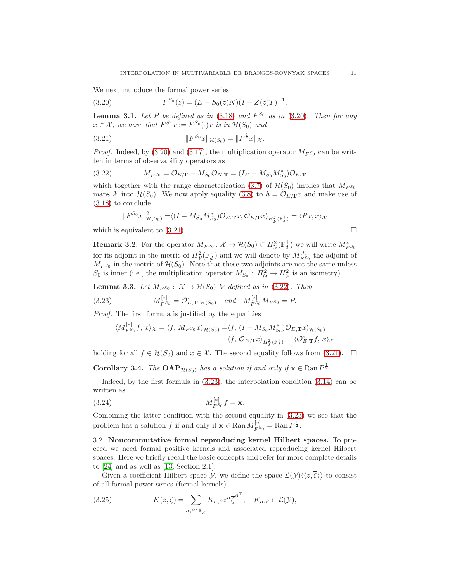.

We next introduce the formal power series

<span id="page-10-1"></span>(3.20) 
$$
F^{S_0}(z) = (E - S_0(z)N)(I - Z(z)T)^{-1}
$$

**Lemma 3.1.** Let P be defined as in  $(3.18)$  and  $F^{S_0}$  as in  $(3.20)$ . Then for any  $x \in \mathcal{X}$ , we have that  $F^{S_0}x := F^{S_0}(\cdot)x$  is in  $\mathcal{H}(S_0)$  and

<span id="page-10-2"></span>(3.21) 
$$
||F^{S_0}x||_{\mathcal{H}(S_0)} = ||P^{\frac{1}{2}}x||_{\mathcal{X}}.
$$

*Proof.* Indeed, by [\(3.20\)](#page-10-1) and [\(3.17\)](#page-9-1), the multiplication operator  $M_{F^{S_0}}$  can be written in terms of observability operators as

(3.22) 
$$
M_{F^{S_0}} = \mathcal{O}_{E,\mathbf{T}} - M_{S_0} \mathcal{O}_{N,\mathbf{T}} = (I_{\mathcal{X}} - M_{S_0} M_{S_0}^*) \mathcal{O}_{E,\mathbf{T}}
$$

which together with the range characterization [\(3.7\)](#page-8-3) of  $\mathcal{H}(S_0)$  implies that  $M_{F^{S_0}}$ maps X into  $\mathcal{H}(S_0)$ . We now apply equality [\(3.8\)](#page-8-4) to  $h = \mathcal{O}_{E,\mathbf{T}}x$  and make use of [\(3.18\)](#page-9-0) to conclude

<span id="page-10-3"></span>
$$
||F^{S_0}x||_{\mathcal{H}(S_0)}^2 = \langle (I - M_{S_0}M_{S_0}^*)\mathcal{O}_{E,\mathbf{T}}x, \mathcal{O}_{E,\mathbf{T}}x \rangle_{H^2_{\mathcal{Y}}(\mathbb{F}_d^+)} = \langle Px, x \rangle_{\mathcal{X}}
$$

which is equivalent to  $(3.21)$ .

<span id="page-10-4"></span> $\ddot{•}$ 

<span id="page-10-8"></span>**Remark 3.2.** For the operator  $M_{F^{S_0}}: \mathcal{X} \to \mathcal{H}(S_0) \subset H^2_{\mathcal{Y}}(\mathbb{F}_d^+)$  we will write  $M^*_{F^{S_0}}$ for its adjoint in the metric of  $H_{\mathcal{Y}}^{2}(\mathbb{F}_{d}^{+})$  and we will denote by  $M_{F^{\mathcal{S}}}^{[*]}$  $F_{S_0}^{\{1\}\}$  the adjoint of  $M_{F^{S_0}}$  in the metric of  $\mathcal{H}(S_0)$ . Note that these two adjoints are not the same unless  $S_0$  is inner (i.e., the multiplication operator  $M_{S_0}: H^2_{\mathcal{U}} \to H^2_{\mathcal{Y}}$  is an isometry).

<span id="page-10-7"></span>**Lemma 3.3.** Let  $M_{F^{S_0}}$ :  $\mathcal{X} \to \mathcal{H}(S_0)$  be defined as in [\(3.22\)](#page-10-3). Then

(3.23) 
$$
M_{F^{S_0}}^{[*]} = \mathcal{O}_{E,\mathbf{T}}^*|_{\mathcal{H}(S_0)} \quad \text{and} \quad M_{F^{S_0}}^{[*]} M_{F^{S_0}} = P.
$$

Proof. The first formula is justified by the equalities

$$
\langle M_{F^{S_0}}^{\dagger*} f, x \rangle_{\mathcal{X}} = \langle f, M_{F^{S_0}} x \rangle_{\mathcal{H}(S_0)} = \langle f, (I - M_{S_0} M_{S_0}^*) \mathcal{O}_{E, \mathbf{T}} x \rangle_{\mathcal{H}(S_0)}
$$
  
=\langle f, \mathcal{O}\_{E, \mathbf{T}} x \rangle\_{H^2\_{\mathcal{Y}}(\mathbb{F}\_d^+)} = \langle \mathcal{O}\_{E, \mathbf{T}}^\* f, x \rangle\_{\mathcal{X}}

holding for all  $f \in \mathcal{H}(S_0)$  and  $x \in \mathcal{X}$ . The second equality follows from [\(3.21\)](#page-10-2).  $\Box$ 

**Corollary 3.4.** The **OAP**<sub> $\mathcal{H}(S_0)$  has a solution if and only if  $\mathbf{x} \in \text{Ran } P^{\frac{1}{2}}$ .</sub>

Indeed, by the first formula in  $(3.23)$ , the interpolation condition  $(3.14)$  can be written as

<span id="page-10-6"></span>(3.24) 
$$
M_{F^{S_0}}^{[*]}f = \mathbf{x}.
$$

Combining the latter condition with the second equality in [\(3.23\)](#page-10-4) we see that the problem has a solution f if and only if  $\mathbf{x} \in \text{Ran} M_{F^{S_0}}^{[*]} = \text{Ran} P^{\frac{1}{2}}$ .

<span id="page-10-0"></span>3.2. Noncommutative formal reproducing kernel Hilbert spaces. To proceed we need formal positive kernels and associated reproducing kernel Hilbert spaces. Here we briefly recall the basic concepts and refer for more complete details to [\[24\]](#page-45-3) and as well as [\[13,](#page-44-6) Section 2.1].

Given a coefficient Hilbert space  $\mathcal{Y}$ , we define the space  $\mathcal{L}(\mathcal{Y})\langle\langle z,\overline{\zeta}\rangle\rangle$  to consist of all formal power series (formal kernels)

<span id="page-10-5"></span>(3.25) 
$$
K(z,\zeta) = \sum_{\alpha,\beta \in \mathbb{F}_d^+} K_{\alpha,\beta} z^{\alpha} \overline{\zeta}^{\beta^{\top}}, \quad K_{\alpha,\beta} \in \mathcal{L}(\mathcal{Y}),
$$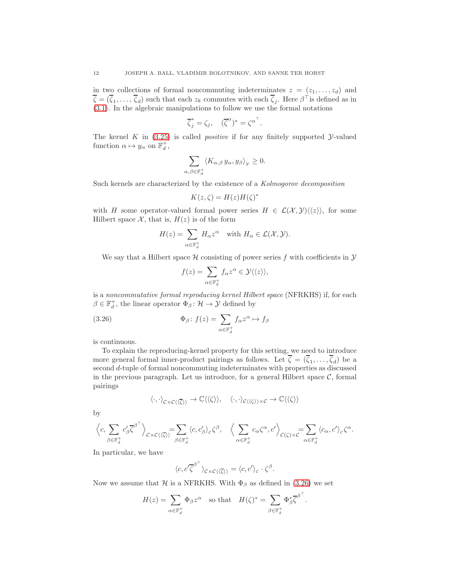in two collections of formal noncommuting indeterminates  $z = (z_1, \ldots, z_d)$  and  $\overline{\zeta} = (\overline{\zeta}_1, \ldots, \overline{\zeta}_d)$  such that each  $z_k$  commutes with each  $\overline{\zeta}_j$ . Here  $\beta^{\top}$  is defined as in [\(3.1\)](#page-7-3). In the algebraic manipulations to follow we use the formal notations

$$
\overline{\zeta}_j^* = \zeta_j, \quad (\overline{\zeta}^\alpha)^* = {\zeta^\alpha}^\top.
$$

The kernel  $K$  in  $(3.25)$  is called *positive* if for any finitely supported *y*-valued function  $\alpha \mapsto y_\alpha$  on  $\mathbb{F}_d^+$ ,

$$
\sum_{\alpha,\beta\in\mathbb{F}_d^+} \langle K_{\alpha,\beta} y_\alpha, y_\beta \rangle_{\mathcal{Y}} \ge 0.
$$

Such kernels are characterized by the existence of a Kolmogorov decomposition

$$
K(z,\zeta) = H(z)H(\zeta)^*
$$

with H some operator-valued formal power series  $H \in \mathcal{L}(\mathcal{X}, \mathcal{Y})\langle\langle z \rangle\rangle$ , for some Hilbert space  $\mathcal{X}$ , that is,  $H(z)$  is of the form

$$
H(z) = \sum_{\alpha \in \mathbb{F}_d^+} H_{\alpha} z^{\alpha} \quad \text{with } H_{\alpha} \in \mathcal{L}(\mathcal{X}, \mathcal{Y}).
$$

We say that a Hilbert space  $H$  consisting of power series f with coefficients in  $\mathcal Y$ 

<span id="page-11-0"></span>
$$
f(z) = \sum_{\alpha \in \mathbb{F}_d^+} f_{\alpha} z^{\alpha} \in \mathcal{Y} \langle \langle z \rangle \rangle,
$$

is a noncommutative formal reproducing kernel Hilbert space (NFRKHS) if, for each  $\beta \in \mathbb{F}^+_d$  , the linear operator  $\Phi_\beta \colon \mathcal{H} \to \mathcal{Y}$  defined by

(3.26) 
$$
\Phi_{\beta} : f(z) = \sum_{\alpha \in \mathbb{F}_{d}^{+}} f_{\alpha} z^{\alpha} \mapsto f_{\beta}
$$

is continuous.

To explain the reproducing-kernel property for this setting, we need to introduce more general formal inner-product pairings as follows. Let  $\zeta = (\zeta_1, \ldots, \zeta_d)$  be a second d-tuple of formal noncommuting indeterminates with properties as discussed in the previous paragraph. Let us introduce, for a general Hilbert space  $\mathcal{C}$ , formal pairings

$$
\langle\cdot,\cdot\rangle_{\mathcal{C}\times\mathcal{C}\langle\langle\overline{\zeta}\rangle\rangle}\to\mathbb{C}\langle\langle\zeta\rangle\rangle,\quad \langle\cdot,\cdot\rangle_{\mathcal{C}\langle\langle\zeta\rangle\rangle\times\mathcal{C}}\to\mathbb{C}\langle\langle\zeta\rangle\rangle
$$

by

$$
\left\langle c,\sum_{\beta\in\mathbb{F}_d^+}c'_\beta {\overline{\zeta}}^{\beta^{\top}}\right\rangle_{\mathcal{C}\times\mathcal{C}\langle\langle\overline{\zeta}\rangle\rangle}=\sum_{\beta\in\mathbb{F}_d^+}\langle c,c'_\beta\rangle_c\zeta^{\beta},\quad \left\langle\sum_{\alpha\in\mathbb{F}_d^+}c_\alpha{\zeta}^{\alpha},{c'}\right\rangle_{\mathcal{C}(\zeta)\times\mathcal{C}}=\sum_{\alpha\in\mathbb{F}_d^+}\langle c_\alpha,c'\rangle_c\zeta^{\alpha}.
$$

In particular, we have

$$
\langle c, c'\overline{\zeta}^{\beta^{\top}}\rangle_{\mathcal{C}\times\mathcal{C}\langle\langle\overline{\zeta}\rangle\rangle} = \langle c, c'\rangle_c \cdot \zeta^{\beta}.
$$

Now we assume that H is a NFRKHS. With  $\Phi_{\beta}$  as defined in [\(3.26\)](#page-11-0) we set

$$
H(z) = \sum_{\alpha \in \mathbb{F}_d^+} \Phi_\beta z^\alpha \quad \text{so that} \quad H(\zeta)^* = \sum_{\beta \in \mathbb{F}_d^+} \Phi_\beta^* \overline{\zeta}^{\beta^{\top}}.
$$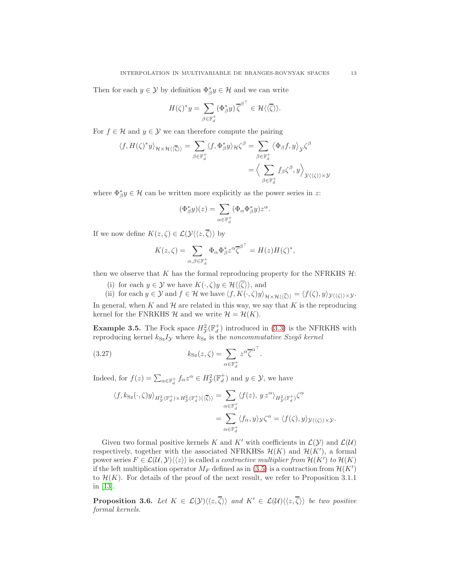Then for each  $y \in \mathcal{Y}$  by definition  $\Phi_{\beta}^* y \in \mathcal{H}$  and we can write

$$
H(\zeta)^* y = \sum_{\beta \in \mathbb{F}_d^+} (\Phi_\beta^* y) \overline{\zeta}^{\beta^{\top}} \in \mathcal{H} \langle \langle \overline{\zeta} \rangle \rangle.
$$

For  $f \in \mathcal{H}$  and  $y \in \mathcal{Y}$  we can therefore compute the pairing

$$
\langle f, H(\zeta)^* y \rangle_{\mathcal{H} \times \mathcal{H} \langle \langle \overline{\zeta} \rangle \rangle} = \sum_{\beta \in \mathbb{F}_d^+} \langle f, \Phi_{\beta}^* y \rangle_{\mathcal{H}} \zeta^{\beta} = \sum_{\beta \in \mathbb{F}_d^+} \langle \Phi_{\beta} f, y \rangle_{\mathcal{Y}} \zeta^{\beta}
$$

$$
= \Big\langle \sum_{\beta \in \mathbb{F}_d^+} f_{\beta} \zeta^{\beta}, y \Big\rangle_{\mathcal{Y} \langle \langle \zeta \rangle \rangle \times \mathcal{Y}}
$$

where  $\Phi_{\beta}^* y \in \mathcal{H}$  can be written more explicitly as the power series in z:

$$
(\Phi_{\beta}^*y)(z) = \sum_{\alpha \in \mathbb{F}_d^+} (\Phi_{\alpha} \Phi_{\beta}^*y) z^{\alpha}.
$$

If we now define  $K(z,\zeta) \in \mathcal{L}(\mathcal{Y}\langle\langle z,\overline{\zeta}\rangle\rangle)$  by

$$
K(z,\zeta) = \sum_{\alpha,\beta \in \mathbb{F}_d^+} \Phi_\alpha \Phi_\beta^* z^{\alpha} \overline{\zeta}^{\beta^{\top}} = H(z)H(\zeta)^*,
$$

then we observe that  $K$  has the formal reproducing property for the NFRKHS  $H$ :

(i) for each  $y \in \mathcal{Y}$  we have  $K(\cdot, \zeta)y \in \mathcal{H}\langle\langle\overline{\zeta}\rangle\rangle$ , and

(ii) for each  $y \in \mathcal{Y}$  and  $f \in \mathcal{H}$  we have  $\langle f, K(\cdot, \zeta)y \rangle_{\mathcal{H} \times \mathcal{H}(\langle \overline{\zeta} \rangle)} = \langle f(\zeta), y \rangle_{\mathcal{Y}(\langle \zeta \rangle) \times \mathcal{Y}}.$ In general, when  $K$  and  $H$  are related in this way, we say that  $K$  is the reproducing kernel for the FNRKHS  $\mathcal{H}$  and we write  $\mathcal{H} = \mathcal{H}(K)$ .

**Example 3.5.** The Fock space  $H_{\mathcal{Y}}^2(\mathbb{F}_d^+)$  introduced in [\(3.3\)](#page-7-2) is the NFRKHS with reproducing kernel  $k_{Sz}I_y$  where  $k_{Sz}$  is the noncommutative Szegő kernel

<span id="page-12-0"></span>.

(3.27) 
$$
k_{\text{Sz}}(z,\zeta) = \sum_{\alpha \in \mathbb{F}_d^+} z^{\alpha} \overline{\zeta}^{\alpha^{\top}}
$$

Indeed, for  $f(z) = \sum_{\alpha \in \mathbb{F}_d^+} f_\alpha z^\alpha \in H^2_{\mathcal{Y}}(\mathbb{F}_d^+)$  and  $y \in \mathcal{Y}$ , we have

$$
\langle f, k_{\text{Sz}}(\cdot, \zeta) y \rangle_{H^2_{\mathcal{Y}}(\mathbb{F}_d^+) \times H^2_{\mathcal{Y}}(\mathbb{F}_d^+) \langle \langle \overline{\zeta} \rangle \rangle} = \sum_{\alpha \in \mathbb{F}_d^+} \langle f(z), y \, z^{\alpha} \rangle_{H^2_{\mathcal{Y}}(\mathbb{F}_d^+)} \zeta^{\alpha}
$$

$$
= \sum_{\alpha \in \mathbb{F}_d^+} \langle f_{\alpha}, y \rangle_{\mathcal{Y}} \zeta^{\alpha} = \langle f(\zeta), y \rangle_{\mathcal{Y} \langle \langle \zeta \rangle \rangle \times \mathcal{Y}}.
$$

Given two formal positive kernels K and K' with coefficients in  $\mathcal{L}(\mathcal{Y})$  and  $\mathcal{L}(\mathcal{U})$ respectively, together with the associated NFRKHSs  $\mathcal{H}(K)$  and  $\mathcal{H}(K')$ , a formal power series  $F \in \mathcal{L}(\mathcal{U}, \mathcal{Y})\langle\langle z \rangle\rangle$  is called a *contractive multiplier from*  $\mathcal{H}(K')$  to  $\mathcal{H}(K)$ if the left multiplication operator  $M_F$  defined as in [\(3.5\)](#page-8-5) is a contraction from  $\mathcal{H}(K')$ to  $\mathcal{H}(K)$ . For details of the proof of the next result, we refer to Proposition 3.1.1 in [\[13\]](#page-44-6).

**Proposition 3.6.** Let  $K \in \mathcal{L}(\mathcal{Y})\langle\langle z,\overline{\zeta}\rangle\rangle$  and  $K' \in \mathcal{L}(\mathcal{U})\langle\langle z,\overline{\zeta}\rangle\rangle$  be two positive formal kernels.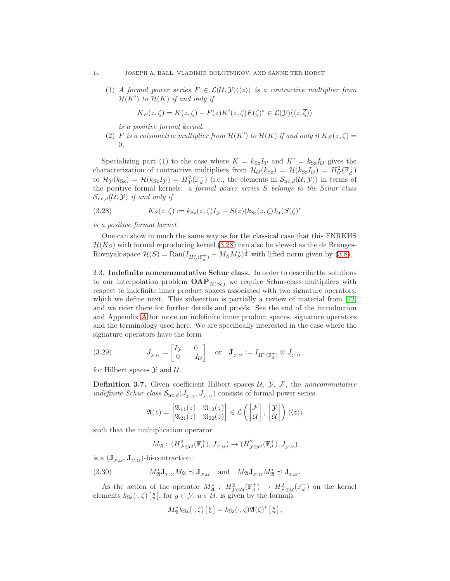(1) A formal power series  $F \in \mathcal{L}(\mathcal{U}, \mathcal{Y})\langle\langle z \rangle\rangle$  is a contractive multiplier from  $\mathcal{H}(K')$  to  $\mathcal{H}(K)$  if and only if

$$
K_F(z,\zeta) = K(z,\zeta) - F(z)K'(z,\zeta)F(\zeta)^* \in \mathcal{L}(\mathcal{Y})\langle\langle z,\overline{\zeta}\rangle\rangle
$$

is a positive formal kernel.

<span id="page-13-3"></span>(2) F is a coisometric multiplier from  $\mathcal{H}(K')$  to  $\mathcal{H}(K)$  if and only if  $K_F(z,\zeta) =$ 0.

Specializing part (1) to the case where  $K = k_{Sz}I_y$  and  $K' = k_{Sz}I_u$  gives the characterization of contractive multipliers from  $\mathcal{H}_{\mathcal{U}}(k_{\text{Sz}}) = \mathcal{H}(k_{\text{Sz}}I_{\mathcal{U}}) = H_{\mathcal{U}}^2(\mathbb{F}_d^+)$ to  $\mathcal{H}_{\mathcal{Y}}(k_{\text{Sz}}) = \mathcal{H}(k_{\text{Sz}}I_{\mathcal{Y}}) = H_{\mathcal{Y}}^2(\mathbb{F}_d^+)$  (i.e., the elements in  $\mathcal{S}_{\text{nc},d}(\mathcal{U},\mathcal{Y})$ ) in terms of the positive formal kernels: a formal power series S belongs to the Schur class  $S_{nc,d}(\mathcal{U}, \mathcal{Y})$  if and only if

<span id="page-13-0"></span>(3.28) 
$$
K_S(z,\zeta) := k_{\text{Sz}}(z,\zeta)I_{\mathcal{Y}} - S(z)(k_{\text{Sz}}(z,\zeta)I_{\mathcal{U}})S(\zeta)^*
$$

# is a positive formal kernel.

One can show in much the same way as for the classical case that this FNRKHS  $H(K_S)$  with formal reproducing kernel [\(3.28\)](#page-13-0) can also be viewed as the de Branges-Rovnyak space  $\mathcal{H}(S) = \text{Ran}(I_{H^2_\mathcal{Y}(\mathbb{F}_d^+)} - M_S M^*_S)^{\frac{1}{2}}$  with lifted norm given by [\(3.8\)](#page-8-4).

3.3. Indefinite noncommutative Schur class. In order to describe the solutions to our interpolation problem  $\mathbf{OAP}_{\mathcal{H}(S_0)}$  we require Schur-class multipliers with respect to indefinite inner product spaces associated with two signature operators, which we define next. This subsection is partially a review of material from  $[12]$ and we refer there for further details and proofs. See the end of the introduction and Appendix [A](#page-38-0) for more on indefinite inner product spaces, signature operators and the terminology used here. We are specifically interested in the case where the signature operators have the form

<span id="page-13-2"></span>(3.29) 
$$
J_{\mathcal{Y},\mathcal{U}} = \begin{bmatrix} I_{\mathcal{Y}} & 0 \\ 0 & -I_{\mathcal{U}} \end{bmatrix} \text{ or } \mathbf{J}_{\mathcal{Y},\mathcal{U}} := I_{H^2(\mathbb{F}_d^+)} \otimes J_{\mathcal{Y},\mathcal{U}},
$$

for Hilbert spaces  $\mathcal Y$  and  $\mathcal U$ .

**Definition 3.7.** Given coefficient Hilbert spaces  $\mathcal{U}, \mathcal{Y}, \mathcal{F}$ , the noncommutative indefinite Schur class  $S_{\text{nc},d}(J_{y,\mu}, J_{\tau,\mu})$  consists of formal power series

$$
\mathfrak{A}(z) = \begin{bmatrix} \mathfrak{A}_{11}(z) & \mathfrak{A}_{12}(z) \\ \mathfrak{A}_{21}(z) & \mathfrak{A}_{22}(z) \end{bmatrix} \in \mathcal{L}\left(\begin{bmatrix} \mathcal{F} \\ \mathcal{U} \end{bmatrix}, \begin{bmatrix} \mathcal{Y} \\ \mathcal{U} \end{bmatrix}\right) \langle\langle z \rangle\rangle
$$

such that the multiplication operator

<span id="page-13-1"></span>
$$
M_{\mathfrak{A}}:\,(H^2_{\mathcal{F}\oplus\mathcal{U}}(\mathbb{F}_d^+),J_{\mathcal{F},\mathcal{U}})\rightarrow(H^2_{\mathcal{Y}\oplus\mathcal{U}}(\mathbb{F}_d^+),J_{\mathcal{Y},\mathcal{U}})
$$

is a  $(\mathbf{J}_{\mathcal{F},\mathcal{U}}, \mathbf{J}_{\mathcal{Y},\mathcal{U}})$ -bi-contraction:

(3.30) 
$$
M_{\mathfrak{A}}^* \mathbf{J}_{\mathfrak{I},\mathcal{U}} M_{\mathfrak{A}} \preceq \mathbf{J}_{\mathcal{F},\mathcal{U}} \quad \text{and} \quad M_{\mathfrak{A}} \mathbf{J}_{\mathcal{F},\mathcal{U}} M_{\mathfrak{A}}^* \preceq \mathbf{J}_{\mathfrak{I},\mathcal{U}}.
$$

As the action of the operator  $M^*_{\mathfrak{A}}$ :  $H^2_{\mathcal{Y} \oplus \mathcal{U}}(\mathbb{F}_d^+) \to H^2_{\mathcal{F} \oplus \mathcal{U}}(\mathbb{F}_d^+)$  on the kernel elements  $k_{S_z}(\cdot, \zeta) \left[ \frac{y}{u} \right]$ , for  $y \in \mathcal{Y}$ ,  $u \in \mathcal{U}$ , is given by the formula

$$
M_{\mathfrak{A}}^* k_{\text{Sz}}(\cdot,\zeta) \left[ \begin{smallmatrix} y \\ u \end{smallmatrix} \right] = k_{\text{Sz}}(\cdot,\zeta) \mathfrak{A}(\zeta)^* \left[ \begin{smallmatrix} y \\ u \end{smallmatrix} \right],
$$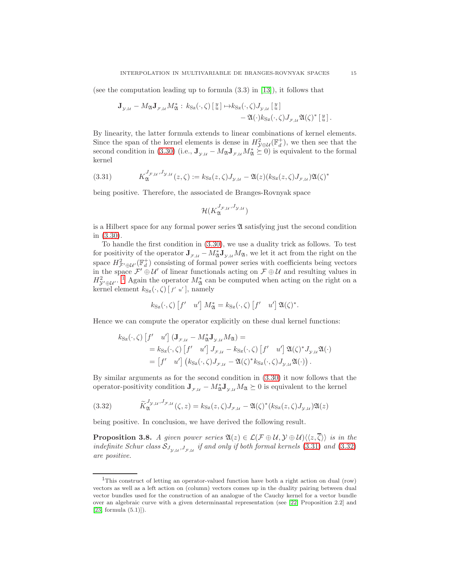(see the computation leading up to formula  $(3.3)$  in [\[13\]](#page-44-6)), it follows that

$$
\mathbf{J}_{\mathcal{Y},\mathcal{U}} - M_{\mathfrak{A}} \mathbf{J}_{\mathcal{F},\mathcal{U}} M_{\mathfrak{A}}^* : k_{\mathbf{S}z}(\cdot,\zeta) \left[ \begin{smallmatrix} y \\ u \end{smallmatrix} \right] \mapsto k_{\mathbf{S}z}(\cdot,\zeta) J_{\mathcal{Y},\mathcal{U}} \left[ \begin{smallmatrix} y \\ u \end{smallmatrix} \right] - \mathfrak{A}(\cdot) k_{\mathbf{S}z}(\cdot,\zeta) J_{\mathcal{F},\mathcal{U}} \mathfrak{A}(\zeta)^* \left[ \begin{smallmatrix} y \\ u \end{smallmatrix} \right].
$$

By linearity, the latter formula extends to linear combinations of kernel elements. Since the span of the kernel elements is dense in  $H_{\mathcal{Y} \oplus \mathcal{U}}^2(\mathbb{F}_d^+)$ , we then see that the second condition in [\(3.30\)](#page-13-1) (i.e.,  $J_{y,\mu} - M_{\mathfrak{A}} J_{\tau,\mu} M_{\mathfrak{A}}^* \succeq 0$ ) is equivalent to the formal kernel

<span id="page-14-1"></span>(3.31) 
$$
K_{\mathfrak{A}}^{J_{\mathcal{F},\mathcal{U}},J_{\mathcal{Y},\mathcal{U}}}(z,\zeta) := k_{\mathcal{S}z}(z,\zeta)J_{\mathcal{Y},\mathcal{U}} - \mathfrak{A}(z)(k_{\mathcal{S}z}(z,\zeta)J_{\mathcal{F},\mathcal{U}})\mathfrak{A}(\zeta)^{*}
$$

being positive. Therefore, the associated de Branges-Rovnyak space

$$
\mathcal{H}(K_{\mathfrak{A}}^{J_{\mathcal{F},\mathcal{U}},J_{\mathcal{Y},\mathcal{U}}})
$$

is a Hilbert space for any formal power series  $\mathfrak A$  satisfying just the second condition in [\(3.30\)](#page-13-1).

To handle the first condition in [\(3.30\)](#page-13-1), we use a duality trick as follows. To test for positivity of the operator  $J_{\mathcal{F},\mathcal{U}} - M_{\mathfrak{A}}^* J_{\mathfrak{D},\mathcal{U}} M_{\mathfrak{A}}$ , we let it act from the right on the space  $H^2_{\mathcal{F}'\oplus\mathcal{U}'}(\mathbb{F}^+_d)$  consisting of formal power series with coefficients being vectors in the space  $\mathcal{F}' \oplus \mathcal{U}'$  of linear functionals acting on  $\mathcal{F} \oplus \mathcal{U}$  and resulting values in  $H_{\mathcal{Y}'\oplus\mathcal{U}'}^2$ . <sup>[1](#page-14-0)</sup> Again the operator  $M_{\mathfrak{A}}^*$  can be computed when acting on the right on a kernel element  $k_{\text{Sz}}(\cdot, \zeta)$  [ $f'$  u'], namely

$$
k_{\text{Sz}}(\cdot, \zeta) \left[ f' \quad u' \right] M_{\mathfrak{A}}^* = k_{\text{Sz}}(\cdot, \zeta) \left[ f' \quad u' \right] \mathfrak{A}(\zeta)^*.
$$

Hence we can compute the operator explicitly on these dual kernel functions:

$$
k_{\text{Sz}}(\cdot,\zeta) \left[ f' \quad u' \right] \left( \mathbf{J}_{\mathcal{F},\mathcal{U}} - M_{\mathfrak{A}}^* \mathbf{J}_{\mathcal{Y},\mathcal{U}} M_{\mathfrak{A}} \right) =
$$
  
\n
$$
= k_{\text{Sz}}(\cdot,\zeta) \left[ f' \quad u' \right] J_{\mathcal{F},\mathcal{U}} - k_{\text{Sz}}(\cdot,\zeta) \left[ f' \quad u' \right] \mathfrak{A}(\zeta)^* J_{\mathcal{Y},\mathcal{U}} \mathfrak{A}(\cdot)
$$
  
\n
$$
= \left[ f' \quad u' \right] \left( k_{\text{Sz}}(\cdot,\zeta) J_{\mathcal{F},\mathcal{U}} - \mathfrak{A}(\zeta)^* k_{\text{Sz}}(\cdot,\zeta) J_{\mathcal{Y},\mathcal{U}} \mathfrak{A}(\cdot) \right).
$$

By similar arguments as for the second condition in [\(3.30\)](#page-13-1) it now follows that the operator-positivity condition  $J_{\mathcal{F},\mathcal{U}} - M_{\mathfrak{A}}^* J_{\mathfrak{D},\mathcal{U}} M_{\mathfrak{A}} \succeq 0$  is equivalent to the kernel

<span id="page-14-2"></span>(3.32) 
$$
\widetilde{K}_{\mathfrak{A}}^{J_{\mathcal{Y},\mathcal{U}},J_{\mathcal{F},\mathcal{U}}}(\zeta,z)=k_{\mathcal{S}_{\mathbf{Z}}}(z,\zeta)J_{\mathcal{F},\mathcal{U}}-\mathfrak{A}(\zeta)^{*}(k_{\mathcal{S}_{\mathbf{Z}}}(z,\zeta)J_{\mathcal{Y},\mathcal{U}})\mathfrak{A}(z)
$$

being positive. In conclusion, we have derived the following result.

<span id="page-14-3"></span>**Proposition 3.8.** A given power series  $\mathfrak{A}(z) \in \mathcal{L}(\mathcal{F} \oplus \mathcal{U}, \mathcal{Y} \oplus \mathcal{U}) \langle \langle z, \overline{\zeta} \rangle \rangle$  is in the indefinite Schur class  $S_{J_{\mathcal{Y},\mathcal{U}},J_{\mathcal{F},\mathcal{U}}}$  if and only if both formal kernels [\(3.31\)](#page-14-1) and [\(3.32\)](#page-14-2) are positive.

<span id="page-14-0"></span><sup>1</sup>This construct of letting an operator-valued function have both a right action on dual (row) vectors as well as a left action on (column) vectors comes up in the duality pairing between dual vector bundles used for the construction of an analogue of the Cauchy kernel for a vector bundle over an algebraic curve with a given determinantal representation (see [\[22,](#page-45-4) Proposition 2.2] and  $[23,$  formula  $(5.1)]$ ).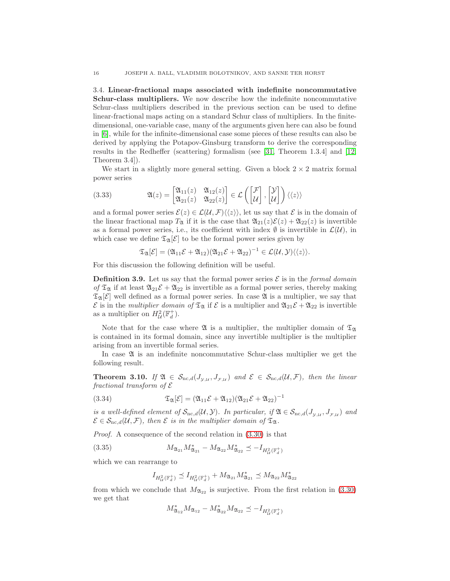<span id="page-15-5"></span>3.4. Linear-fractional maps associated with indefinite noncommutative Schur-class multipliers. We now describe how the indefinite noncommutative Schur-class multipliers described in the previous section can be used to define linear-fractional maps acting on a standard Schur class of multipliers. In the finitedimensional, one-variable case, many of the arguments given here can also be found in [\[6\]](#page-44-7), while for the infinite-dimensional case some pieces of these results can also be derived by applying the Potapov-Ginsburg transform to derive the corresponding results in the Redheffer (scattering) formalism (see [\[31,](#page-45-6) Theorem 1.3.4] and [\[12,](#page-44-2) Theorem 3.4]).

We start in a slightly more general setting. Given a block  $2 \times 2$  matrix formal power series

<span id="page-15-1"></span>(3.33) 
$$
\mathfrak{A}(z) = \begin{bmatrix} \mathfrak{A}_{11}(z) & \mathfrak{A}_{12}(z) \\ \mathfrak{A}_{21}(z) & \mathfrak{A}_{22}(z) \end{bmatrix} \in \mathcal{L}\left(\begin{bmatrix} \mathcal{F} \\ \mathcal{U} \end{bmatrix}, \begin{bmatrix} \mathcal{Y} \\ \mathcal{U} \end{bmatrix}\right) \langle\langle z \rangle\rangle
$$

and a formal power series  $\mathcal{E}(z) \in \mathcal{L}(\mathcal{U}, \mathcal{F})\langle\langle z \rangle\rangle$ , let us say that  $\mathcal E$  is in the domain of the linear fractional map  $T_{\mathfrak{A}}$  if it is the case that  $\mathfrak{A}_{21}(z)\mathcal{E}(z) + \mathfrak{A}_{22}(z)$  is invertible as a formal power series, i.e., its coefficient with index  $\emptyset$  is invertible in  $\mathcal{L}(\mathcal{U})$ , in which case we define  $\mathfrak{T}_{\mathfrak{A}}[\mathcal{E}]$  to be the formal power series given by

$$
\mathfrak{T}_{\mathfrak{A}}[\mathcal{E}] = (\mathfrak{A}_{11}\mathcal{E} + \mathfrak{A}_{12})(\mathfrak{A}_{21}\mathcal{E} + \mathfrak{A}_{22})^{-1} \in \mathcal{L}(\mathcal{U}, \mathcal{Y})\langle\langle z\rangle\rangle.
$$

For this discussion the following definition will be useful.

<span id="page-15-2"></span>**Definition 3.9.** Let us say that the formal power series  $\mathcal{E}$  is in the formal domain of  $\mathfrak{T}_{\mathfrak{A}}$  if at least  $\mathfrak{A}_{21}\mathcal{E} + \mathfrak{A}_{22}$  is invertible as a formal power series, thereby making  $\mathfrak{T}_{\mathfrak{A}}[\mathcal{E}]$  well defined as a formal power series. In case  $\mathfrak{A}$  is a multiplier, we say that  $\mathcal E$  is in the *multiplier domain of*  $\mathfrak T_{\mathfrak A}$  if  $\mathcal E$  is a multiplier and  $\mathfrak A_{21}\mathcal E+\mathfrak A_{22}$  is invertible as a multiplier on  $H^2_{\mathcal{U}}(\mathbb{F}_d^+)$ .

Note that for the case where  $\mathfrak A$  is a multiplier, the multiplier domain of  $\mathfrak T_{\mathfrak A}$ is contained in its formal domain, since any invertible multiplier is the multiplier arising from an invertible formal series.

In case  $\mathfrak A$  is an indefinite noncommutative Schur-class multiplier we get the following result.

<span id="page-15-4"></span>**Theorem 3.10.** If  $\mathfrak{A} \in S_{\text{nc},d}(J_{\mathfrak{D},\mathcal{U}}, J_{\mathfrak{F},\mathcal{U}})$  and  $\mathcal{E} \in S_{\text{nc},d}(\mathcal{U},\mathcal{F})$ , then the linear fractional transform of  $\mathcal E$ 

<span id="page-15-3"></span>(3.34) 
$$
\mathfrak{T}_{\mathfrak{A}}[\mathcal{E}] = (\mathfrak{A}_{11}\mathcal{E} + \mathfrak{A}_{12})(\mathfrak{A}_{21}\mathcal{E} + \mathfrak{A}_{22})^{-1}
$$

is a well-defined element of  $S_{nc,d}(U, Y)$ . In particular, if  $\mathfrak{A} \in S_{nc,d}(J_{y,u}, J_{\mathcal{F},\mathcal{U}})$  and  $\mathcal{E} \in \mathcal{S}_{\text{nc},d}(\mathcal{U},\mathcal{F})$ , then  $\mathcal E$  is in the multiplier domain of  $\mathfrak{T}_{\mathfrak{A}}$ .

Proof. A consequence of the second relation in [\(3.30\)](#page-13-1) is that

(3.35) 
$$
M_{\mathfrak{A}_{21}} M_{\mathfrak{A}_{21}}^* - M_{\mathfrak{A}_{22}} M_{\mathfrak{A}_{22}}^* \preceq -I_{H^2_{\mathcal{U}}(\mathbb{F}_d^+)}
$$

which we can rearrange to

<span id="page-15-0"></span>
$$
I_{H^2_{\mathcal{U}}(\mathbb{F}^+_d)}\preceq I_{H^2_{\mathcal{U}}(\mathbb{F}^+_d)}+M_{\mathfrak{A}_{21}}M_{\mathfrak{A}_{21}}^*\preceq M_{\mathfrak{A}_{22}}M_{\mathfrak{A}_{22}}^*
$$

from which we conclude that  $M_{\mathfrak{A}_{22}}$  is surjective. From the first relation in [\(3.30\)](#page-13-1) we get that

$$
M_{\mathfrak{A}_{12}}^*M_{\mathfrak{A}_{12}}-M_{\mathfrak{A}_{22}}^*M_{\mathfrak{A}_{22}}\preceq -I_{H^2_{\mathcal{U}}(\mathbb{F}^+_d)}
$$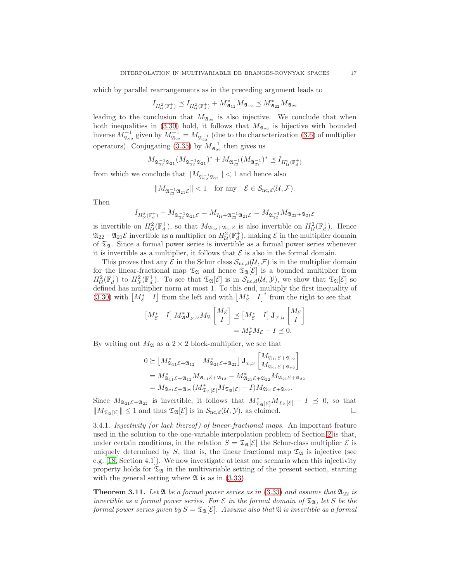which by parallel rearrangements as in the preceding argument leads to

$$
I_{H^2_{\mathcal{U}}(\mathbb{F}^+_d)}\preceq I_{H^2_{\mathcal{U}}(\mathbb{F}^+_d)}+M^*_{\mathfrak{A}_{12}}M_{\mathfrak{A}_{12}}\preceq M^*_{\mathfrak{A}_{22}}M_{\mathfrak{A}_{22}}
$$

leading to the conclusion that  $M_{\mathfrak{A}_{22}}$  is also injective. We conclude that when both inequalities in [\(3.30\)](#page-13-1) hold, it follows that  $M_{\mathfrak{A}_{22}}$  is bijective with bounded inverse  $M_{\mathfrak{A}_{22}}^{-1}$  given by  $M_{\mathfrak{A}_{22}}^{-1} = M_{\mathfrak{A}_{22}}^{-1}$  (due to the characterization [\(3.6\)](#page-8-6) of multiplier operators). Conjugating [\(3.35\)](#page-15-0) by  $M_{\mathfrak{A}_{22}}^{-1}$  then gives us

$$
M_{{\mathfrak A}_{22}^{-1} {\mathfrak A}_{21}}(M_{{\mathfrak A}_{22}^{-1} {\mathfrak A}_{21}})^* + M_{{\mathfrak A}_{22}^{-1}}(M_{{\mathfrak A}_{22}^{-1}})^* \preceq I_{H^2_{\mathcal U}({\mathbb F}^{+}_{d})}
$$

from which we conclude that  $||M_{\mathfrak{A}_{22}^{-1}\mathfrak{A}_{21}}|| < 1$  and hence also

$$
||M_{\mathfrak{A}_{22}^{-1}\mathfrak{A}_{21}\mathcal{E}}|| < 1 \quad \text{for any} \quad \mathcal{E} \in \mathcal{S}_{\mathrm{nc},d}(\mathcal{U}, \mathcal{F}).
$$

Then

$$
I_{H^2_{\mathcal{U}}(\mathbb{F}^+_q)} + M_{\mathfrak{A}_{22}^{-1}\mathfrak{A}_{21}\mathcal{E}} = M_{I_{\mathcal{U}} + \mathfrak{A}_{22}^{-1}\mathfrak{A}_{21}\mathcal{E}} = M_{\mathfrak{A}_{22}^{-1}} M_{\mathfrak{A}_{22} + \mathfrak{A}_{21}\mathcal{E}}
$$

is invertible on  $H^2_{\mathcal{U}}(\mathbb{F}^+_d)$ , so that  $M_{\mathfrak{A}_{22}+\mathfrak{A}_{21}\mathcal{E}}$  is also invertible on  $H^2_{\mathcal{U}}(\mathbb{F}^+_d)$ . Hence  $\mathfrak{A}_{22}+\mathfrak{A}_{21}\mathcal{E}$  invertible as a multiplier on  $H^2_\mathcal{U}(\mathbb{F}^+_d)$ , making  $\mathcal E$  in the multiplier domain of  $\mathfrak{T}_{\mathfrak{A}}$ . Since a formal power series is invertible as a formal power series whenever it is invertible as a multiplier, it follows that  $\mathcal E$  is also in the formal domain.

This proves that any  $\mathcal E$  in the Schur class  $\mathcal S_{\text{nc},d}(\mathcal U,\mathcal F)$  is in the multiplier domain for the linear-fractional map  $\mathfrak{T}_{\mathfrak{A}}$  and hence  $\mathfrak{T}_{\mathfrak{A}}[\mathcal{E}]$  is a bounded multiplier from  $H^2_{\mathcal{U}}(\mathbb{F}_d^+)$  to  $H^2_{\mathcal{Y}}(\mathbb{F}_d^+)$ . To see that  $\mathfrak{T}_{\mathfrak{A}}[\mathcal{E}]$  is in  $\mathcal{S}_{\text{nc},d}(\mathcal{U},\mathcal{Y})$ , we show that  $\mathfrak{T}_{\mathfrak{A}}[\mathcal{E}]$  so defined has multiplier norm at most 1. To this end, multiply the first inequality of [\(3.30\)](#page-13-1) with  $\begin{bmatrix} M_{\mathcal{E}}^* & I \end{bmatrix}$  from the left and with  $\begin{bmatrix} M_{\mathcal{E}}^* & I \end{bmatrix}^*$  from the right to see that

$$
\begin{bmatrix} M_{\mathcal{E}}^* & I \end{bmatrix} M_{\mathfrak{A}}^* \mathbf{J}_{\mathcal{Y},\mathcal{U}} M_{\mathfrak{A}} \begin{bmatrix} M_{\mathcal{E}} \\ I \end{bmatrix} \preceq \begin{bmatrix} M_{\mathcal{E}}^* & I \end{bmatrix} \mathbf{J}_{\mathcal{F},\mathcal{U}} \begin{bmatrix} M_{\mathcal{E}} \\ I \end{bmatrix}
$$

$$
= M_{\mathcal{E}}^* M_{\mathcal{E}} - I \preceq 0.
$$

By writing out  $M_{\mathfrak{A}}$  as a  $2 \times 2$  block-multiplier, we see that

$$
0 \succeq [M_{\mathfrak{A}_{11}\mathcal{E}+\mathfrak{A}_{12}}^* M_{\mathfrak{A}_{21}\mathcal{E}+\mathfrak{A}_{22}}^*] \mathbf{J}_{\mathcal{Y},\mathcal{U}} \begin{bmatrix} M_{\mathfrak{A}_{11}\mathcal{E}+\mathfrak{A}_{12}} \\ M_{\mathfrak{A}_{21}\mathcal{E}+\mathfrak{A}_{12}} \end{bmatrix}
$$
  
=  $M_{\mathfrak{A}_{11}\mathcal{E}+\mathfrak{A}_{12}}^* M_{\mathfrak{A}_{11}\mathcal{E}+\mathfrak{A}_{12}} - M_{\mathfrak{A}_{21}\mathcal{E}+\mathfrak{A}_{22}}^* M_{\mathfrak{A}_{21}\mathcal{E}+\mathfrak{A}_{22}}$   
=  $M_{\mathfrak{A}_{21}\mathcal{E}+\mathfrak{A}_{22}} (M_{\mathfrak{X}_{\mathfrak{A}}[\mathcal{E}]}^* M_{\mathfrak{X}_{\mathfrak{A}}[\mathcal{E}]} - I) M_{\mathfrak{A}_{21}\mathcal{E}+\mathfrak{A}_{22}}.$ 

Since  $M_{\mathfrak{A}_{21}\mathcal{E}+\mathfrak{A}_{22}}$  is invertible, it follows that  $M^*_{\mathfrak{A}_{\mathfrak{A}}[\mathcal{E}]}M_{\mathfrak{A}_{\mathfrak{A}}[\mathcal{E}]}-I \preceq 0$ , so that  $||M_{\mathfrak{T}_{\mathfrak{A}}[\mathcal{E}]}|| \leq 1$  and thus  $\mathfrak{T}_{\mathfrak{A}}[\mathcal{E}]$  is in  $\mathcal{S}_{\text{nc},d}(\mathcal{U}, \mathcal{Y})$ , as claimed.

3.4.1. Injectivity (or lack thereof) of linear-fractional maps. An important feature used in the solution to the one-variable interpolation problem of Section [2](#page-2-0) is that, under certain conditions, in the relation  $S = \mathfrak{T}_{\mathfrak{A}}[\mathcal{E}]$  the Schur-class multiplier  $\mathcal E$  is uniquely determined by S, that is, the linear fractional map  $\mathfrak{T}_{\mathfrak{A}}$  is injective (see e.g. [\[18,](#page-44-1) Section 4.1]). We now investigate at least one scenario when this injectivity property holds for  $\mathfrak{T}_{\mathfrak{A}}$  in the multivariable setting of the present section, starting with the general setting where  $\mathfrak A$  is as in [\(3.33\)](#page-15-1).

<span id="page-16-0"></span>**Theorem 3.11.** Let  $\mathfrak{A}$  be a formal power series as in [\(3.33\)](#page-15-1) and assume that  $\mathfrak{A}_{22}$  is invertible as a formal power series. For  $\mathcal{E}$  in the formal domain of  $\mathfrak{T}_{\mathfrak{A}}$ , let S be the formal power series given by  $S = \mathfrak{T}_{\mathfrak{A}}[\mathcal{E}]$ . Assume also that  $\mathfrak{A}$  is invertible as a formal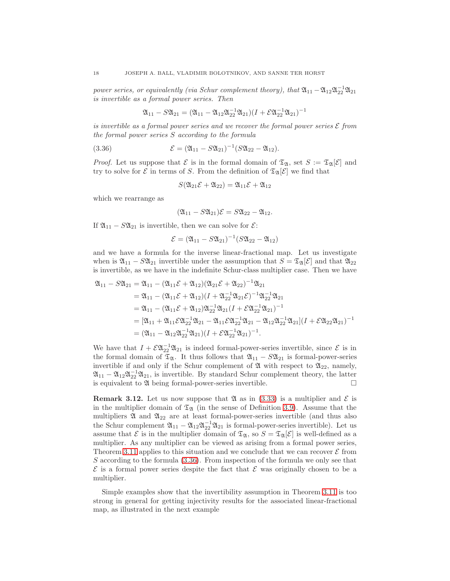power series, or equivalently (via Schur complement theory), that  $\mathfrak{A}_{11} - \mathfrak{A}_{12} \mathfrak{A}_{22}^{-1} \mathfrak{A}_{21}$ is invertible as a formal power series. Then

$$
\mathfrak{A}_{11} - S \mathfrak{A}_{21} = (\mathfrak{A}_{11} - \mathfrak{A}_{12} \mathfrak{A}_{22}^{-1} \mathfrak{A}_{21}) (I + \mathcal{E} \mathfrak{A}_{22}^{-1} \mathfrak{A}_{21})^{-1}
$$

is invertible as a formal power series and we recover the formal power series  ${\cal E}$  from the formal power series S according to the formula

(3.36) 
$$
\mathcal{E} = (\mathfrak{A}_{11} - S\mathfrak{A}_{21})^{-1} (S\mathfrak{A}_{22} - \mathfrak{A}_{12}).
$$

*Proof.* Let us suppose that  $\mathcal E$  is in the formal domain of  $\mathfrak T_{\mathfrak A}$ , set  $S := \mathfrak T_{\mathfrak A}[\mathcal E]$  and try to solve for  $\mathcal E$  in terms of S. From the definition of  $\mathfrak T_{\mathfrak A}[\mathcal E]$  we find that

<span id="page-17-0"></span>
$$
S(\mathfrak{A}_{21}\mathcal{E} + \mathfrak{A}_{22}) = \mathfrak{A}_{11}\mathcal{E} + \mathfrak{A}_{12}
$$

which we rearrange as

$$
(\mathfrak{A}_{11}-S\mathfrak{A}_{21})\mathcal{E}=S\mathfrak{A}_{22}-\mathfrak{A}_{12}.
$$

If  $\mathfrak{A}_{11} - S\mathfrak{A}_{21}$  is invertible, then we can solve for  $\mathcal{E}$ :

$$
\mathcal{E} = (\mathfrak{A}_{11} - S\mathfrak{A}_{21})^{-1}(S\mathfrak{A}_{22} - \mathfrak{A}_{12})
$$

and we have a formula for the inverse linear-fractional map. Let us investigate when is  $\mathfrak{A}_{11}$  –  $S\mathfrak{A}_{21}$  invertible under the assumption that  $S = \mathfrak{T}_{\mathfrak{A}}[\mathcal{E}]$  and that  $\mathfrak{A}_{22}$ is invertible, as we have in the indefinite Schur-class multiplier case. Then we have

$$
\begin{aligned}\n\mathfrak{A}_{11} - S\mathfrak{A}_{21} &= \mathfrak{A}_{11} - (\mathfrak{A}_{11}\mathcal{E} + \mathfrak{A}_{12})(\mathfrak{A}_{21}\mathcal{E} + \mathfrak{A}_{22})^{-1}\mathfrak{A}_{21} \\
&= \mathfrak{A}_{11} - (\mathfrak{A}_{11}\mathcal{E} + \mathfrak{A}_{12})(I + \mathfrak{A}_{22}^{-1}\mathfrak{A}_{21}\mathcal{E})^{-1}\mathfrak{A}_{22}^{-1}\mathfrak{A}_{21} \\
&= \mathfrak{A}_{11} - (\mathfrak{A}_{11}\mathcal{E} + \mathfrak{A}_{12})\mathfrak{A}_{22}^{-1}\mathfrak{A}_{21}(I + \mathcal{E}\mathfrak{A}_{22}^{-1}\mathfrak{A}_{21})^{-1} \\
&= [\mathfrak{A}_{11} + \mathfrak{A}_{11}\mathcal{E}\mathfrak{A}_{22}^{-1}\mathfrak{A}_{21} - \mathfrak{A}_{11}\mathcal{E}\mathfrak{A}_{22}^{-1}\mathfrak{A}_{21} - \mathfrak{A}_{12}\mathfrak{A}_{22}^{-1}\mathfrak{A}_{21}](I + \mathcal{E}\mathfrak{A}_{22}\mathfrak{A}_{21})^{-1} \\
&= (\mathfrak{A}_{11} - \mathfrak{A}_{12}\mathfrak{A}_{22}^{-1}\mathfrak{A}_{21})(I + \mathcal{E}\mathfrak{A}_{22}^{-1}\mathfrak{A}_{21})^{-1}.\n\end{aligned}
$$

We have that  $I + \mathcal{E} \mathfrak{A}_{22}^{-1} \mathfrak{A}_{21}$  is indeed formal-power-series invertible, since  $\mathcal{E}$  is in the formal domain of  $\mathfrak{T}_{\mathfrak{A}}$ . It thus follows that  $\mathfrak{A}_{11} - S\mathfrak{A}_{21}$  is formal-power-series invertible if and only if the Schur complement of  $\mathfrak A$  with respect to  $\mathfrak{A}_{22}$ , namely,  $\mathfrak{A}_{11} - \mathfrak{A}_{12} \mathfrak{A}_{22}^{-1} \mathfrak{A}_{21}$ , is invertible. By standard Schur complement theory, the latter is equivalent to  $\mathfrak A$  being formal-power-series invertible.

<span id="page-17-1"></span>**Remark 3.12.** Let us now suppose that  $\mathfrak{A}$  as in [\(3.33\)](#page-15-1) is a multiplier and  $\mathcal{E}$  is in the multiplier domain of  $\mathfrak{T}_{\mathfrak{A}}$  (in the sense of Definition [3.9\)](#page-15-2). Assume that the multipliers  $\mathfrak A$  and  $\mathfrak A_{22}$  are at least formal-power-series invertible (and thus also the Schur complement  $\mathfrak{A}_{11} - \mathfrak{A}_{12}\mathfrak{A}_{22}^{-1}\mathfrak{A}_{21}$  is formal-power-series invertible). Let us assume that  $\mathcal E$  is in the multiplier domain of  $\mathfrak T_{\mathfrak A}$ , so  $S = \mathfrak T_{\mathfrak A}[\mathcal E]$  is well-defined as a multiplier. As any multiplier can be viewed as arising from a formal power series, Theorem [3.11](#page-16-0) applies to this situation and we conclude that we can recover  $\mathcal E$  from S according to the formula [\(3.36\)](#page-17-0). From inspection of the formula we only see that  $\mathcal E$  is a formal power series despite the fact that  $\mathcal E$  was originally chosen to be a multiplier.

Simple examples show that the invertibility assumption in Theorem [3.11](#page-16-0) is too strong in general for getting injectivity results for the associated linear-fractional map, as illustrated in the next example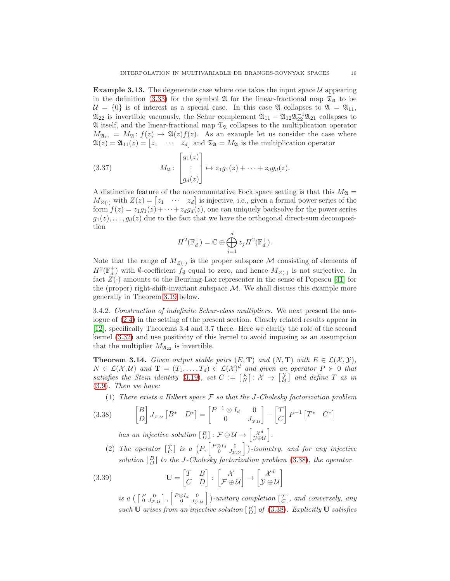<span id="page-18-3"></span>**Example 3.13.** The degenerate case where one takes the input space  $\mathcal{U}$  appearing in the definition [\(3.33\)](#page-15-1) for the symbol  $\mathfrak A$  for the linear-fractional map  $\mathfrak T_{\mathfrak A}$  to be  $\mathcal{U} = \{0\}$  is of interest as a special case. In this case  $\mathfrak{A}$  collapses to  $\mathfrak{A} = \mathfrak{A}_{11}$ ,  $\mathfrak{A}_{22}$  is invertible vacuously, the Schur complement  $\mathfrak{A}_{11} - \mathfrak{A}_{12}\mathfrak{A}_{22}^{-1}\mathfrak{A}_{21}$  collapses to  $\mathfrak A$  itself, and the linear-fractional map  $\mathfrak T_{\mathfrak A}$  collapses to the multiplication operator  $M_{\mathfrak{A}_{11}} = M_{\mathfrak{A}} : f(z) \mapsto \mathfrak{A}(z)f(z)$ . As an example let us consider the case where  $\mathfrak{A}(z) = \mathfrak{A}_{11}(z) = \begin{bmatrix} z_1 & \cdots & z_d \end{bmatrix}$  and  $\mathfrak{I}_{\mathfrak{A}} = M_{\mathfrak{A}}$  is the multiplication operator

<span id="page-18-4"></span>(3.37) 
$$
M_{\mathfrak{A}} \colon \begin{bmatrix} g_1(z) \\ \vdots \\ g_d(z) \end{bmatrix} \mapsto z_1 g_1(z) + \cdots + z_d g_d(z).
$$

A distinctive feature of the noncommutative Fock space setting is that this  $M_{\mathfrak{A}} =$  $M_{Z(\cdot)}$  with  $Z(z) = \begin{bmatrix} z_1 & \cdots & z_d \end{bmatrix}$  is injective, i.e., given a formal power series of the form  $f(z) = z_1g_1(z) + \cdots + z_dg_d(z)$ , one can uniquely backsolve for the power series  $g_1(z), \ldots, g_d(z)$  due to the fact that we have the orthogonal direct-sum decomposition

$$
H^{2}(\mathbb{F}_{d}^{+})=\mathbb{C}\oplus \bigoplus_{j=1}^{d} z_{j}H^{2}(\mathbb{F}_{d}^{+}).
$$

Note that the range of  $M_{Z(\cdot)}$  is the proper subspace M consisting of elements of  $H^2(\mathbb{F}_d^+)$  with Ø-coefficient  $f_{\emptyset}$  equal to zero, and hence  $M_{Z(\cdot)}$  is not surjective. In fact  $Z(\cdot)$  amounts to the Beurling-Lax representer in the sense of Popescu [\[41\]](#page-45-7) for the (proper) right-shift-invariant subspace  $\mathcal{M}$ . We shall discuss this example more generally in Theorem [3.19](#page-26-1) below.

3.4.2. Construction of indefinite Schur-class multipliers. We next present the analogue of [\(2.4\)](#page-4-1) in the setting of the present section. Closely related results appear in [\[12\]](#page-44-2), specifically Theorems 3.4 and 3.7 there. Here we clarify the role of the second kernel [\(3.32\)](#page-14-2) and use positivity of this kernel to avoid imposing as an assumption that the multiplier  $M_{\mathfrak{A}_{22}}$  is invertible.

<span id="page-18-2"></span>**Theorem 3.14.** Given output stable pairs  $(E, T)$  and  $(N, T)$  with  $E \in \mathcal{L}(\mathcal{X}, \mathcal{Y}),$  $N \in \mathcal{L}(\mathcal{X}, \mathcal{U})$  and  $\mathbf{T} = (T_1, \ldots, T_d) \in \mathcal{L}(\mathcal{X})^d$  and given an operator  $P \succ 0$  that satisfies the Stein identity [\(3.19\)](#page-9-3), set  $C := \begin{bmatrix} E \\ N \end{bmatrix} : \mathcal{X} \to \begin{bmatrix} \mathcal{Y} \\ \mathcal{U} \end{bmatrix}$  and define T as in [\(3.9\)](#page-8-7). Then we have:

(1) There exists a Hilbert space  $\mathcal F$  so that the J-Cholesky factorization problem

(3.38) 
$$
\begin{bmatrix} B \\ D \end{bmatrix} J_{\mathcal{F},\mathcal{U}} \begin{bmatrix} B^* & D^* \end{bmatrix} = \begin{bmatrix} P^{-1} \otimes I_d & 0 \\ 0 & J_{\mathcal{Y},\mathcal{U}} \end{bmatrix} - \begin{bmatrix} T \\ C \end{bmatrix} P^{-1} \begin{bmatrix} T^* & C^* \end{bmatrix}
$$

<span id="page-18-0"></span>has an injective solution  $\begin{bmatrix} B \end{bmatrix} : \mathcal{F} \oplus \mathcal{U} \rightarrow \begin{bmatrix} \chi^d \\ \mathcal{Y} \oplus \mathcal{U} \end{bmatrix}$ .

(2) The operator  $\begin{bmatrix} T \\ C \end{bmatrix}$  is a  $\left(P, \begin{bmatrix} P \otimes I_d & 0 \\ 0 & J_{\mathcal{Y},\mathcal{U}} \end{bmatrix} \right)$ -isometry, and for any injective solution  $\begin{bmatrix} B \\ D \end{bmatrix}$  to the J-Cholesky factorization problem [\(3.38\)](#page-18-0), the operator

(3.39) 
$$
\mathbf{U} = \begin{bmatrix} T & B \\ C & D \end{bmatrix} : \begin{bmatrix} \mathcal{X} \\ \mathcal{F} \oplus \mathcal{U} \end{bmatrix} \rightarrow \begin{bmatrix} \mathcal{X}^d \\ \mathcal{Y} \oplus \mathcal{U} \end{bmatrix}
$$

<span id="page-18-1"></span>is a  $(\begin{bmatrix} P & 0 \\ 0 & J_{\mathcal{F},\mathcal{U}} \end{bmatrix}, \begin{bmatrix} P\otimes I_d & 0 \\ 0 & J_{\mathcal{Y},\mathcal{U}} \end{bmatrix})$ -unitary completion  $[\begin{bmatrix} T \\ C \end{bmatrix}$ , and conversely, any such **U** arises from an injective solution  $\begin{bmatrix} B \\ D \end{bmatrix}$  of [\(3.38\)](#page-18-0). Explicitly **U** satisfies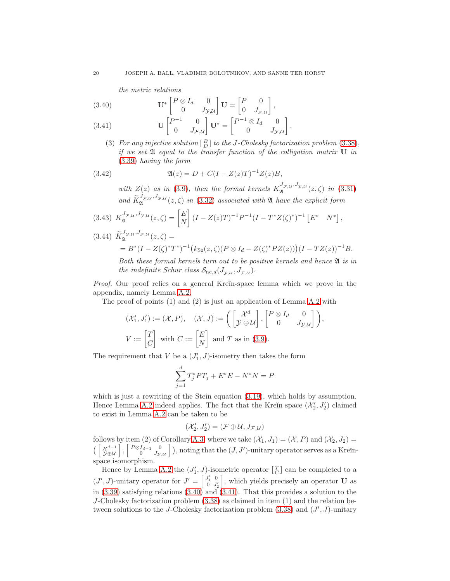the metric relations

<span id="page-19-0"></span>(3.40) 
$$
\mathbf{U}^* \begin{bmatrix} P \otimes I_d & 0 \\ 0 & J_{\mathcal{Y}, \mathcal{U}} \end{bmatrix} \mathbf{U} = \begin{bmatrix} P & 0 \\ 0 & J_{\mathcal{F}, \mathcal{U}} \end{bmatrix},
$$

$$
(2.41) \qquad \qquad \mathbf{U} \begin{bmatrix} P^{-1} & 0 \end{bmatrix} \mathbf{U}^* = \begin{bmatrix} P^{-1} \otimes I_d & 0 \end{bmatrix}
$$

<span id="page-19-1"></span>(3.41) 
$$
\mathbf{U} \begin{bmatrix} P^{-1} & 0 \\ 0 & J_{\mathcal{F}, \mathcal{U}} \end{bmatrix} \mathbf{U}^* = \begin{bmatrix} P^{-1} \otimes I_d & 0 \\ 0 & J_{\mathcal{Y}, \mathcal{U}} \end{bmatrix}.
$$

(3) For any injective solution  $\begin{bmatrix} B \\ D \end{bmatrix}$  to the J-Cholesky factorization problem [\(3.38\)](#page-18-0), if we set  $\mathfrak A$  equal to the transfer function of the colligation matrix  $U$  in [\(3.39\)](#page-18-1) having the form

(3.42) 
$$
\mathfrak{A}(z) = D + C(I - Z(z)T)^{-1}Z(z)B,
$$

<span id="page-19-2"></span>with  $Z(z)$  as in [\(3.9\)](#page-8-7), then the formal kernels  $K_{\mathfrak{A}}^{J_{\mathcal{F},\mathcal{U}},J_{\mathcal{Y},\mathcal{U}}}(z,\zeta)$  in [\(3.31\)](#page-14-1) and  $\widetilde{K}_{\mathfrak{A}}^{J_{\mathcal{F},\mathcal{U}},J_{\mathcal{Y},\mathcal{U}}}(z,\zeta)$  in [\(3.32\)](#page-14-2) associated with  $\mathfrak A$  have the explicit form

<span id="page-19-3"></span>
$$
(3.43)\ \ K_{\mathfrak{A}}^{J_{\mathcal{F},\mathcal{U}},J_{\mathcal{Y},\mathcal{U}}}(z,\zeta) = \begin{bmatrix} E \\ N \end{bmatrix} (I - Z(z)T)^{-1} P^{-1} (I - T^* Z(\zeta)^*)^{-1} \begin{bmatrix} E^* & N^* \end{bmatrix},
$$

<span id="page-19-4"></span>
$$
(3.44) \ \widetilde{K}_{\mathfrak{A}}^{J_{\mathcal{Y},\mathcal{U}},J_{\mathcal{F},\mathcal{U}}}(z,\zeta) =
$$
  
=  $B^*(I - Z(\zeta)^*T^*)^{-1}(k_{\mathcal{S}z}(z,\zeta)(P \otimes I_d - Z(\zeta)^*PZ(z)))(I - TZ(z))^{-1}B.$ 

Both these formal kernels turn out to be positive kernels and hence  $\mathfrak A$  is in the indefinite Schur class  $S_{nc,d}(J_{y,u}, J_{\mathcal{F},u}).$ 

Proof. Our proof relies on a general Kreĭn-space lemma which we prove in the appendix, namely Lemma [A.2.](#page-39-0)

The proof of points (1) and (2) is just an application of Lemma [A.2](#page-39-0) with

$$
(\mathcal{X}'_1, J'_1) := (\mathcal{X}, P), \quad (\mathcal{X}, J) := \left( \begin{bmatrix} \mathcal{X}^d \\ \mathcal{Y} \oplus \mathcal{U} \end{bmatrix}, \begin{bmatrix} P \otimes I_d & 0 \\ 0 & J_{\mathcal{Y}, \mathcal{U}} \end{bmatrix} \right),
$$

$$
V := \begin{bmatrix} T \\ C \end{bmatrix} \text{ with } C := \begin{bmatrix} E \\ N \end{bmatrix} \text{ and } T \text{ as in (3.9)}.
$$

The requirement that  $V$  be a  $(J'_1, J)$ -isometry then takes the form

$$
\sum_{j=1}^{d} T_j^* PT_j + E^* E - N^* N = P
$$

which is just a rewriting of the Stein equation  $(3.19)$ , which holds by assumption. Hence Lemma [A.2](#page-39-0) indeed applies. The fact that the Kreĭn space  $(\mathcal{X}'_2, J'_2)$  claimed to exist in Lemma [A.2](#page-39-0) can be taken to be

$$
(\mathcal{X}_2',J_2')=(\mathcal{F}\oplus \mathcal{U},J_{\mathcal{F},\mathcal{U}})
$$

follows by item (2) of Corollary [A.3,](#page-41-0) where we take  $(\mathcal{X}_1, J_1) = (\mathcal{X}, P)$  and  $(\mathcal{X}_2, J_2) =$  $\left(\begin{bmatrix} \mathcal{X}^{d-1} \\ \mathcal{Y}\oplus\mathcal{U} \end{bmatrix}, \begin{bmatrix} P\otimes I_{d-1} & 0 \\ 0 & J_{\mathcal{Y}} \end{bmatrix} \right)$  $\begin{bmatrix} I_{d-1} & 0 \ 0 & J_{\mathcal{Y},\mathcal{U}} \end{bmatrix}$ ), noting that the  $(J,J')$ -unitary operator serves as a Kreĭnspace isomorphism.

Hence by Lemma [A.2](#page-39-0) the  $(J'_1, J)$ -isometric operator  $\begin{bmatrix} T \\ C \end{bmatrix}$  can be completed to a  $(J', J)$ -unitary operator for  $J' = \begin{bmatrix} J'_1 & 0 \\ 0 & I' \end{bmatrix}$  $0 \t J'_2$ , which yields precisely an operator  $U$  as in  $(3.39)$  satisfying relations  $(3.40)$  and  $(3.41)$ . That this provides a solution to the J-Cholesky factorization problem [\(3.38\)](#page-18-0) as claimed in item (1) and the relation between solutions to the J-Cholesky factorization problem  $(3.38)$  and  $(J', J)$ -unitary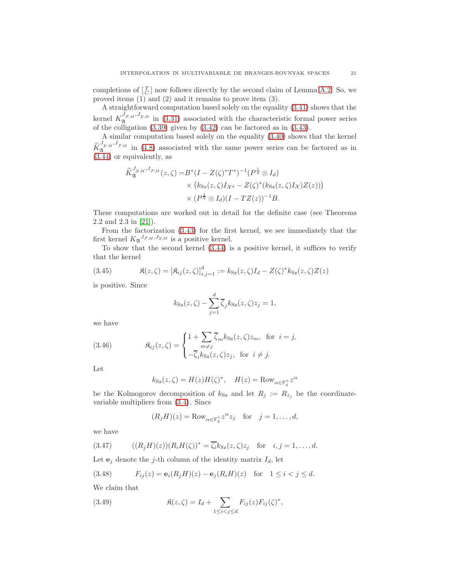completions of  $\begin{bmatrix} T \\ C \end{bmatrix}$  now follows directly by the second claim of Lemma [A.2.](#page-39-0) So, we proved items (1) and (2) and it remains to prove item (3).

A straightforward computation based solely on the equality [\(3.41\)](#page-19-1) shows that the kernel  $K_{\mathfrak{A}}^{J_{\mathcal{F},\mathcal{U}},J_{\mathcal{Y},\mathcal{U}}}$  in [\(3.31\)](#page-14-1) associated with the characteristic formal power series of the colligation  $(3.39)$  given by  $(3.42)$  can be factored as in  $(3.43)$ .

A similar computation based solely on the equality [\(3.40\)](#page-19-0) shows that the kernel  $\tilde{K}_{\mathfrak{A}}^{J_{\mathcal{Y},\mathcal{U}},J_{\mathcal{F},\mathcal{U}}}$  in [\(4.8\)](#page-30-0) associated with the same power series can be factored as in [\(3.44\)](#page-19-4) or equivalently, as

$$
\widetilde{K}_{\mathfrak{A}}^{J_{\mathcal{Y},\mathcal{U}},J_{\mathcal{F},\mathcal{U}}}(z,\zeta) = B^*(I - Z(\zeta)^*T^*)^{-1}(P^{\frac{1}{2}} \otimes I_d)
$$
\n
$$
\times (k_{\mathcal{S}z}(z,\zeta)I_{\mathcal{X}^d} - Z(\zeta)^*(k_{\mathcal{S}z}(z,\zeta)I_{\mathcal{X}})Z(z)))
$$
\n
$$
\times (P^{\frac{1}{2}} \otimes I_d)(I - TZ(z))^{-1}B.
$$

These computations are worked out in detail for the definite case (see Theorems 2.2 and 2.3 in [\[21\]](#page-45-8)).

From the factorization [\(3.43\)](#page-19-3) for the first kernel, we see immediately that the first kernel  $K_{\mathfrak{A}}^{J_{\mathcal{F},\mathcal{U}},J_{\mathcal{Y},\mathcal{U}}}$  is a positive kernel.

To show that the second kernel [\(3.44\)](#page-19-4) is a positive kernel, it suffices to verify that the kernel

(3.45) 
$$
\mathfrak{K}(z,\zeta) = [\mathfrak{K}_{ij}(z,\zeta)]_{i,j=1}^d := k_{\text{Sz}}(z,\zeta)I_d - Z(\zeta)^* k_{\text{Sz}}(z,\zeta)Z(z)
$$

is positive. Since

<span id="page-20-4"></span>
$$
k_{\text{Sz}}(z,\zeta) - \sum_{j=1}^{d} \overline{\zeta}_{j} k_{\text{Sz}}(z,\zeta) z_{j} = 1,
$$

we have

(3.46) 
$$
\mathfrak{K}_{ij}(z,\zeta) = \begin{cases} 1 + \sum_{m \neq j} \overline{\zeta}_m k_{\text{Sz}}(z,\zeta) z_m, & \text{for } i = j, \\ -\overline{\zeta}_i k_{\text{Sz}}(z,\zeta) z_j, & \text{for } i \neq j. \end{cases}
$$

Let

<span id="page-20-3"></span>
$$
k_{\text{Sz}}(z,\zeta) = H(z)H(\zeta)^*, \quad H(z) = \text{Row}_{\alpha \in \mathbb{F}_d^+} z^{\alpha}
$$

be the Kolmogorov decomposition of  $k_{Sz}$  and let  $R_j := R_{z_j}$  be the coordinatevariable multipliers from [\(3.4\)](#page-7-4). Since

<span id="page-20-1"></span>
$$
(R_j H)(z) = \text{Row}_{\alpha \in \mathbb{F}_d^+} z^{\alpha} z_j \quad \text{for} \quad j = 1, \dots, d,
$$

we have

(3.47) 
$$
((R_jH)(z))(R_iH(\zeta))^* = \overline{\zeta_i}k_{\text{Sz}}(z,\zeta)z_j \text{ for } i,j=1,\ldots,d.
$$

Let  $\mathbf{e}_j$  denote the j-th column of the identity matrix  $I_d$ , let

<span id="page-20-0"></span>(3.48) 
$$
F_{ij}(z) = \mathbf{e}_i(R_j H)(z) - \mathbf{e}_j(R_i H)(z) \text{ for } 1 \le i < j \le d.
$$

We claim that

<span id="page-20-2"></span>(3.49) 
$$
\mathfrak{K}(z,\zeta) = I_d + \sum_{1 \leq i < j \leq d} F_{ij}(z) F_{ij}(\zeta)^*,
$$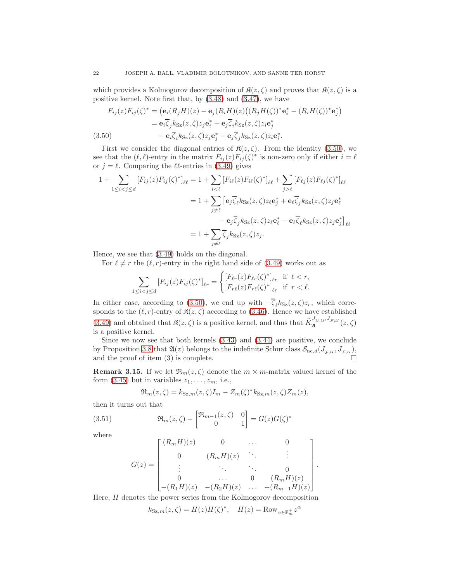which provides a Kolmogorov decomposition of  $\mathfrak{K}(z,\zeta)$  and proves that  $\mathfrak{K}(z,\zeta)$  is a positive kernel. Note first that, by [\(3.48\)](#page-20-0) and [\(3.47\)](#page-20-1), we have

$$
F_{ij}(z)F_{ij}(\zeta)^* = (\mathbf{e}_i(R_jH)(z) - \mathbf{e}_j(R_iH)(z)((R_jH(\zeta))^*\mathbf{e}_i^* - (R_iH(\zeta))^*\mathbf{e}_j^*)
$$
  
\n
$$
= \mathbf{e}_i\overline{\zeta}_j k_{\text{Sz}}(z,\zeta) z_j \mathbf{e}_i^* + \mathbf{e}_j\overline{\zeta}_i k_{\text{Sz}}(z,\zeta) z_i \mathbf{e}_j^*
$$
  
\n(3.50) 
$$
- \mathbf{e}_i\overline{\zeta}_i k_{\text{Sz}}(z,\zeta) z_j \mathbf{e}_j^* - \mathbf{e}_j\overline{\zeta}_j k_{\text{Sz}}(z,\zeta) z_i \mathbf{e}_i^*.
$$

<span id="page-21-0"></span>First we consider the diagonal entries of  $\mathfrak{K}(z,\zeta)$ . From the identity [\(3.50\)](#page-21-0), we see that the  $(\ell, \ell)$ -entry in the matrix  $F_{ij}(z)F_{ij}(\zeta)^*$  is non-zero only if either  $i = \ell$ or  $j = \ell$ . Comparing the  $\ell\ell$ -entries in [\(3.49\)](#page-20-2) gives

$$
1 + \sum_{1 \leq i < j \leq d} \left[ F_{ij}(z) F_{ij}(\zeta)^* \right]_{\ell \ell} = 1 + \sum_{i < \ell} \left[ F_{i\ell}(z) F_{i\ell}(\zeta)^* \right]_{\ell \ell} + \sum_{j > \ell} \left[ F_{\ell j}(z) F_{\ell j}(\zeta)^* \right]_{\ell \ell}
$$
\n
$$
= 1 + \sum_{j \neq \ell} \left[ \mathbf{e}_j \overline{\zeta}_{\ell} k_{\text{Sz}}(z, \zeta) z_{\ell} \mathbf{e}_j^* + \mathbf{e}_\ell \overline{\zeta}_j k_{\text{Sz}}(z, \zeta) z_j \mathbf{e}_\ell^* - \mathbf{e}_j \overline{\zeta}_j k_{\text{Sz}}(z, \zeta) z_j \mathbf{e}_j^* \right]_{\ell \ell}
$$
\n
$$
= 1 + \sum_{j \neq \ell} \overline{\zeta}_j k_{\text{Sz}}(z, \zeta) z_j.
$$

Hence, we see that [\(3.49\)](#page-20-2) holds on the diagonal.

For  $\ell \neq r$  the  $(\ell, r)$ -entry in the right hand side of [\(3.49\)](#page-20-2) works out as

$$
\sum_{1 \leq i < j \leq d} \left[ F_{ij}(z) F_{ij}(\zeta)^* \right]_{\ell r} = \begin{cases} \left[ F_{\ell r}(z) F_{\ell r}(\zeta)^* \right]_{\ell r} & \text{if } \ell < r, \\ \left[ F_{r\ell}(z) F_{r\ell}(\zeta)^* \right]_{\ell r} & \text{if } r < \ell. \end{cases}
$$

In either case, according to [\(3.50\)](#page-21-0), we end up with  $-\overline{\zeta}_{\ell}k_{S_{Z}}(z,\zeta)z_{r}$ , which corresponds to the  $(\ell, r)$ -entry of  $\mathfrak{K}(z, \zeta)$  according to [\(3.46\)](#page-20-3). Hence we have established [\(3.49\)](#page-20-2) and obtained that  $\mathfrak{K}(z,\zeta)$  is a positive kernel, and thus that  $\widetilde{K}_{\mathfrak{A}}^{J_{\mathcal{Y},\mathcal{U}},J_{\mathcal{F},\mathcal{U}}}(z,\zeta)$ is a positive kernel.

Since we now see that both kernels [\(3.43\)](#page-19-3) and [\(3.44\)](#page-19-4) are positive, we conclude by Proposition [3.8](#page-14-3) that  $\mathfrak{A}(z)$  belongs to the indefinite Schur class  $\mathcal{S}_{\text{nc},d}(J_{y,\mu}, J_{\mathcal{F},\mu}),$ and the proof of item (3) is complete.  $\Box$ 

**Remark 3.15.** If we let  $\Re_m(z, \zeta)$  denote the  $m \times m$ -matrix valued kernel of the form  $(3.45)$  but in variables  $z_1, \ldots, z_m$ , i.e.,

<span id="page-21-1"></span>
$$
\mathfrak{R}_m(z,\zeta) = k_{\text{Sz},m}(z,\zeta)I_m - Z_m(\zeta)^* k_{\text{Sz},m}(z,\zeta)Z_m(z),
$$

then it turns out that

(3.51) 
$$
\mathfrak{R}_m(z,\zeta) - \begin{bmatrix} \mathfrak{R}_{m-1}(z,\zeta) & 0\\ 0 & 1 \end{bmatrix} = G(z)G(\zeta)^*
$$

where

$$
G(z) = \begin{bmatrix} (R_m H)(z) & 0 & \dots & 0 \\ 0 & (R_m H)(z) & \ddots & \vdots \\ \vdots & \ddots & \ddots & 0 \\ 0 & \dots & 0 & (R_m H)(z) \\ -(R_1 H)(z) & -(R_2 H)(z) & \dots & -(R_{m-1} H)(z) \end{bmatrix}
$$

.

Here, H denotes the power series from the Kolmogorov decomposition

$$
k_{\text{Sz},m}(z,\zeta) = H(z)H(\zeta)^*, \quad H(z) = \text{Row}_{\alpha \in \mathbb{F}_m^+} z^{\alpha}
$$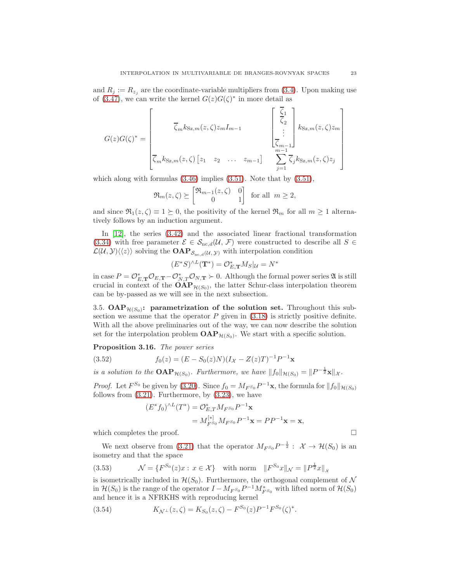and  $R_j := R_{z_j}$  are the coordinate-variable multipliers from [\(3.4\)](#page-7-4). Upon making use of [\(3.47\)](#page-20-1), we can write the kernel  $G(z)G(\zeta)^*$  in more detail as

$$
G(z)G(\zeta)^{*} = \begin{bmatrix} \overline{\zeta}_{m}k_{\text{Sz},m}(z,\zeta)z_{m}I_{m-1} & \begin{bmatrix} \overline{\zeta}_{1} \\ \overline{\zeta}_{2} \\ \vdots \\ \overline{\zeta}_{m-1} \end{bmatrix}k_{\text{Sz},m}(z,\zeta)z_{m} \\ \overline{\zeta}_{m}k_{\text{Sz},m}(z,\zeta) \begin{bmatrix} z_{1} & z_{2} & \dots & z_{m-1} \end{bmatrix} & \sum_{j=1}^{m-1} \overline{\zeta}_{j}k_{\text{Sz},m}(z,\zeta)z_{j} \end{bmatrix}
$$

which along with formulas  $(3.46)$  implies  $(3.51)$ . Note that by  $(3.51)$ ,

$$
\mathfrak{R}_m(z,\zeta) \succeq \begin{bmatrix} \mathfrak{R}_{m-1}(z,\zeta) & 0\\ 0 & 1 \end{bmatrix}
$$
 for all  $m \ge 2$ ,

and since  $\Re_1(z,\zeta) \equiv 1 \succeq 0$ , the positivity of the kernel  $\Re_m$  for all  $m \geq 1$  alternatively follows by an induction argument.

In [\[12\]](#page-44-2), the series [\(3.42\)](#page-19-2) and the associated linear fractional transformation [\(3.34\)](#page-15-3) with free parameter  $\mathcal{E} \in \mathcal{S}_{\text{nc},d}(\mathcal{U},\mathcal{F})$  were constructed to describe all  $S \in$  $\mathcal{L}(\mathcal{U}, \mathcal{Y})\langle\langle z\rangle\rangle$  solving the  $\textbf{OAP}_{\mathcal{S}_{nc,d}(\mathcal{U}, \mathcal{Y})}$  with interpolation condition

$$
(E^*S)^{\wedge L}(\mathbf{T}^*)=\mathcal{O}_{E,\mathbf{T}}^*M_S|_{\mathcal{U}}=N^*
$$

in case  $P = \mathcal{O}_{E,\mathbf{T}}^* \mathcal{O}_{E,\mathbf{T}} - \mathcal{O}_{N,T}^* \mathcal{O}_{N,\mathbf{T}} \succ 0$ . Although the formal power series  $\mathfrak{A}$  is still crucial in context of the  $\text{OAP}_{\mathcal{H}(S_0)}$ , the latter Schur-class interpolation theorem can be by-passed as we will see in the next subsection.

3.5.  $\text{OAP}_{\mathcal{H}(S_0)}$ : parametrization of the solution set. Throughout this subsection we assume that the operator  $P$  given in  $(3.18)$  is strictly positive definite. With all the above preliminaries out of the way, we can now describe the solution set for the interpolation problem  $\text{OAP}_{\mathcal{H}(S_0)}$ . We start with a specific solution.

<span id="page-22-0"></span>Proposition 3.16. The power series

(3.52) 
$$
f_0(z) = (E - S_0(z)N)(I_{\mathcal{X}} - Z(z)T)^{-1}P^{-1}\mathbf{x}
$$

is a solution to the  $\text{OAP}_{\mathcal{H}(S_0)}$ . Furthermore, we have  $||f_0||_{\mathcal{H}(S_0)} = ||P^{-\frac{1}{2}}\mathbf{x}||_{\mathcal{X}}$ .

*Proof.* Let  $F^{S_0}$  be given by [\(3.20\)](#page-10-1). Since  $f_0 = M_{F^{S_0}} P^{-1} \mathbf{x}$ , the formula for  $||f_0||_{\mathcal{H}(S_0)}$ follows from  $(3.21)$ . Furthermore, by  $(3.23)$ , we have

<span id="page-22-3"></span>
$$
(E^* f_0)^{\wedge L} (T^*) = \mathcal{O}_{E,T}^* M_{F^{S_0}} P^{-1} \mathbf{x}
$$
  
=  $M_{F^{S_0}}^{[*]} M_{F^{S_0}} P^{-1} \mathbf{x} = P P^{-1} \mathbf{x} = \mathbf{x},$ 

which completes the proof.

We next observe from [\(3.21\)](#page-10-2) that the operator  $M_{F^{S_0}}P^{-\frac{1}{2}}$ :  $\mathcal{X} \to \mathcal{H}(S_0)$  is an isometry and that the space

<span id="page-22-2"></span>(3.53) 
$$
\mathcal{N} = \{ F^{S_0}(z)x : x \in \mathcal{X} \} \text{ with norm } ||F^{S_0}x||_{\mathcal{N}} = ||P^{\frac{1}{2}}x||_{\mathcal{X}}
$$

is isometrically included in  $\mathcal{H}(S_0)$ . Furthermore, the orthogonal complement of N in  $\mathcal{H}(S_0)$  is the range of the operator  $I - M_{F^{S_0}}P^{-1}M_{F^{S_0}}^*$  with lifted norm of  $\mathcal{H}(S_0)$ and hence it is a NFRKHS with reproducing kernel

<span id="page-22-1"></span>(3.54) 
$$
K_{\mathcal{N}^{\perp}}(z,\zeta) = K_{S_0}(z,\zeta) - F^{S_0}(z)P^{-1}F^{S_0}(\zeta)^*.
$$

$$
\qquad \qquad \Box
$$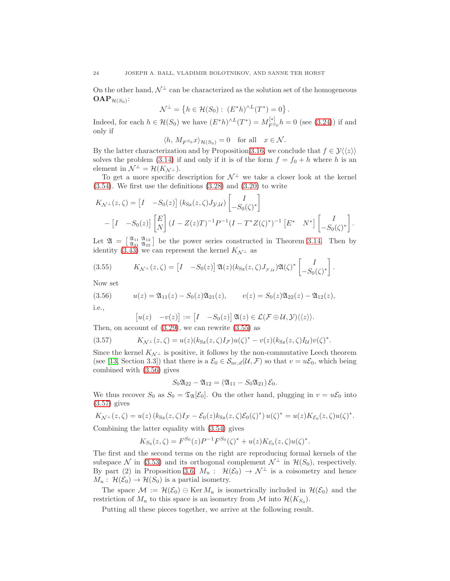On the other hand,  $\mathcal{N}^{\perp}$  can be characterized as the solution set of the homogeneous  $\mathbf{OAP}_{\mathcal{H}(S_0)}$ :

$$
\mathcal{N}^{\perp} = \{ h \in \mathcal{H}(S_0) : (E^*h)^{\wedge L}(T^*) = 0 \}.
$$

Indeed, for each  $h \in \mathcal{H}(S_0)$  we have  $(E^*h)^{\wedge L}(T^*) = M_{FS}^{[*]}$  $F_{F^{S_0}}^{[*]}h = 0$  (see [\(3.24\)](#page-10-6)) if and only if

$$
\langle h, M_{F^{S_0}}x \rangle_{\mathcal{H}(S_0)} = 0
$$
 for all  $x \in \mathcal{N}$ .

By the latter characterization and by Proposition [3.16,](#page-22-0) we conclude that  $f \in \mathcal{Y}\langle\langle z \rangle\rangle$ solves the problem [\(3.14\)](#page-9-2) if and only if it is of the form  $f = f_0 + h$  where h is an element in  $\mathcal{N}^{\perp} = \mathcal{H}(K_{\mathcal{N}^{\perp}}).$ 

To get a more specific description for  $\mathcal{N}^{\perp}$  we take a closer look at the kernel  $(3.54)$ . We first use the definitions  $(3.28)$  and  $(3.20)$  to write

$$
K_{\mathcal{N}^{\perp}}(z,\zeta) = \begin{bmatrix} I & -S_0(z) \end{bmatrix} (k_{\text{Sz}}(z,\zeta)J_{\mathcal{Y},\mathcal{U}}) \begin{bmatrix} I \\ -S_0(\zeta)^* \end{bmatrix}
$$

$$
- \begin{bmatrix} I & -S_0(z) \end{bmatrix} \begin{bmatrix} E \\ N \end{bmatrix} (I - Z(z)T)^{-1} P^{-1} (I - T^* Z(\zeta)^*)^{-1} \begin{bmatrix} E^* & N^* \end{bmatrix} \begin{bmatrix} I \\ -S_0(\zeta)^* \end{bmatrix}.
$$

Let  $\mathfrak{A} = \begin{bmatrix} \mathfrak{A}_{11} & \mathfrak{A}_{12} \\ \mathfrak{A}_{21} & \mathfrak{A}_{22} \end{bmatrix}$  be the power series constructed in Theorem [3.14.](#page-18-2) Then by identity [\(3.43\)](#page-19-3) we can represent the kernel  $K_{\mathcal{N}^{\perp}}$  as

<span id="page-23-0"></span>(3.55) 
$$
K_{\mathcal{N}^{\perp}}(z,\zeta) = \begin{bmatrix} I & -S_0(z) \end{bmatrix} \mathfrak{A}(z) (k_{\mathrm{Sz}}(z,\zeta) J_{\mathcal{F},\mathcal{U}}) \mathfrak{A}(\zeta)^* \begin{bmatrix} I \\ -S_0(\zeta)^* \end{bmatrix}.
$$

Now set

(3.56) 
$$
u(z) = \mathfrak{A}_{11}(z) - S_0(z)\mathfrak{A}_{21}(z), \qquad v(z) = S_0(z)\mathfrak{A}_{22}(z) - \mathfrak{A}_{12}(z),
$$

i.e.,

<span id="page-23-2"></span><span id="page-23-1"></span>
$$
[u(z) - v(z)] := [I - S_0(z)] \mathfrak{A}(z) \in \mathcal{L}(\mathcal{F} \oplus \mathcal{U}, \mathcal{Y}) \langle \langle z \rangle \rangle.
$$
  
count of (3.20) are seen permits (2.55) as

Then, on account of  $(3.29)$ , we can rewrite  $(3.55)$  as

$$
(3.57) \tK_{\mathcal{N}^{\perp}}(z,\zeta) = u(z)(k_{\text{Sz}}(z,\zeta)I_{\mathcal{F}})u(\zeta)^{*} - v(z)(k_{\text{Sz}}(z,\zeta)I_{\mathcal{U}})v(\zeta)^{*}.
$$

Since the kernel  $K_{\mathcal{N}^\perp}$  is positive, it follows by the non-commutative Leech theorem (see [\[13,](#page-44-6) Section 3.3]) that there is a  $\mathcal{E}_0 \in \mathcal{S}_{\text{nc},d}(\mathcal{U}, \mathcal{F})$  so that  $v = u\mathcal{E}_0$ , which being combined with [\(3.56\)](#page-23-1) gives

$$
S_0 \mathfrak{A}_{22} - \mathfrak{A}_{12} = \left( \mathfrak{A}_{11} - S_0 \mathfrak{A}_{21} \right) \mathcal{E}_0.
$$

We thus recover  $S_0$  as  $S_0 = \mathfrak{T}_{\mathfrak{A}}[\mathcal{E}_0]$ . On the other hand, plugging in  $v = u\mathcal{E}_0$  into [\(3.57\)](#page-23-2) gives

$$
K_{\mathcal{N}^{\perp}}(z,\zeta) = u(z) \left( k_{\text{Sz}}(z,\zeta) I_{\mathcal{F}} - \mathcal{E}_0(z) k_{\text{Sz}}(z,\zeta) \mathcal{E}_0(\zeta)^* \right) u(\zeta)^* = u(z) K_{\mathcal{E}_0}(z,\zeta) u(\zeta)^*.
$$

Combining the latter equality with [\(3.54\)](#page-22-1) gives

$$
K_{S_0}(z,\zeta) = F^{S_0}(z)P^{-1}F^{S_0}(\zeta)^* + u(z)K_{\mathcal{E}_0}(z,\zeta)u(\zeta)^*.
$$

The first and the second terms on the right are reproducing formal kernels of the subspace N in [\(3.53\)](#page-22-2) and its orthogonal complement  $\mathcal{N}^{\perp}$  in  $\mathcal{H}(S_0)$ , respectively. By part (2) in Proposition [3.6,](#page-13-3)  $M_u$  :  $\mathcal{H}(\mathcal{E}_0) \to \mathcal{N}^{\perp}$  is a coisometry and hence  $M_u: \mathcal{H}(\mathcal{E}_0) \to \mathcal{H}(S_0)$  is a partial isometry.

The space  $\mathcal{M} := \mathcal{H}(\mathcal{E}_0) \oplus \text{Ker } M_u$  is isometrically included in  $\mathcal{H}(\mathcal{E}_0)$  and the restriction of  $M_u$  to this space is an isometry from M into  $\mathcal{H}(K_{S_0})$ .

Putting all these pieces together, we arrive at the following result.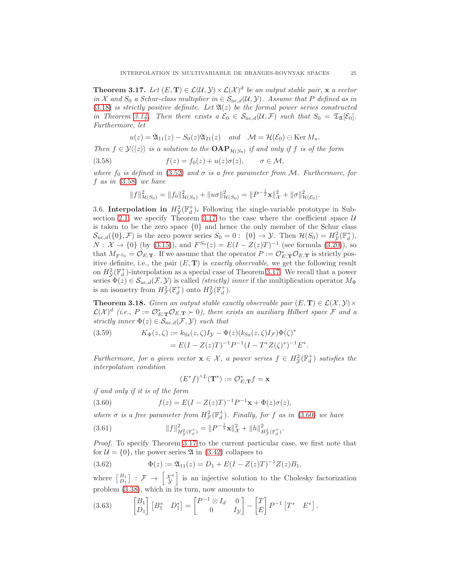<span id="page-24-1"></span>**Theorem 3.17.** Let  $(E, T) \in \mathcal{L}(\mathcal{U}, \mathcal{Y}) \times \mathcal{L}(\mathcal{X})^d$  be an output stable pair, x a vector in X and  $S_0$  a Schur-class multiplier in  $\in S_{nc,d}(\mathcal{U}, \mathcal{Y})$ . Assume that P defined as in [\(3.18\)](#page-9-0) is strictly positive definite. Let  $\mathfrak{A}(z)$  be the formal power series constructed in Theorem [3.14.](#page-18-2) Then there exists a  $\mathcal{E}_0 \in \mathcal{S}_{nc,d}(\mathcal{U}, \mathcal{F})$  such that  $S_0 = \mathfrak{T}_{\mathfrak{A}}[\mathcal{E}_0]$ . Furthermore, let

<span id="page-24-0"></span>
$$
u(z) = \mathfrak{A}_{11}(z) - S_0(z)\mathfrak{A}_{21}(z) \quad and \quad \mathcal{M} = \mathcal{H}(\mathcal{E}_0) \ominus \text{Ker } M_u.
$$

Then  $f \in \mathcal{Y}\langle\langle z \rangle\rangle$  is a solution to the  $\text{OAP}_{\mathcal{H}(S_0)}$  if and only if f is of the form

(3.58) 
$$
f(z) = f_0(z) + u(z)\sigma(z), \qquad \sigma \in \mathcal{M},
$$

where  $f_0$  is defined in [\(3.52\)](#page-22-3) and  $\sigma$  is a free parameter from M. Furthermore, for  $f$  as in  $(3.58)$  we have

$$
||f||_{\mathcal{H}(S_0)}^2 = ||f_0||_{\mathcal{H}(S_0)}^2 + ||u\sigma||_{\mathcal{H}(S_0)}^2 = ||P^{-\frac{1}{2}}\mathbf{x}||_{\mathcal{X}}^2 + ||\sigma||_{\mathcal{H}(\mathcal{E}_0)}^2.
$$

3.6. Interpolation in  $H^2_{\mathcal{Y}}(\mathbb{F}_d^+)$ . Following the single-variable prototype in Sub-section [2.1,](#page-6-0) we specify Theorem [3.17](#page-24-1) to the case where the coefficient space  $U$ is taken to be the zero space  $\{0\}$  and hence the only member of the Schur class  $\mathcal{S}_{\text{nc},d}(\{0\},\mathcal{F})$  is the zero power series  $S_0=0: \{0\} \to \mathcal{Y}$ . Then  $\mathcal{H}(S_0)=H^2_{\mathcal{Y}}(\mathbb{F}_d^+),$  $N: \mathcal{X} \to \{0\}$  (by [\(3.15\)](#page-9-4)), and  $F^{S_0}(z) = E(I - Z(z)T)^{-1}$  (see formula [\(3.20\)](#page-10-1)), so that  $M_{F^{S_0}} = \mathcal{O}_{E,\mathbf{T}}$ . If we assume that the operator  $P := \mathcal{O}_{E,\mathbf{T}}^* \mathcal{O}_{E,\mathbf{T}}$  is strictly positive definite, i.e., the pair  $(E, T)$  is exactly observable, we get the following result on  $H^2_{\mathcal{Y}}(\mathbb{F}_d^+)$ -interpolation as a special case of Theorem [3.17.](#page-24-1) We recall that a power series  $\Phi(z) \in S_{\text{nc},d}(\mathcal{F}, \mathcal{Y})$  is called *(strictly) inner* if the multiplication operator  $M_{\Phi}$ is an isometry from  $H^2_{\mathcal{F}}(\mathbb{F}^+_d)$  onto  $H^2_{\mathcal{Y}}(\mathbb{F}^+_d)$ .

<span id="page-24-7"></span>**Theorem 3.18.** Given an output stable exactly observable pair  $(E, T) \in \mathcal{L}(\mathcal{X}, \mathcal{Y}) \times$  $\mathcal{L}(\mathcal{X})^d$  (i.e.,  $P := \mathcal{O}_{E,\mathbf{T}}^* \mathcal{O}_{E,\mathbf{T}} \succ 0$ ), there exists an auxiliary Hilbert space  $\mathcal{F}$  and a strictly inner  $\Phi(z) \in \mathcal{S}_{\text{nc.}d}(\mathcal{F}, \mathcal{Y})$  such that

<span id="page-24-3"></span>(3.59) 
$$
K_{\Phi}(z,\zeta) := k_{\text{Sz}}(z,\zeta)I_{\mathcal{Y}} - \Phi(z)(k_{\text{Sz}}(z,\zeta)I_{\mathcal{F}})\Phi(\zeta)^{*} = E(I - Z(z)T)^{-1}P^{-1}(I - T^{*}Z(\zeta)^{*})^{-1}E^{*}.
$$

Furthermore, for a given vector  $\mathbf{x} \in \mathcal{X}$ , a power series  $f \in H_{\mathcal{Y}}^2(\mathbb{F}_d^+)$  satisfies the interpolation condition

<span id="page-24-6"></span><span id="page-24-2"></span>
$$
(E^*f)^{\wedge L}(\mathbf{T}^*) := \mathcal{O}_{E,\mathbf{T}}^*f = \mathbf{x}
$$

if and only if it is of the form

(3.60) 
$$
f(z) = E(I - Z(z)T)^{-1}P^{-1}\mathbf{x} + \Phi(z)\sigma(z),
$$

where  $\sigma$  is a free parameter from  $H^2_{\mathcal{F}}(\mathbb{F}^+_d)$ . Finally, for f as in [\(3.60\)](#page-24-2) we have

(3.61) 
$$
||f||_{H^2_{\mathcal{Y}}(\mathbb{F}_d^+)}^2 = ||P^{-\frac{1}{2}} \mathbf{x}||_{\mathcal{X}}^2 + ||h||_{H^2_{\mathcal{F}}(\mathbb{F}_d^+)}^2.
$$

Proof. To specify Theorem [3.17](#page-24-1) to the current particular case, we first note that for  $\mathcal{U} = \{0\}$ , the power series  $\mathfrak{A}$  in [\(3.42\)](#page-19-2) collapses to

<span id="page-24-5"></span>(3.62) 
$$
\Phi(z) := \mathfrak{A}_{11}(z) = D_1 + E(I - Z(z)T)^{-1}Z(z)B_1,
$$

where  $\begin{bmatrix} B_1 \\ D_1 \end{bmatrix} : \mathcal{F} \rightarrow \begin{bmatrix} \mathcal{X}^d \\ \mathcal{Y} \end{bmatrix}$ i is an injective solution to the Cholesky factorization problem [\(3.38\)](#page-18-0), which in its turn, now amounts to

<span id="page-24-4"></span>
$$
(3.63) \qquad \begin{bmatrix} B_1 \\ D_1 \end{bmatrix} \begin{bmatrix} B_1^* & D_1^* \end{bmatrix} = \begin{bmatrix} P^{-1} \otimes I_d & 0 \\ 0 & I_{\mathcal{Y}} \end{bmatrix} - \begin{bmatrix} T \\ E \end{bmatrix} P^{-1} \begin{bmatrix} T^* & E^* \end{bmatrix}.
$$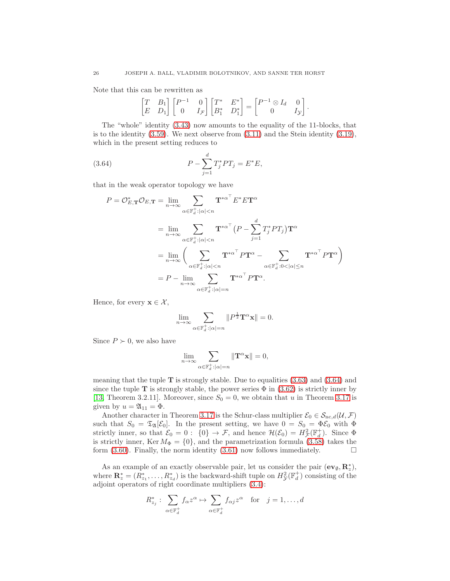Note that this can be rewritten as

<span id="page-25-0"></span>
$$
\begin{bmatrix} T & B_1 \\ E & D_1 \end{bmatrix} \begin{bmatrix} P^{-1} & 0 \\ 0 & I_{\mathcal{F}} \end{bmatrix} \begin{bmatrix} T^* & E^* \\ B_1^* & D_1^* \end{bmatrix} = \begin{bmatrix} P^{-1} \otimes I_d & 0 \\ 0 & I_{\mathcal{Y}} \end{bmatrix}.
$$

The "whole" identity [\(3.43\)](#page-19-3) now amounts to the equality of the 11-blocks, that is to the identity  $(3.59)$ . We next observe from  $(3.11)$  and the Stein identity  $(3.19)$ , which in the present setting reduces to

(3.64) 
$$
P - \sum_{j=1}^{d} T_j^* PT_j = E^* E,
$$

that in the weak operator topology we have

$$
P = \mathcal{O}_{E,\mathbf{T}}^* \mathcal{O}_{E,\mathbf{T}} = \lim_{n \to \infty} \sum_{\alpha \in \mathbb{F}_d^+ : |\alpha| < n} \mathbf{T}^{*\alpha^{\top}} E^* E \mathbf{T}^{\alpha}
$$
\n
$$
= \lim_{n \to \infty} \sum_{\alpha \in \mathbb{F}_d^+ : |\alpha| < n} \mathbf{T}^{*\alpha^{\top}} (P - \sum_{j=1}^d T_j^* P T_j) \mathbf{T}^{\alpha}
$$
\n
$$
= \lim_{n \to \infty} \left( \sum_{\alpha \in \mathbb{F}_d^+ : |\alpha| < n} \mathbf{T}^{*\alpha^{\top}} P \mathbf{T}^{\alpha} - \sum_{\alpha \in \mathbb{F}_d^+ : 0 < |\alpha| \le n} \mathbf{T}^{*\alpha^{\top}} P \mathbf{T}^{\alpha} \right)
$$
\n
$$
= P - \lim_{n \to \infty} \sum_{\alpha \in \mathbb{F}_d^+ : |\alpha| = n} \mathbf{T}^{*\alpha^{\top}} P \mathbf{T}^{\alpha}.
$$

Hence, for every  $\mathbf{x} \in \mathcal{X}$ ,

$$
\lim_{n\to\infty}\sum_{\alpha\in {\mathbb F}_d^+:\vert \alpha\vert=n}\|P^{\frac{1}{2}}\mathbf{T}^\alpha\mathbf{x}\| = 0.
$$

Since  $P \succ 0$ , we also have

$$
\lim_{n \to \infty} \sum_{\alpha \in \mathbb{F}_d^+ : |\alpha| = n} \|\mathbf{T}^\alpha \mathbf{x}\| = 0,
$$

meaning that the tuple  $\bf{T}$  is strongly stable. Due to equalities [\(3.63\)](#page-24-4) and [\(3.64\)](#page-25-0) and since the tuple **T** is strongly stable, the power series  $\Phi$  in [\(3.62\)](#page-24-5) is strictly inner by [\[13,](#page-44-6) Theorem 3.2.11]. Moreover, since  $S_0 = 0$ , we obtain that u in Theorem [3.17](#page-24-1) is given by  $u = \mathfrak{A}_{11} = \Phi$ .

Another character in Theorem [3.17](#page-24-1) is the Schur-class multiplier  $\mathcal{E}_0 \in \mathcal{S}_{\text{nc},d}(\mathcal{U},\mathcal{F})$ such that  $S_0 = \mathfrak{T}_{\mathfrak{A}}[\mathcal{E}_0]$ . In the present setting, we have  $0 = S_0 = \Phi \mathcal{E}_0$  with  $\Phi$ strictly inner, so that  $\mathcal{E}_0 = 0$ :  $\{0\} \to \mathcal{F}$ , and hence  $\mathcal{H}(\mathcal{E}_0) = H^2_{\mathcal{F}}(\mathbb{F}_d^+)$ . Since  $\Phi$ is strictly inner, Ker  $M_{\Phi} = \{0\}$ , and the parametrization formula [\(3.58\)](#page-24-0) takes the form [\(3.60\)](#page-24-2). Finally, the norm identity [\(3.61\)](#page-24-6) now follows immediately.  $\Box$ 

As an example of an exactly observable pair, let us consider the pair  $(\mathbf{ev}_\emptyset, \mathbf{R}^*_z)$ , where  $\mathbf{R}_z^* = (R_{z_1}^*, \ldots, R_{z_d}^*)$  is the backward-shift tuple on  $H_y^2(\mathbb{F}_d^+)$  consisting of the adjoint operators of right coordinate multipliers [\(3.4\)](#page-7-4):

$$
R_{z_j}^* : \sum_{\alpha \in \mathbb{F}_d^+} f_\alpha z^\alpha \mapsto \sum_{\alpha \in \mathbb{F}_d^+} f_{\alpha j} z^\alpha \quad \text{for} \quad j = 1, \dots, d
$$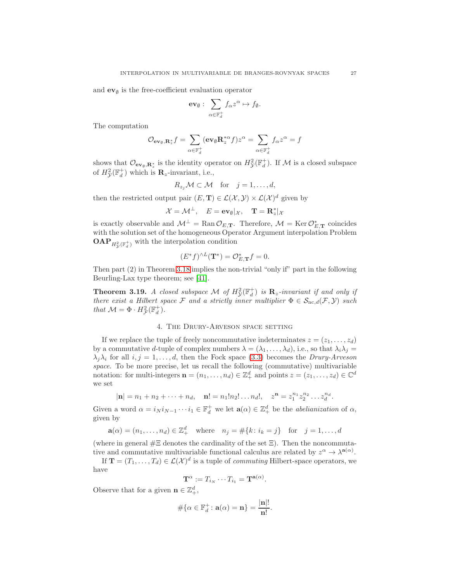and  $ev_{\emptyset}$  is the free-coefficient evaluation operator

$$
\mathbf{ev}_{\emptyset}:\ \sum_{\alpha\in\mathbb{F}_d^+}f_{\alpha}z^{\alpha}\mapsto f_{\emptyset}.
$$

The computation

$$
\mathcal{O}_{\mathbf{ev}_\emptyset,\mathbf{R}_z^*}f = \sum_{\alpha \in \mathbb{F}_d^+} (\mathbf{ev}_\emptyset \mathbf{R}_z^{*\alpha} f) z^\alpha = \sum_{\alpha \in \mathbb{F}_d^+} f_\alpha z^\alpha = f
$$

shows that  $\mathcal{O}_{ev_{\emptyset},\mathbf{R}_{z}^{*}}$  is the identity operator on  $H_{\mathcal{Y}}^{2}(\mathbb{F}_{d}^{+})$ . If M is a closed subspace of  $H_{\mathcal{Y}}^2(\mathbb{F}_d^+)$  which is  $\mathbf{R}_z$ -invariant, i.e.,

$$
R_{z_j} \mathcal{M} \subset \mathcal{M} \quad \text{for} \quad j = 1, \dots, d,
$$

then the restricted output pair  $(E, T) \in \mathcal{L}(\mathcal{X}, \mathcal{Y}) \times \mathcal{L}(\mathcal{X})^d$  given by

$$
\mathcal{X} = \mathcal{M}^{\perp}, \quad E = \mathbf{ev}_{\emptyset} |_{\mathcal{X}}, \quad \mathbf{T} = \mathbf{R}_{z}^{*} |_{\mathcal{X}}
$$

is exactly observable and  $\mathcal{M}^{\perp} = \text{Ran} \mathcal{O}_{E,\mathbf{T}}$ . Therefore,  $\mathcal{M} = \text{Ker} \mathcal{O}_{E,\mathbf{T}}^{*}$  coincides with the solution set of the homogeneous Operator Argument interpolation Problem  $\mathbf{OAP}_{H^2_{\mathcal{Y}}(\mathbb{F}_d^+)}$  with the interpolation condition

$$
(E^*f)^{\wedge L}(\mathbf{T}^*) = \mathcal{O}_{E,\mathbf{T}}^*f = 0.
$$

Then part (2) in Theorem [3.18](#page-24-7) implies the non-trivial "only if" part in the following Beurling-Lax type theorem; see [\[41\]](#page-45-7).

<span id="page-26-1"></span>**Theorem 3.19.** A closed subspace M of  $H^2_{\mathcal{Y}}(\mathbb{F}^+_d)$  is  $\mathbf{R}_z$ -invariant if and only if there exist a Hilbert space F and a strictly inner multiplier  $\Phi \in S_{\text{nc},d}(\mathcal{F},\mathcal{Y})$  such that  $\mathcal{M} = \Phi \cdot H^2_{\mathcal{F}}(\mathbb{F}_d^+)$ .

### 4. The Drury-Arveson space setting

<span id="page-26-0"></span>If we replace the tuple of freely noncommutative indeterminates  $z = (z_1, \ldots, z_d)$ by a commutative d-tuple of complex numbers  $\lambda = (\lambda_1, \dots, \lambda_d)$ , i.e., so that  $\lambda_i \lambda_j =$  $\lambda_i \lambda_i$  for all  $i, j = 1, \ldots, d$ , then the Fock space [\(3.3\)](#page-7-2) becomes the *Drury-Arveson* space. To be more precise, let us recall the following (commutative) multivariable notation: for multi-integers  $\mathbf{n} = (n_1, \ldots, n_d) \in \mathbb{Z}_+^d$  and points  $z = (z_1, \ldots, z_d) \in \mathbb{C}^d$ we set

$$
|\mathbf{n}| = n_1 + n_2 + \cdots + n_d
$$
,  $\mathbf{n}! = n_1! n_2! \ldots n_d!$ ,  $z^{\mathbf{n}} = z_1^{n_1} z_2^{n_2} \ldots z_d^{n_d}$ .

Given a word  $\alpha = i_N i_{N-1} \cdots i_1 \in \mathbb{F}_d^+$  we let  $\mathbf{a}(\alpha) \in \mathbb{Z}_+^d$  be the *abelianization* of  $\alpha$ , given by

$$
\mathbf{a}(\alpha) = (n_1, ..., n_d) \in \mathbb{Z}_+^d
$$
 where  $n_j = \#\{k : i_k = j\}$  for  $j = 1, ..., d$ 

(where in general  $# \Xi$  denotes the cardinality of the set  $\Xi$ ). Then the noncommutative and commutative multivariable functional calculus are related by  $z^{\alpha} \to \lambda^{\mathbf{a}(\alpha)}$ .

If  $\mathbf{T} = (T_1, \ldots, T_d) \in \mathcal{L}(\mathcal{X})^d$  is a tuple of *commuting* Hilbert-space operators, we have

$$
\mathbf{T}^{\alpha} := T_{i_N} \cdots T_{i_1} = \mathbf{T}^{\mathbf{a}(\alpha)}.
$$

Observe that for a given  $\mathbf{n} \in \mathbb{Z}_+^d$ ,

$$
\#\{\alpha \in \mathbb{F}_d^+ : \mathbf{a}(\alpha) = \mathbf{n}\} = \frac{|\mathbf{n}|!}{\mathbf{n}!}.
$$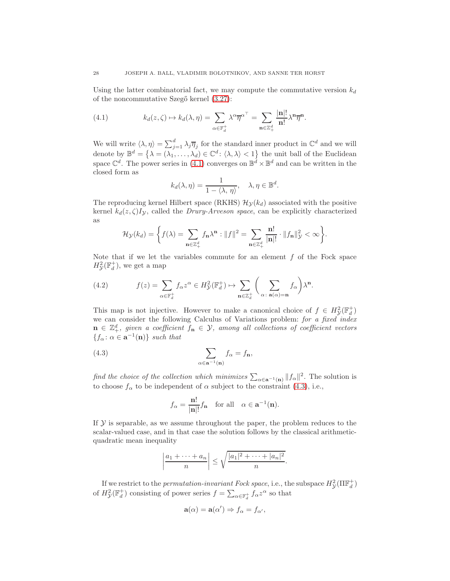Using the latter combinatorial fact, we may compute the commutative version  $k_d$ of the noncommutative Szegő kernel  $(3.27)$ :

<span id="page-27-0"></span>(4.1) 
$$
k_d(z,\zeta) \mapsto k_d(\lambda,\eta) = \sum_{\alpha \in \mathbb{F}_d^+} \lambda^{\alpha} \overline{\eta}^{\alpha^{\top}} = \sum_{\mathbf{n} \in \mathbb{Z}_+^d} \frac{|\mathbf{n}|!}{\mathbf{n}!} \lambda^{\mathbf{n}} \overline{\eta}^{\mathbf{n}}.
$$

We will write  $\langle \lambda, \eta \rangle = \sum_{j=1}^d \lambda_j \overline{\eta}_j$  for the standard inner product in  $\mathbb{C}^d$  and we will denote by  $\mathbb{B}^d = \{\lambda = (\lambda_1, \ldots, \lambda_d) \in \mathbb{C}^d \colon \langle \lambda, \lambda \rangle < 1\}$  the unit ball of the Euclidean space  $\mathbb{C}^d$ . The power series in [\(4.1\)](#page-27-0) converges on  $\mathbb{B}^d \times \mathbb{B}^d$  and can be written in the closed form as

$$
k_d(\lambda, \eta) = \frac{1}{1 - \langle \lambda, \eta \rangle}, \quad \lambda, \eta \in \mathbb{B}^d.
$$

The reproducing kernel Hilbert space (RKHS)  $\mathcal{H}_{\gamma}(k_d)$  associated with the positive kernel  $k_d(z, \zeta)I_y$ , called the *Drury-Arveson space*, can be explicitly characterized as

$$
\mathcal{H}_{\mathcal{Y}}(k_d) = \bigg\{ f(\lambda) = \sum_{\mathbf{n} \in \mathbb{Z}_+^d} f_{\mathbf{n}} \lambda^{\mathbf{n}} : ||f||^2 = \sum_{\mathbf{n} \in \mathbb{Z}_+^d} \frac{\mathbf{n}!}{|\mathbf{n}|!} \cdot ||f_{\mathbf{n}}||_{\mathcal{Y}}^2 < \infty \bigg\}.
$$

Note that if we let the variables commute for an element  $f$  of the Fock space  $H_{\mathcal{Y}}^2(\mathbb{F}_d^+)$ , we get a map

<span id="page-27-2"></span>(4.2) 
$$
f(z) = \sum_{\alpha \in \mathbb{F}_d^+} f_\alpha z^\alpha \in H^2_{\mathcal{Y}}(\mathbb{F}_d^+) \mapsto \sum_{\mathbf{n} \in \mathbb{Z}_d^+} \left( \sum_{\alpha \colon \mathbf{a}(\alpha) = \mathbf{n}} f_\alpha \right) \lambda^\mathbf{n}.
$$

This map is not injective. However to make a canonical choice of  $f \in H^2_{\mathcal{Y}}(\mathbb{F}_d^+)$ we can consider the following Calculus of Variations problem: for a fixed index  $\mathbf{n} \in \mathbb{Z}_+^d$ , given a coefficient  $f_{\mathbf{n}} \in \mathcal{Y}$ , among all collections of coefficient vectors  ${f_{\alpha}: \alpha \in \mathbf{a}^{-1}(\mathbf{n})\}$  such that

(4.3) 
$$
\sum_{\alpha \in \mathbf{a}^{-1}(\mathbf{n})} f_{\alpha} = f_{\mathbf{n}},
$$

find the choice of the collection which minimizes  $\sum_{\alpha \in \mathbf{a}^{-1}(\mathbf{n})} ||f_{\alpha}||^2$ . The solution is to choose  $f_{\alpha}$  to be independent of  $\alpha$  subject to the constraint [\(4.3\)](#page-27-1), i.e.,

<span id="page-27-1"></span>
$$
f_{\alpha} = \frac{\mathbf{n}!}{|\mathbf{n}|!} f_{\mathbf{n}} \quad \text{for all} \quad \alpha \in \mathbf{a}^{-1}(\mathbf{n}).
$$

If  $Y$  is separable, as we assume throughout the paper, the problem reduces to the scalar-valued case, and in that case the solution follows by the classical arithmeticquadratic mean inequality

$$
\left|\frac{a_1+\cdots+a_n}{n}\right| \leq \sqrt{\frac{|a_1|^2+\cdots+|a_n|^2}{n}}.
$$

If we restrict to the *permutation-invariant Fock space*, i.e., the subspace  $H^2_{\mathcal{Y}}(\Pi \mathbb{F}^+_d)$ of  $H_{\mathcal{Y}}^2(\mathbb{F}_d^+)$  consisting of power series  $f = \sum_{\alpha \in \mathbb{F}_d^+} f_\alpha z^\alpha$  so that

$$
\mathbf{a}(\alpha) = \mathbf{a}(\alpha') \Rightarrow f_{\alpha} = f_{\alpha'},
$$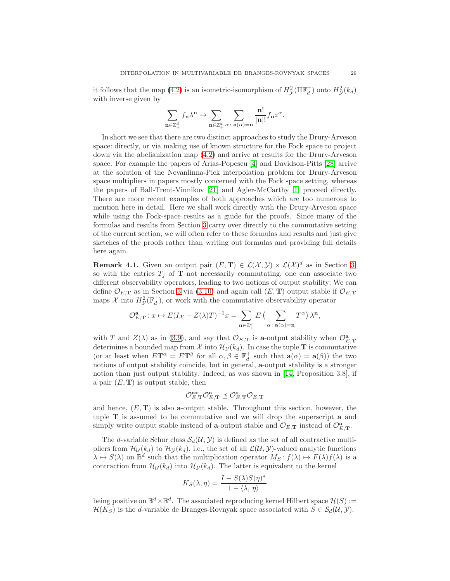it follows that the map [\(4.2\)](#page-27-2) is an isometric-isomorphism of  $H_y^2(\Pi \mathbb{F}_d^+)$  onto  $H_y^2(k_d)$ with inverse given by

$$
\sum_{\mathbf{n}\in\mathbb{Z}_+^d}f_{\mathbf{n}}\lambda^{\mathbf{n}}\mapsto\sum_{\mathbf{n}\in\mathbb{Z}_+^d}\sum_{\alpha\colon\mathbf{a}(\alpha)=\mathbf{n}}\frac{\mathbf{n}!}{|\mathbf{n}|!}f_{\mathbf{n}}z^\alpha.
$$

In short we see that there are two distinct approaches to study the Drury-Arveson space: directly, or via making use of known structure for the Fock space to project down via the abelianization map [\(4.2\)](#page-27-2) and arrive at results for the Drury-Arveson space. For example the papers of Arias-Popescu [\[4\]](#page-44-8) and Davidson-Pitts [\[28\]](#page-45-9) arrive at the solution of the Nevanlinna-Pick interpolation problem for Drury-Arveson space multipliers in papers mostly concerned with the Fock space setting, whereas the papers of Ball-Trent-Vinnikov [\[21\]](#page-45-8) and Agler-McCarthy [\[1\]](#page-44-9) proceed directly. There are more recent examples of both approaches which are too numerous to mention here in detail. Here we shall work directly with the Drury-Arveson space while using the Fock-space results as a guide for the proofs. Since many of the formulas and results from Section [3](#page-7-0) carry over directly to the commutative setting of the current section, we will often refer to these formulas and results and just give sketches of the proofs rather than writing out formulas and providing full details here again.

<span id="page-28-0"></span>**Remark 4.1.** Given an output pair  $(E, T) \in \mathcal{L}(\mathcal{X}, \mathcal{Y}) \times \mathcal{L}(\mathcal{X})^d$  as in Section [3,](#page-7-0) so with the entries  $T_j$  of  $\mathbf T$  not necessarily commutating, one can associate two different observability operators, leading to two notions of output stability: We can define  $\mathcal{O}_{E,\mathbf{T}}$  as in Section [3](#page-7-0) via [\(3.10\)](#page-8-1) and again call  $(E,\mathbf{T})$  output stable if  $\mathcal{O}_{E,\mathbf{T}}$ maps  $\mathcal X$  into  $H^2_{\mathcal Y}(\mathbb F_d^+)$ , or work with the commutative observability operator

$$
\mathcal{O}_{E,\mathbf{T}}^{\mathbf{a}}: x \mapsto E(I_{\mathcal{X}} - Z(\lambda)T)^{-1}x = \sum_{\mathbf{n} \in \mathbb{Z}_+^d} E\left(\sum_{\alpha \colon \mathbf{a}(\alpha) = \mathbf{n}} T^{\alpha}\right) \lambda^{\mathbf{n}},
$$

with T and  $Z(\lambda)$  as in [\(3.9\)](#page-8-7), and say that  $\mathcal{O}_{E,\mathbf{T}}$  is a-output stability when  $\mathcal{O}_{E,\mathbf{T}}^{\mathbf{a}}$ determines a bounded map from X into  $\mathcal{H}_{\mathcal{Y}}(k_d)$ . In case the tuple T is commutative (or at least when  $E\mathbf{T}^{\alpha} = E\mathbf{T}^{\beta}$  for all  $\alpha, \beta \in \mathbb{F}_d^+$  such that  $\mathbf{a}(\alpha) = \mathbf{a}(\beta)$ ) the two notions of output stability coincide, but in general, a-output stability is a stronger notion than just output stability. Indeed, as was shown in [\[14,](#page-44-10) Proposition 3.8], if a pair  $(E, T)$  is output stable, then

$$
\mathcal{O}_{E,\mathbf{T}}^{\mathbf{a}*}\mathcal{O}_{E,\mathbf{T}}^{\mathbf{a}}\preceq \mathcal{O}_{E,\mathbf{T}}^*\mathcal{O}_{E,\mathbf{T}}
$$

and hence,  $(E, T)$  is also **a**-output stable. Throughout this section, however, the tuple T is assumed to be commutative and we will drop the superscript a and simply write output stable instead of **a**-output stable and  $O_{E,\mathbf{T}}$  instead of  $O_{E,\mathbf{T}}^{\mathbf{a}}$ .

The d-variable Schur class  $\mathcal{S}_d(\mathcal{U}, \mathcal{Y})$  is defined as the set of all contractive multipliers from  $\mathcal{H}_{\mathcal{U}}(k_d)$  to  $\mathcal{H}_{\mathcal{Y}}(k_d)$ , i.e., the set of all  $\mathcal{L}(\mathcal{U}, \mathcal{Y})$ -valued analytic functions  $\lambda \mapsto S(\lambda)$  on  $\mathbb{B}^d$  such that the multiplication operator  $M_S: f(\lambda) \mapsto F(\lambda)f(\lambda)$  is a contraction from  $\mathcal{H}_{\mathcal{U}}(k_d)$  into  $\mathcal{H}_{\mathcal{Y}}(k_d)$ . The latter is equivalent to the kernel

$$
K_S(\lambda, \eta) = \frac{I - S(\lambda)S(\eta)^*}{1 - \langle \lambda, \eta \rangle}
$$

being positive on  $\mathbb{B}^d \times \mathbb{B}^d$ . The associated reproducing kernel Hilbert space  $\mathcal{H}(S) :=$  $\mathcal{H}(K_S)$  is the d-variable de Branges-Rovnyak space associated with  $S \in \mathcal{S}_d(\mathcal{U}, \mathcal{Y})$ .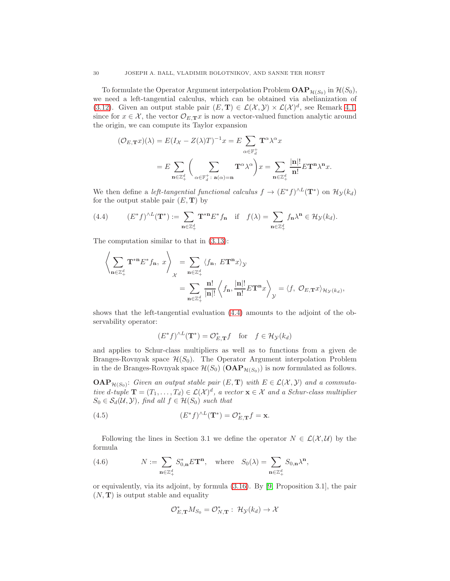To formulate the Operator Argument interpolation Problem  $\mathbf{OAP}_{\mathcal{H}(S_0)}$  in  $\mathcal{H}(S_0)$ , we need a left-tangential calculus, which can be obtained via abelianization of [\(3.12\)](#page-8-2). Given an output stable pair  $(E, T) \in \mathcal{L}(\mathcal{X}, \mathcal{Y}) \times \mathcal{L}(\mathcal{X})^d$ , see Remark [4.1,](#page-28-0) since for  $x \in \mathcal{X}$ , the vector  $\mathcal{O}_{E,\mathbf{T}} x$  is now a vector-valued function analytic around the origin, we can compute its Taylor expansion

$$
(\mathcal{O}_{E,\mathbf{T}}x)(\lambda) = E(I_{\mathcal{X}} - Z(\lambda)T)^{-1}x = E \sum_{\alpha \in \mathbb{F}_{d}^{+}} \mathbf{T}^{\alpha} \lambda^{\alpha} x
$$

$$
= E \sum_{\mathbf{n} \in \mathbb{Z}_{+}^{d}} \left(\sum_{\alpha \in \mathbb{F}_{d}^{+} : \mathbf{a}(\alpha) = \mathbf{n}} \mathbf{T}^{\alpha} \lambda^{\alpha}\right) x = \sum_{\mathbf{n} \in \mathbb{Z}_{+}^{d}} \frac{|\mathbf{n}|!}{\mathbf{n}!} E \mathbf{T}^{\mathbf{n}} \lambda^{\mathbf{n}} x.
$$

We then define a *left-tangential functional calculus*  $f \to (E^* f)^{\wedge L}(\mathbf{T}^*)$  on  $\mathcal{H}_{\mathcal{Y}}(k_d)$ for the output stable pair  $(E, T)$  by

<span id="page-29-0"></span>(4.4) 
$$
(E^*f)^{\wedge L}(\mathbf{T}^*) := \sum_{\mathbf{n}\in\mathbb{Z}_+^d} \mathbf{T}^{*\mathbf{n}} E^* f_{\mathbf{n}} \quad \text{if} \quad f(\lambda) = \sum_{\mathbf{n}\in\mathbb{Z}_+^d} f_{\mathbf{n}} \lambda^{\mathbf{n}} \in \mathcal{H}_{\mathcal{Y}}(k_d).
$$

The computation similar to that in [\(3.13\)](#page-9-5):

$$
\begin{aligned} \left\langle \sum_{\mathbf{n}\in\mathbb{Z}_+^d} \mathbf{T}^{*\mathbf{n}}E^*f_\mathbf{n}, \ x\right\rangle_{\mathcal{X}} &= \sum_{\mathbf{n}\in\mathbb{Z}_+^d} \left\langle f_\mathbf{n}, \ E\mathbf{T}^\mathbf{n}x\right\rangle_{\mathcal{Y}} \\ &= \sum_{\mathbf{n}\in\mathbb{Z}_+^d} \frac{\mathbf{n}!}{|\mathbf{n}|!} \left\langle f_\mathbf{n}, \frac{|\mathbf{n}|!}{\mathbf{n}!} E\mathbf{T}^\mathbf{n}x\right\rangle_{\mathcal{Y}} = \left\langle f, \ \mathcal{O}_{E,\mathbf{T}}x\right\rangle_{\mathcal{H}_{\mathcal{Y}}(k_d)}, \end{aligned}
$$

shows that the left-tangential evaluation [\(4.4\)](#page-29-0) amounts to the adjoint of the observability operator:

<span id="page-29-1"></span>
$$
(E^*f)^{\wedge L}(\mathbf{T}^*) = \mathcal{O}_{E,\mathbf{T}}^*f \quad \text{for} \quad f \in \mathcal{H}_{\mathcal{Y}}(k_d)
$$

and applies to Schur-class multipliers as well as to functions from a given de Branges-Rovnyak space  $\mathcal{H}(S_0)$ . The Operator Argument interpolation Problem in the de Branges-Rovnyak space  $\mathcal{H}(S_0)$  (OAP $_{\mathcal{H}(S_0)}$ ) is now formulated as follows.

 $\mathbf{OAP}_{\mathcal{H}(S_0)}$ : Given an output stable pair  $(E, \mathbf{T})$  with  $E \in \mathcal{L}(\mathcal{X}, \mathcal{Y})$  and a commutative d-tuple  $\mathbf{T} = (T_1, \ldots, T_d) \in \mathcal{L}(\mathcal{X})^d$ , a vector  $\mathbf{x} \in \mathcal{X}$  and a Schur-class multiplier  $S_0 \in \mathcal{S}_d(\mathcal{U}, \mathcal{Y})$ , find all  $f \in \mathcal{H}(S_0)$  such that

(4.5) 
$$
(E^*f)^{\wedge L}(\mathbf{T}^*) = \mathcal{O}_{E,\mathbf{T}}^*f = \mathbf{x}.
$$

Following the lines in Section 3.1 we define the operator  $N \in \mathcal{L}(\mathcal{X}, \mathcal{U})$  by the formula

<span id="page-29-2"></span>(4.6) 
$$
N := \sum_{\mathbf{n} \in \mathbb{Z}_+^d} S_{0,\mathbf{n}}^* E \mathbf{T}^{\mathbf{n}}, \text{ where } S_0(\lambda) = \sum_{\mathbf{n} \in \mathbb{Z}_+^d} S_{0,\mathbf{n}} \lambda^{\mathbf{n}},
$$

or equivalently, via its adjoint, by formula [\(3.16\)](#page-9-6). By [\[9,](#page-44-11) Proposition 3.1], the pair  $(N, T)$  is output stable and equality

$$
\mathcal{O}_{E,\mathbf{T}}^* M_{S_0} = \mathcal{O}_{N,\mathbf{T}}^* : \ \mathcal{H}_{\mathcal{Y}}(k_d) \to \mathcal{X}
$$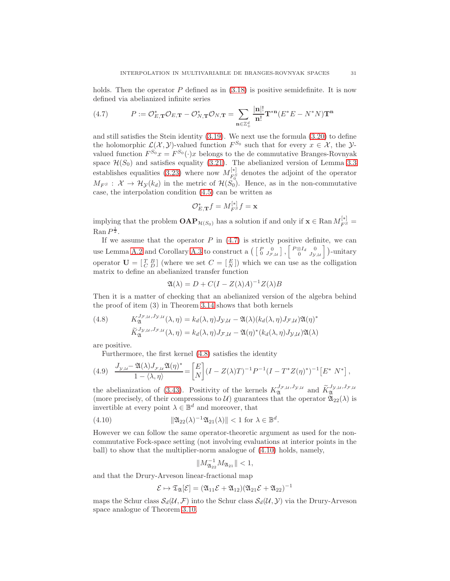holds. Then the operator  $P$  defined as in  $(3.18)$  is positive semidefinite. It is now defined via abelianized infinite series

<span id="page-30-1"></span>(4.7) 
$$
P := \mathcal{O}_{E,\mathbf{T}}^* \mathcal{O}_{E,\mathbf{T}} - \mathcal{O}_{N,\mathbf{T}}^* \mathcal{O}_{N,\mathbf{T}} = \sum_{\mathbf{n} \in \mathbb{Z}_+^d} \frac{|\mathbf{n}|!}{\mathbf{n}!} \mathbf{T}^{*\mathbf{n}} (E^* E - N^* N) \mathbf{T}^{\mathbf{n}}
$$

and still satisfies the Stein identity [\(3.19\)](#page-9-3). We next use the formula [\(3.20\)](#page-10-1) to define the holomorphic  $\mathcal{L}(\mathcal{X}, \mathcal{Y})$ -valued function  $F^{S_0}$  such that for every  $x \in \mathcal{X}$ , the  $\mathcal{Y}$ valued function  $F^{S_0}x = F^{S_0}(\cdot)x$  belongs to the de commutative Branges-Rovnyak space  $\mathcal{H}(S_0)$  and satisfies equality [\(3.21\)](#page-10-2). The abelianized version of Lemma [3.3](#page-10-7) establishes equalities [\(3.23\)](#page-10-4) where now  $M_{FS}^{[*]}$  $F_0^{\{8\}}$  denotes the adjoint of the operator  $M_{F^S}: \mathcal{X} \to \mathcal{H}_{\mathcal{Y}}(k_d)$  in the metric of  $\mathcal{H}(S_0)$ . Hence, as in the non-commutative case, the interpolation condition [\(4.5\)](#page-29-1) can be written as

$$
\mathcal{O}_{E,\mathbf{T}}^*f=M_{F^S}^{[*]}f=\mathbf{x}
$$

implying that the problem  $\mathbf{OAP}_{\mathcal{H}(S_0)}$  has a solution if and only if  $\mathbf{x} \in \mathbb{R}$ an  $M_{FS}^{[*]}$  $\operatorname{Ran} P^{\frac{1}{2}}$ .

If we assume that the operator  $P$  in  $(4.7)$  is strictly positive definite, we can use Lemma [A.2](#page-39-0) and Corollary [A.3](#page-41-0) to construct a  $\begin{pmatrix} P & 0 \\ 0 & J_{\mathcal{F},\mathcal{U}} \end{pmatrix}$ ,  $\begin{bmatrix} P\otimes I_d & 0 \\ 0 & J_{\mathcal{Y},\mathcal{U}} \end{bmatrix}$ )-unitary operator  $\mathbf{U} = \begin{bmatrix} T & B \\ C & D \end{bmatrix}$  (where we set  $C = \begin{bmatrix} E \\ N \end{bmatrix}$ ) which we can use as the colligation matrix to define an abelianized transfer function

$$
\mathfrak{A}(\lambda) = D + C(I - Z(\lambda)A)^{-1}Z(\lambda)B
$$

Then it is a matter of checking that an abelianized version of the algebra behind the proof of item (3) in Theorem [3.14](#page-18-2) shows that both kernels

<span id="page-30-0"></span>(4.8) 
$$
K_{\mathfrak{A}}^{J_{\mathcal{F},\mathcal{U}},J_{\mathcal{Y},\mathcal{U}}}(\lambda,\eta) = k_d(\lambda,\eta)J_{\mathcal{Y},\mathcal{U}} - \mathfrak{A}(\lambda)(k_d(\lambda,\eta)J_{\mathcal{F},\mathcal{U}})\mathfrak{A}(\eta)^* \widetilde{K}_{\mathfrak{A}}^{J_{\mathcal{Y},\mathcal{U}},J_{\mathcal{F},\mathcal{U}}}(\lambda,\eta) = k_d(\lambda,\eta)J_{\mathcal{F},\mathcal{U}} - \mathfrak{A}(\eta)^*(k_d(\lambda,\eta)J_{\mathcal{Y},\mathcal{U}})\mathfrak{A}(\lambda)
$$

are positive.

Furthermore, the first kernel [\(4.8\)](#page-30-0) satisfies the identity

<span id="page-30-3"></span>
$$
(4.9) \quad \frac{J_{\mathcal{Y},\mathcal{U}} - \mathfrak{A}(\lambda)J_{\mathcal{F},\mathcal{U}}\mathfrak{A}(\eta)^*}{1 - \langle \lambda, \eta \rangle} = \left[ \frac{E}{N} \right] (I - Z(\lambda)T)^{-1} P^{-1} (I - T^* Z(\eta)^*)^{-1} \left[ E^* \ N^* \right],
$$

the abelianization of [\(3.43\)](#page-19-3). Positivity of the kernels  $K_{\mathfrak{A}}^{J_{\mathcal{F},\mathcal{U}},J_{\mathcal{Y},\mathcal{U}}}$  and  $\widetilde{K}_{\mathfrak{A}}^{J_{\mathcal{Y},\mathcal{U}},J_{\mathcal{F},\mathcal{U}}}$ (more precisely, of their compressions to U) guarantees that the operator  $\mathfrak{A}_{22}(\lambda)$  is invertible at every point  $\lambda \in \mathbb{B}^d$  and moreover, that

(4.10) 
$$
\|\mathfrak{A}_{22}(\lambda)^{-1}\mathfrak{A}_{21}(\lambda)\| < 1 \text{ for } \lambda \in \mathbb{B}^d.
$$

However we can follow the same operator-theoretic argument as used for the noncommutative Fock-space setting (not involving evaluations at interior points in the ball) to show that the multiplier-norm analogue of [\(4.10\)](#page-30-2) holds, namely,

<span id="page-30-2"></span>
$$
||M_{\mathfrak{A}_{22}}^{-1}M_{\mathfrak{A}_{21}}|| < 1,
$$

and that the Drury-Arveson linear-fractional map

$$
\mathcal{E}\mapsto \mathfrak{T}_{\mathfrak{A}}[\mathcal{E}]=(\mathfrak{A}_{11}\mathcal{E}+\mathfrak{A}_{12})(\mathfrak{A}_{21}\mathcal{E}+\mathfrak{A}_{22})^{-1}
$$

maps the Schur class  $\mathcal{S}_d(\mathcal{U}, \mathcal{F})$  into the Schur class  $\mathcal{S}_d(\mathcal{U}, \mathcal{Y})$  via the Drury-Arveson space analogue of Theorem [3.10.](#page-15-4)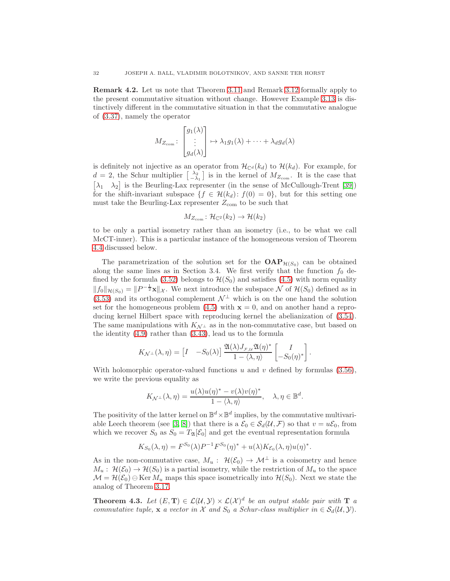Remark 4.2. Let us note that Theorem [3.11](#page-16-0) and Remark [3.12](#page-17-1) formally apply to the present commutative situation without change. However Example [3.13](#page-18-3) is distinctively different in the commutative situation in that the commutative analogue of [\(3.37\)](#page-18-4), namely the operator

$$
M_{Z_{\text{com}}} \colon \begin{bmatrix} g_1(\lambda) \\ \vdots \\ g_d(\lambda) \end{bmatrix} \mapsto \lambda_1 g_1(\lambda) + \dots + \lambda_d g_d(\lambda)
$$

is definitely not injective as an operator from  $\mathcal{H}_{\mathbb{C}^d}(k_d)$  to  $\mathcal{H}(k_d)$ . For example, for  $d=2$ , the Schur multiplier  $\begin{bmatrix} \lambda_2 \\ -\lambda_1 \end{bmatrix}$  is in the kernel of  $M_{Z_{\text{com}}}$ . It is the case that  $[\lambda_1 \quad \lambda_2]$  is the Beurling-Lax representer (in the sense of McCullough-Trent [\[39\]](#page-45-10)) for the shift-invariant subspace  $\{f \in \mathcal{H}(k_d): f(0) = 0\}$ , but for this setting one must take the Beurling-Lax representer  $Z_{com}$  to be such that

$$
M_{Z_{\text{com}}} \colon \mathcal{H}_{\mathbb{C}^2}(k_2) \to \mathcal{H}(k_2)
$$

to be only a partial isometry rather than an isometry (i.e., to be what we call McCT-inner). This is a particular instance of the homogeneous version of Theorem [4.4](#page-32-0) discussed below.

The parametrization of the solution set for the  $\text{OAP}_{\mathcal{H}(S_0)}$  can be obtained along the same lines as in Section 3.4. We first verify that the function  $f_0$  de-fined by the formula [\(3.52\)](#page-22-3) belongs to  $\mathcal{H}(S_0)$  and satisfies [\(4.5\)](#page-29-1) with norm equality  $||f_0||_{\mathcal{H}(S_0)} = ||P^{-\frac{1}{2}}\mathbf{x}||_{\mathcal{X}}$ . We next introduce the subspace N of  $\mathcal{H}(S_0)$  defined as in [\(3.53\)](#page-22-2) and its orthogonal complement  $\mathcal{N}^{\perp}$  which is on the one hand the solution set for the homogeneous problem  $(4.5)$  with  $\mathbf{x} = 0$ , and on another hand a reproducing kernel Hilbert space with reproducing kernel the abelianization of [\(3.54\)](#page-22-1). The same manipulations with  $K_{\mathcal{N}^{\perp}}$  as in the non-commutative case, but based on the identity [\(4.9\)](#page-30-3) rather than [\(3.43\)](#page-19-3), lead us to the formula

$$
K_{\mathcal{N}^{\perp}}(\lambda, \eta) = \begin{bmatrix} I & -S_0(\lambda) \end{bmatrix} \frac{\mathfrak{A}(\lambda) J_{\mathcal{F}, \mathcal{U}} \mathfrak{A}(\eta)^*}{1 - \langle \lambda, \eta \rangle} \begin{bmatrix} I \\ -S_0(\eta)^* \end{bmatrix}.
$$

With holomorphic operator-valued functions u and v defined by formulas  $(3.56)$ , we write the previous equality as

$$
K_{\mathcal{N}^{\perp}}(\lambda, \eta) = \frac{u(\lambda)u(\eta)^{*} - v(\lambda)v(\eta)^{*}}{1 - \langle \lambda, \eta \rangle}, \quad \lambda, \eta \in \mathbb{B}^{d}.
$$

The positivity of the latter kernel on  $\mathbb{B}^d \times \mathbb{B}^d$  implies, by the commutative multivari-able Leech theorem (see [\[3,](#page-44-12) [8\]](#page-44-13)) that there is a  $\mathcal{E}_0 \in \mathcal{S}_d(\mathcal{U}, \mathcal{F})$  so that  $v = u\mathcal{E}_0$ , from which we recover  $S_0$  as  $S_0 = T_{\mathfrak{A}}[\mathcal{E}_0]$  and get the eventual representation formula

$$
K_{S_0}(\lambda, \eta) = F^{S_0}(\lambda)P^{-1}F^{S_0}(\eta)^* + u(\lambda)K_{\mathcal{E}_0}(\lambda, \eta)u(\eta)^*.
$$

As in the non-commutative case,  $M_u$ :  $\mathcal{H}(\mathcal{E}_0) \to \mathcal{M}^{\perp}$  is a coisometry and hence  $M_u: \mathcal{H}(\mathcal{E}_0) \to \mathcal{H}(S_0)$  is a partial isometry, while the restriction of  $M_u$  to the space  $\mathcal{M} = \mathcal{H}(\mathcal{E}_0) \ominus \text{Ker } M_u$  maps this space isometrically into  $\mathcal{H}(S_0)$ . Next we state the analog of Theorem [3.17.](#page-24-1)

<span id="page-31-0"></span>**Theorem 4.3.** Let  $(E, T) \in \mathcal{L}(\mathcal{U}, \mathcal{Y}) \times \mathcal{L}(\mathcal{X})^d$  be an output stable pair with  $T$  a commutative tuple, x a vector in X and  $S_0$  a Schur-class multiplier in  $\in S_d(\mathcal{U}, \mathcal{Y})$ .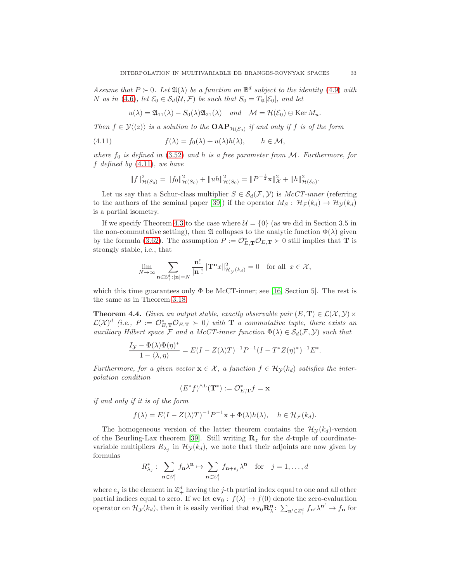Assume that  $P \succ 0$ . Let  $\mathfrak{A}(\lambda)$  be a function on  $\mathbb{B}^d$  subject to the identity [\(4.9\)](#page-30-3) with N as in [\(4.6\)](#page-29-2), let  $\mathcal{E}_0 \in \mathcal{S}_d(\mathcal{U}, \mathcal{F})$  be such that  $S_0 = T_{\mathfrak{A}}[\mathcal{E}_0]$ , and let

<span id="page-32-1"></span>
$$
u(\lambda) = \mathfrak{A}_{11}(\lambda) - S_0(\lambda)\mathfrak{A}_{21}(\lambda) \quad and \quad \mathcal{M} = \mathcal{H}(\mathcal{E}_0) \ominus \text{Ker } M_u.
$$

Then  $f \in \mathcal{Y}\langle\langle z \rangle\rangle$  is a solution to the  $\text{OAP}_{\mathcal{H}(S_0)}$  if and only if f is of the form

(4.11) 
$$
f(\lambda) = f_0(\lambda) + u(\lambda)h(\lambda), \qquad h \in \mathcal{M},
$$

where  $f_0$  is defined in [\(3.52\)](#page-22-3) and h is a free parameter from M. Furthermore, for f defined by  $(4.11)$ , we have

$$
||f||_{\mathcal{H}(S_0)}^2 = ||f_0||_{\mathcal{H}(S_0)}^2 + ||uh||_{\mathcal{H}(S_0)}^2 = ||P^{-\frac{1}{2}}\mathbf{x}||_{\mathcal{X}}^2 + ||h||_{\mathcal{H}(E_0)}^2.
$$

Let us say that a Schur-class multiplier  $S \in S_d(\mathcal{F}, \mathcal{Y})$  is  $McCT\text{-}inner$  (referring to the authors of the seminal paper [\[39\]](#page-45-10)) if the operator  $M_S$ :  $\mathcal{H}_{\mathcal{F}}(k_d) \to \mathcal{H}_{\mathcal{Y}}(k_d)$ is a partial isometry.

If we specify Theorem [4.3](#page-31-0) to the case where  $\mathcal{U} = \{0\}$  (as we did in Section 3.5 in the non-commutative setting), then  $\mathfrak A$  collapses to the analytic function  $\Phi(\lambda)$  given by the formula [\(3.62\)](#page-24-5). The assumption  $P := \mathcal{O}_{E,\mathbf{T}}^* \mathcal{O}_{E,\mathbf{T}} \succ 0$  still implies that **T** is strongly stable, i.e., that

$$
\lim_{N \to \infty} \sum_{\mathbf{n} \in \mathbb{Z}_+^d : |\mathbf{n}| = N} \frac{\mathbf{n}!}{|\mathbf{n}|!} ||\mathbf{T}^\mathbf{n} x||_{\mathcal{H}_\mathcal{Y}(k_d)}^2 = 0 \quad \text{for all } x \in \mathcal{X},
$$

which this time guarantees only  $\Phi$  be McCT-inner; see [\[16,](#page-44-14) Section 5]. The rest is the same as in Theorem [3.18.](#page-24-7)

<span id="page-32-0"></span>**Theorem 4.4.** Given an output stable, exactly observable pair  $(E, T) \in \mathcal{L}(\mathcal{X}, \mathcal{Y}) \times$  $\mathcal{L}(\mathcal{X})^d$  (i.e.,  $P := \mathcal{O}_{E,\mathbf{T}}^* \mathcal{O}_{E,\mathbf{T}} \succ 0$ ) with  $\mathbf{T}$  a commutative tuple, there exists an auxiliary Hilbert space F and a McCT-inner function  $\Phi(\lambda) \in \mathcal{S}_d(\mathcal{F}, \mathcal{Y})$  such that

$$
\frac{I_{\mathcal{Y}} - \Phi(\lambda)\Phi(\eta)^*}{1 - \langle \lambda, \eta \rangle} = E(I - Z(\lambda)T)^{-1}P^{-1}(I - T^*Z(\eta)^*)^{-1}E^*.
$$

Furthermore, for a given vector  $\mathbf{x} \in \mathcal{X}$ , a function  $f \in \mathcal{H}_{\mathcal{Y}}(k_d)$  satisfies the interpolation condition

$$
(E^*f)^{\wedge L}(\mathbf{T}^*):=\mathcal{O}_{E,\mathbf{T}}^*f=\mathbf{x}
$$

if and only if it is of the form

$$
f(\lambda) = E(I - Z(\lambda)T)^{-1}P^{-1}\mathbf{x} + \Phi(\lambda)h(\lambda), \quad h \in \mathcal{H}_{\mathcal{F}}(k_d).
$$

The homogeneous version of the latter theorem contains the  $\mathcal{H}_{\mathcal{Y}}(k_d)$ -version of the Beurling-Lax theorem [\[39\]](#page-45-10). Still writing  $\mathbf{R}_z$  for the d-tuple of coordinatevariable multipliers  $R_{\lambda_j}$  in  $\mathcal{H}_{\mathcal{Y}}(k_d)$ , we note that their adjoints are now given by formulas

$$
R_{\lambda_j}^* : \sum_{\mathbf{n} \in \mathbb{Z}_+^d} f_{\mathbf{n}} \lambda^{\mathbf{n}} \mapsto \sum_{\mathbf{n} \in \mathbb{Z}_+^d} f_{\mathbf{n} + e_j} \lambda^{\mathbf{n}} \quad \text{for} \quad j = 1, \dots, d
$$

where  $e_j$  is the element in  $\mathbb{Z}_+^d$  having the j-th partial index equal to one and all other partial indices equal to zero. If we let  $ev_0 : f(\lambda) \to f(0)$  denote the zero-evaluation operator on  $\mathcal{H}_{\mathcal{Y}}(k_d)$ , then it is easily verified that  $ev_0 \mathbf{R}_{\lambda}^{\mathbf{n}}$ :  $\sum_{\mathbf{n}' \in \mathbb{Z}_{+}^d} f_{\mathbf{n}'} \lambda^{\mathbf{n}'} \to f_{\mathbf{n}}$  for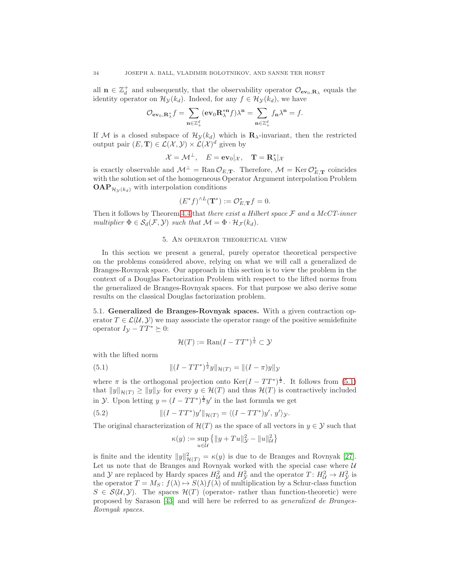all  $\mathbf{n} \in \mathbb{Z}_d^+$  and subsequently, that the observability operator  $\mathcal{O}_{ev_0,\mathbf{R}_\lambda}$  equals the identity operator on  $\mathcal{H}_{\mathcal{Y}}(k_d)$ . Indeed, for any  $f \in \mathcal{H}_{\mathcal{Y}}(k_d)$ , we have

$$
\mathcal{O}_{\mathbf{ev}_0,\mathbf{R}_{\lambda}^*}f=\sum_{\mathbf{n}\in\mathbb{Z}_{+}^d}(\mathbf{ev}_0\mathbf{R}_{\lambda}^{* \mathbf{n}}f)\lambda^{\mathbf{n}}=\sum_{\mathbf{n}\in\mathbb{Z}_{+}^d}f_{\mathbf{n}}\lambda^{\mathbf{n}}=f.
$$

If M is a closed subspace of  $\mathcal{H}_{\mathcal{Y}}(k_d)$  which is  $\mathbf{R}_{\lambda}$ -invariant, then the restricted output pair  $(E, T) \in \mathcal{L}(\mathcal{X}, \mathcal{Y}) \times \mathcal{L}(\mathcal{X})^d$  given by

$$
\mathcal{X} = \mathcal{M}^{\perp}, \quad E = \mathbf{ev}_0 |_{\mathcal{X}}, \quad \mathbf{T} = \mathbf{R}_{\lambda}^* |_{\mathcal{X}}
$$

is exactly observable and  $\mathcal{M}^{\perp} = \text{Ran} \mathcal{O}_{E,\mathbf{T}}$ . Therefore,  $\mathcal{M} = \text{Ker} \mathcal{O}_{E,\mathbf{T}}^{*}$  coincides with the solution set of the homogeneous Operator Argument interpolation Problem  $OAP_{\mathcal{H}_{\mathcal{V}}(k_d)}$  with interpolation conditions

$$
(E^*f)^{\wedge L}(\mathbf{T}^*) := \mathcal{O}_{E,\mathbf{T}}^*f = 0.
$$

<span id="page-33-0"></span>Then it follows by Theorem [4.4](#page-32-0) that there exist a Hilbert space  $\mathcal F$  and a McCT-inner multiplier  $\Phi \in \mathcal{S}_d(\mathcal{F}, \mathcal{Y})$  such that  $\mathcal{M} = \Phi \cdot \mathcal{H}_{\mathcal{F}}(k_d)$ .

#### 5. An operator theoretical view

In this section we present a general, purely operator theoretical perspective on the problems considered above, relying on what we will call a generalized de Branges-Rovnyak space. Our approach in this section is to view the problem in the context of a Douglas Factorization Problem with respect to the lifted norms from the generalized de Branges-Rovnyak spaces. For that purpose we also derive some results on the classical Douglas factorization problem.

5.1. Generalized de Branges-Rovnyak spaces. With a given contraction operator  $T \in \mathcal{L}(\mathcal{U}, \mathcal{Y})$  we may associate the operator range of the positive semidefinite operator  $I_{\mathcal{Y}} - TT^* \succeq 0$ :

<span id="page-33-1"></span>
$$
\mathcal{H}(T) := \text{Ran}(I - TT^*)^{\frac{1}{2}} \subset \mathcal{Y}
$$

with the lifted norm

(5.1) 
$$
\| (I - TT^*)^{\frac{1}{2}} y \|_{\mathcal{H}(T)} = \| (I - \pi) y \|_{\mathcal{Y}}
$$

where  $\pi$  is the orthogonal projection onto  $\text{Ker}(I - TT^*)^{\frac{1}{2}}$ . It follows from [\(5.1\)](#page-33-1) that  $||y||_{\mathcal{H}(T)} \ge ||y||_{\mathcal{Y}}$  for every  $y \in \mathcal{H}(T)$  and thus  $\mathcal{H}(T)$  is contractively included in *y*. Upon letting  $y = (I - TT^*)^{\frac{1}{2}}y'$  in the last formula we get

(5.2) 
$$
\| (I - TT^*)y' \|_{\mathcal{H}(T)} = \langle (I - TT^*)y', y' \rangle_{\mathcal{Y}}.
$$

The original characterization of  $\mathcal{H}(T)$  as the space of all vectors in  $y \in \mathcal{Y}$  such that

<span id="page-33-2"></span>
$$
\kappa(y) := \sup_{u \in \mathcal{U}} \left\{ \|y + Tu\|_{\mathcal{Y}}^2 - \|u\|_{\mathcal{U}}^2 \right\}
$$

is finite and the identity  $||y||^2_{\mathcal{H}(T)} = \kappa(y)$  is due to de Branges and Rovnyak [\[27\]](#page-45-11). Let us note that de Branges and Rovnyak worked with the special case where  $U$ and  $\mathcal Y$  are replaced by Hardy spaces  $H_U^2$  and  $H_Y^2$  and the operator  $T: H_U^2 \to H_Y^2$  is the operator  $T = M_S : f(\lambda) \mapsto S(\lambda) f(\lambda)$  of multiplication by a Schur-class function  $S \in \mathcal{S}(\mathcal{U}, \mathcal{Y})$ . The spaces  $\mathcal{H}(T)$  (operator- rather than function-theoretic) were proposed by Sarason [\[43\]](#page-45-12) and will here be referred to as generalized de Branges-Rovnyak spaces.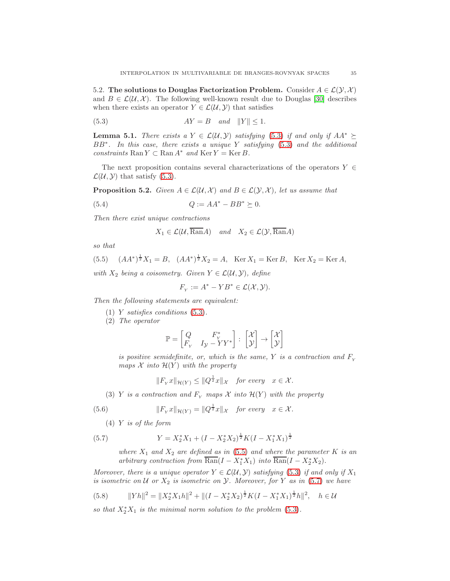5.2. The solutions to Douglas Factorization Problem. Consider  $A \in \mathcal{L}(\mathcal{Y}, \mathcal{X})$ and  $B \in \mathcal{L}(\mathcal{U}, \mathcal{X})$ . The following well-known result due to Douglas [\[30\]](#page-45-13) describes when there exists an operator  $Y \in \mathcal{L}(\mathcal{U}, \mathcal{Y})$  that satisfies

<span id="page-34-0"></span>(5.3) AY = B and kY k ≤ 1.

<span id="page-34-3"></span>**Lemma 5.1.** There exists a  $Y \in \mathcal{L}(\mathcal{U}, \mathcal{Y})$  satisfying [\(5.3\)](#page-34-0) if and only if  $AA^* \succeq$ BB<sup>\*</sup>. In this case, there exists a unique Y satisfying [\(5.3\)](#page-34-0) and the additional constraints  $\text{Ran } Y \subset \text{Ran } A^*$  and  $\text{Ker } Y = \text{Ker } B$ .

The next proposition contains several characterizations of the operators  $Y \in$  $\mathcal{L}(\mathcal{U}, \mathcal{Y})$  that satisfy [\(5.3\)](#page-34-0).

<span id="page-34-7"></span>**Proposition 5.2.** Given  $A \in \mathcal{L}(\mathcal{U}, \mathcal{X})$  and  $B \in \mathcal{L}(\mathcal{Y}, \mathcal{X})$ , let us assume that

$$
(5.4) \tQ := AA^* - BB^* \succeq 0.
$$

Then there exist unique contractions

<span id="page-34-4"></span>
$$
X_1 \in \mathcal{L}(\mathcal{U}, \overline{\text{Ran}}A) \quad and \quad X_2 \in \mathcal{L}(\mathcal{Y}, \overline{\text{Ran}}A)
$$

so that

<span id="page-34-1"></span>(5.5) 
$$
(AA^*)^{\frac{1}{2}}X_1 = B
$$
,  $(AA^*)^{\frac{1}{2}}X_2 = A$ , Ker  $X_1 = \text{Ker }B$ , Ker  $X_2 = \text{Ker }A$ ,  
with  $X$  being a eigenvector. Given  $X \in \mathcal{L}(U, \mathcal{Y})$  define.

with  $X_2$  being a coisometry. Given  $Y \in \mathcal{L}(\mathcal{U}, \mathcal{Y})$ , define

$$
F_Y := A^* - YB^* \in \mathcal{L}(\mathcal{X}, \mathcal{Y}).
$$

Then the following statements are equivalent:

- (1) Y satisfies conditions [\(5.3\)](#page-34-0).
- (2) The operator

$$
\mathbb{P} = \begin{bmatrix} Q & F_Y^* \\ F_Y & I_Y - YY^* \end{bmatrix} : \begin{bmatrix} \mathcal{X} \\ \mathcal{Y} \end{bmatrix} \rightarrow \begin{bmatrix} \mathcal{X} \\ \mathcal{Y} \end{bmatrix}
$$

is positive semidefinite, or, which is the same, Y is a contraction and  $F<sub>x</sub>$ maps  $\mathcal X$  into  $\mathcal H(Y)$  with the property

<span id="page-34-5"></span>
$$
||F_{Y}x||_{\mathcal{H}(Y)} \leq ||Q^{\frac{1}{2}}x||_{\mathcal{X}}
$$
 for every  $x \in \mathcal{X}$ .

(3) Y is a contraction and  $F_Y$  maps X into  $\mathcal{H}(Y)$  with the property

(5.6) 
$$
||F_{Y}x||_{\mathcal{H}(Y)} = ||Q^{\frac{1}{2}}x||_{\mathcal{X}} \text{ for every } x \in \mathcal{X}.
$$

(4) Y is of the form

(5.7) 
$$
Y = X_2^* X_1 + (I - X_2^* X_2)^{\frac{1}{2}} K (I - X_1^* X_1)^{\frac{1}{2}}
$$

<span id="page-34-2"></span>where  $X_1$  and  $X_2$  are defined as in [\(5.5\)](#page-34-1) and where the parameter K is an arbitrary contraction from  $\overline{\text{Ran}}(I - X_1^* X_1)$  into  $\overline{\text{Ran}}(I - X_2^* X_2)$ .

Moreover, there is a unique operator  $Y \in \mathcal{L}(\mathcal{U}, \mathcal{Y})$  satisfying [\(5.3\)](#page-34-0) if and only if  $X_1$ is isometric on  $U$  or  $X_2$  is isometric on  $Y$ . Moreover, for Y as in [\(5.7\)](#page-34-2) we have

<span id="page-34-6"></span>(5.8) 
$$
||Yh||^{2} = ||X_{2}^{*}X_{1}h||^{2} + ||(I - X_{2}^{*}X_{2})^{\frac{1}{2}}K(I - X_{1}^{*}X_{1})^{\frac{1}{2}}h||^{2}, \quad h \in \mathcal{U}
$$

so that  $X_2^*X_1$  is the minimal norm solution to the problem [\(5.3\)](#page-34-0).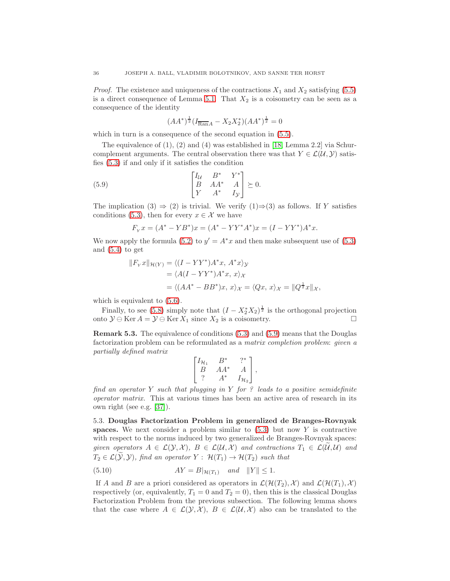*Proof.* The existence and uniqueness of the contractions  $X_1$  and  $X_2$  satisfying [\(5.5\)](#page-34-1) is a direct consequence of Lemma [5.1.](#page-34-3) That  $X_2$  is a coisometry can be seen as a consequence of the identity

<span id="page-35-0"></span>
$$
(AA^*)^{\frac{1}{2}}(I_{\overline{\text{Ran}}A} - X_2X_2^*)(AA^*)^{\frac{1}{2}} = 0
$$

which in turn is a consequence of the second equation in  $(5.5)$ .

The equivalence of (1), (2) and (4) was established in [\[18,](#page-44-1) Lemma 2.2] via Schurcomplement arguments. The central observation there was that  $Y \in \mathcal{L}(\mathcal{U}, \mathcal{Y})$  satisfies [\(5.3\)](#page-34-0) if and only if it satisfies the condition

(5.9) 
$$
\begin{bmatrix} I_{\mathcal{U}} & B^* & Y^* \\ B & AA^* & A \\ Y & A^* & I_{\mathcal{Y}} \end{bmatrix} \succeq 0.
$$

The implication (3)  $\Rightarrow$  (2) is trivial. We verify (1) $\Rightarrow$  (3) as follows. If Y satisfies conditions [\(5.3\)](#page-34-0), then for every  $x \in \mathcal{X}$  we have

$$
F_{Y}x = (A^* - YB^*)x = (A^* - YY^*A^*)x = (I - YY^*)A^*x.
$$

We now apply the formula [\(5.2\)](#page-33-2) to  $y' = A^*x$  and then make subsequent use of [\(5.3\)](#page-34-0) and [\(5.4\)](#page-34-4) to get

$$
||F_Yx||_{\mathcal{H}(Y)} = \langle (I - YY^*)A^*x, A^*x \rangle_{\mathcal{Y}}
$$
  
=  $\langle A(I - YY^*)A^*x, x \rangle_{\mathcal{X}}$   
=  $\langle (AA^* - BB^*)x, x \rangle_{\mathcal{X}} = \langle Qx, x \rangle_{\mathcal{X}} = ||Q^{\frac{1}{2}}x||_{\mathcal{X}},$ 

which is equivalent to  $(5.6)$ .

Finally, to see [\(5.8\)](#page-34-6) simply note that  $(I - X_2^* X_2)^{\frac{1}{2}}$  is the orthogonal projection onto  $\mathcal{Y} \ominus \text{Ker } A = \mathcal{Y} \ominus \text{Ker } X_1$  since  $X_2$  is a coisometry. □

Remark 5.3. The equivalence of conditions [\(5.3\)](#page-34-0) and [\(5.9\)](#page-35-0) means that the Douglas factorization problem can be reformulated as a matrix completion problem: given a partially defined matrix

$$
\begin{bmatrix} I_{\mathcal{H}_1} & B^* & ?^* \\ B & AA^* & A \\ ? & A^* & I_{\mathcal{H}_2} \end{bmatrix},
$$

find an operator Y such that plugging in Y for ? leads to a positive semidefinite operator matrix. This at various times has been an active area of research in its own right (see e.g. [\[37\]](#page-45-14)).

5.3. Douglas Factorization Problem in generalized de Branges-Rovnyak spaces. We next consider a problem similar to  $(5.3)$  but now Y is contractive with respect to the norms induced by two generalized de Branges-Rovnyak spaces: given operators  $A \in \mathcal{L}(\mathcal{Y}, \mathcal{X}), B \in \mathcal{L}(\mathcal{U}, \mathcal{X})$  and contractions  $T_1 \in \mathcal{L}(\mathcal{U}, \mathcal{U})$  and  $T_2 \in \mathcal{L}(\widetilde{\mathcal{Y}}, \mathcal{Y})$ , find an operator  $Y : \mathcal{H}(T_1) \to \mathcal{H}(T_2)$  such that

<span id="page-35-1"></span>(5.10) 
$$
AY = B|_{\mathcal{H}(T_1)} \quad and \quad ||Y|| \le 1.
$$

If A and B are a priori considered as operators in  $\mathcal{L}(\mathcal{H}(T_2), \mathcal{X})$  and  $\mathcal{L}(\mathcal{H}(T_1), \mathcal{X})$ respectively (or, equivalently,  $T_1 = 0$  and  $T_2 = 0$ ), then this is the classical Douglas Factorization Problem from the previous subsection. The following lemma shows that the case where  $A \in \mathcal{L}(\mathcal{Y}, \mathcal{X}), B \in \mathcal{L}(\mathcal{U}, \mathcal{X})$  also can be translated to the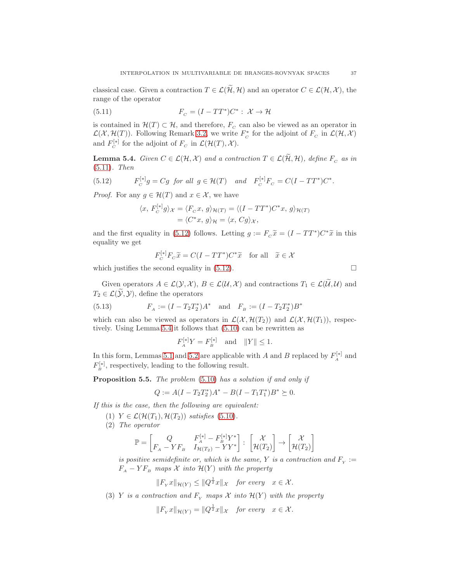classical case. Given a contraction  $T \in \mathcal{L}(\widetilde{\mathcal{H}}, \mathcal{H})$  and an operator  $C \in \mathcal{L}(\mathcal{H}, \mathcal{X})$ , the range of the operator

<span id="page-36-0"></span>(5.11) 
$$
F_C = (I - TT^*)C^* : \mathcal{X} \to \mathcal{H}
$$

is contained in  $\mathcal{H}(T) \subset \mathcal{H}$ , and therefore,  $F_c$  can also be viewed as an operator in  $\mathcal{L}(\mathcal{X}, \mathcal{H}(T))$ . Following Remark [3.2,](#page-10-8) we write  $F_c^*$  for the adjoint of  $F_c$  in  $\mathcal{L}(\mathcal{H}, \mathcal{X})$ and  $F_c^{[*]}$  for the adjoint of  $F_c$  in  $\mathcal{L}(\mathcal{H}(T), \mathcal{X})$ .

<span id="page-36-2"></span>**Lemma 5.4.** Given  $C \in \mathcal{L}(\mathcal{H}, \mathcal{X})$  and a contraction  $T \in \mathcal{L}(\widetilde{\mathcal{H}}, \mathcal{H})$ , define  $F_C$  as in [\(5.11\)](#page-36-0). Then

(5.12) 
$$
F_C^{[*]}g = Cg \text{ for all } g \in \mathcal{H}(T) \text{ and } F_C^{[*]}F_C = C(I - TT^*)C^*.
$$

*Proof.* For any  $g \in \mathcal{H}(T)$  and  $x \in \mathcal{X}$ , we have

<span id="page-36-1"></span>
$$
\langle x, F_C^{[*]}g \rangle_{\mathcal{X}} = \langle F_C x, g \rangle_{\mathcal{H}(T)} = \langle (I - TT^*)C^*x, g \rangle_{\mathcal{H}(T)}
$$
  
=  $\langle C^*x, g \rangle_{\mathcal{H}} = \langle x, Cg \rangle_{\mathcal{X}},$ 

and the first equality in [\(5.12\)](#page-36-1) follows. Letting  $g := F_c \tilde{x} = (I - TT^*)C^* \tilde{x}$  in this equality we get

$$
F_C^{[*]}F_C\widetilde{x} = C(I - TT^*)C^*\widetilde{x} \text{ for all } \widetilde{x} \in \mathcal{X}
$$

which justifies the second equality in  $(5.12)$ .

Given operators  $A \in \mathcal{L}(\mathcal{Y}, \mathcal{X}), B \in \mathcal{L}(\mathcal{U}, \mathcal{X})$  and contractions  $T_1 \in \mathcal{L}(\widetilde{\mathcal{U}}, \mathcal{U})$  and  $T_2 \in \mathcal{L}(\widetilde{\mathcal{Y}}, \mathcal{Y})$ , define the operators

(5.13) 
$$
F_A := (I - T_2 T_2^*) A^* \text{ and } F_B := (I - T_2 T_2^*) B^*
$$

which can also be viewed as operators in  $\mathcal{L}(\mathcal{X}, \mathcal{H}(T_2))$  and  $\mathcal{L}(\mathcal{X}, \mathcal{H}(T_1))$ , respectively. Using Lemma [5.4](#page-36-2) it follows that [\(5.10\)](#page-35-1) can be rewritten as

<span id="page-36-4"></span>
$$
F_A^{[*]}Y = F_B^{[*]}
$$
 and  $||Y|| \le 1$ .

In this form, Lemmas [5.1](#page-34-3) and [5.2](#page-34-7) are applicable with A and B replaced by  $F_A^{[*]}$  and  $F_B^{[*]}$ , respectively, leading to the following result.

<span id="page-36-3"></span>Proposition 5.5. The problem [\(5.10\)](#page-35-1) has a solution if and only if

$$
Q := A(I - T_2T_2^*)A^* - B(I - T_1T_1^*)B^* \succeq 0.
$$

If this is the case, then the following are equivalent:

- (1)  $Y \in \mathcal{L}(\mathcal{H}(T_1), \mathcal{H}(T_2))$  satisfies [\(5.10\)](#page-35-1).
- (2) The operator

$$
\mathbb{P} = \begin{bmatrix} Q & F_A^{[*]} - F_B^{[*]} Y^* \\ F_A - Y F_B & I_{\mathcal{H}(T_2)} - Y Y^* \end{bmatrix} : \begin{bmatrix} \mathcal{X} \\ \mathcal{H}(T_2) \end{bmatrix} \rightarrow \begin{bmatrix} \mathcal{X} \\ \mathcal{H}(T_2) \end{bmatrix}
$$

is positive semidefinite or, which is the same, Y is a contraction and  $F_Y :=$  $F_A - Y F_B$  maps  $X$  into  $\mathcal{H}(Y)$  with the property

$$
||F_Yx||_{\mathcal{H}(Y)} \leq ||Q^{\frac{1}{2}}x||_{\mathcal{X}}
$$
 for every  $x \in \mathcal{X}$ .

(3) Y is a contraction and  $F_Y$  maps X into  $\mathcal{H}(Y)$  with the property

$$
||F_{Y}x||_{\mathcal{H}(Y)} = ||Q^{\frac{1}{2}}x||_{\mathcal{X}} \quad \text{for every} \quad x \in \mathcal{X}.
$$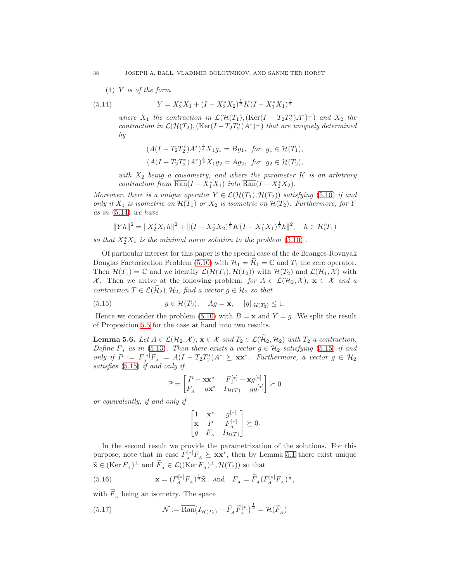(4) 
$$
Y
$$
 is of the form

(5.14) 
$$
Y = X_2^* X_1 + (I - X_2^* X_2)^{\frac{1}{2}} K (I - X_1^* X_1)^{\frac{1}{2}}
$$

<span id="page-37-1"></span>where  $X_1$  the contraction in  $\mathcal{L}(\mathcal{H}(T_1),(\text{Ker}(I - T_2T_2^*)A^*)^{\perp})$  and  $X_2$  the contraction in  $\mathcal{L}(\mathcal{H}(T_2),(\text{Ker}(I - T_2T_2^*)A^*)^{\perp})$  that are uniquely determined by

$$
(A(I - T_2T_2^*)A^*)^{\frac{1}{2}}X_1g_1 = Bg_1, \text{ for } g_1 \in \mathcal{H}(T_1),
$$
  

$$
(A(I - T_2T_2^*)A^*)^{\frac{1}{2}}X_1g_2 = Ag_2, \text{ for } g_2 \in \mathcal{H}(T_2),
$$

with  $X_2$  being a coisometry, and where the parameter  $K$  is an arbitrary contraction from  $\overline{\text{Ran}}(I - X_1^* X_1)$  into  $\overline{\text{Ran}}(I - X_2^* X_2)$ .

Moreover, there is a unique operator  $Y \in \mathcal{L}(\mathcal{H}(T_1), \mathcal{H}(T_2))$  satisfying [\(5.10\)](#page-35-1) if and only if  $X_1$  is isometric on  $\mathcal{H}(T_1)$  or  $X_2$  is isometric on  $\mathcal{H}(T_2)$ . Furthermore, for Y as in [\(5.14\)](#page-37-1) we have

$$
||Yh||^2 = ||X_2^*X_1h||^2 + ||(I - X_2^*X_2)^{\frac{1}{2}}K(I - X_1^*X_1)^{\frac{1}{2}}h||^2, \quad h \in \mathcal{H}(T_1)
$$

so that  $X_2^*X_1$  is the minimal norm solution to the problem  $(5.10)$ .

Of particular interest for this paper is the special case of the de Branges-Rovnyak Douglas Factorization Problem [\(5.10\)](#page-35-1) with  $\mathcal{H}_1 = \mathcal{H}_1 = \mathbb{C}$  and  $T_1$  the zero operator. Then  $\mathcal{H}(T_1) = \mathbb{C}$  and we identify  $\mathcal{L}(\mathcal{H}(T_1), \mathcal{H}(T_2))$  with  $\mathcal{H}(T_2)$  and  $\mathcal{L}(\mathcal{H}_1, \mathcal{X})$  with X. Then we arrive at the following problem: for  $A \in \mathcal{L}(\mathcal{H}_2, \mathcal{X})$ ,  $\mathbf{x} \in \mathcal{X}$  and a contraction  $T \in \mathcal{L}(\mathcal{H}_2), \mathcal{H}_2$ , find a vector  $g \in \mathcal{H}_2$  so that

<span id="page-37-0"></span>(5.15) 
$$
g \in \mathcal{H}(T_2), \quad Ag = \mathbf{x}, \quad ||g||_{\mathcal{H}(T_2)} \leq 1.
$$

Hence we consider the problem [\(5.10\)](#page-35-1) with  $B = x$  and  $Y = g$ . We split the result of Proposition [5.5](#page-36-3) for the case at hand into two results.

**Lemma 5.6.** Let  $A \in \mathcal{L}(\mathcal{H}_2, \mathcal{X})$ ,  $\mathbf{x} \in \mathcal{X}$  and  $T_2 \in \mathcal{L}(\widetilde{\mathcal{H}}_2, \mathcal{H}_2)$  with  $T_2$  a contraction. Define  $F_A$  as in [\(5.13\)](#page-36-4). Then there exists a vector  $g \in \mathcal{H}_2$  satisfying [\(5.15\)](#page-37-0) if and only if  $P := F_A^{[*]}F_A = A(I - T_2T_2^*)A^* \succeq \mathbf{x}\mathbf{x}^*$ . Furthermore, a vector  $g \in \mathcal{H}_2$ satisfies [\(5.15\)](#page-37-0) if and only if

$$
\mathbb{P} = \begin{bmatrix} P - \mathbf{x} \mathbf{x}^* & F_A^{[*]} - \mathbf{x} g^{[*]} \\ F_A - g \mathbf{x}^* & I_{\mathcal{H}(T)} - g g^{[*]} \end{bmatrix} \succeq 0
$$

or equivalently, if and only if

$$
\begin{bmatrix} 1 & \mathbf{x}^* & g^{[*]} \\ \mathbf{x} & P & F_A^{[*]} \\ g & F_A & I_{\mathcal{H}(T)} \end{bmatrix} \succeq 0.
$$

In the second result we provide the parametrization of the solutions. For this purpose, note that in case  $F_A^{[*]}F_A \succeq xx^*$ , then by Lemma [5.1](#page-34-3) there exist unique  $\widetilde{\mathbf{x}} \in (\text{Ker } F_A)^{\perp}$  and  $\widetilde{F}_A \in \mathcal{L}((\text{Ker } F_A)^{\perp}, \mathcal{H}(T_2))$  so that

<span id="page-37-2"></span>(5.16) 
$$
\mathbf{x} = (F_A^{[*]} F_A)^{\frac{1}{2}} \tilde{\mathbf{x}} \text{ and } F_A = \tilde{F}_A (F_A^{[*]} F_A)^{\frac{1}{2}},
$$

with  $F_A$  being an isometry. The space

<span id="page-37-3"></span>(5.17) 
$$
\mathcal{N} := \overline{\text{Ran}} \big( I_{\mathcal{H}(T_2)} - \widetilde{F}_A \widetilde{F}_A^{[*]} \big)^{\frac{1}{2}} = \mathcal{H}(\widetilde{F}_A)
$$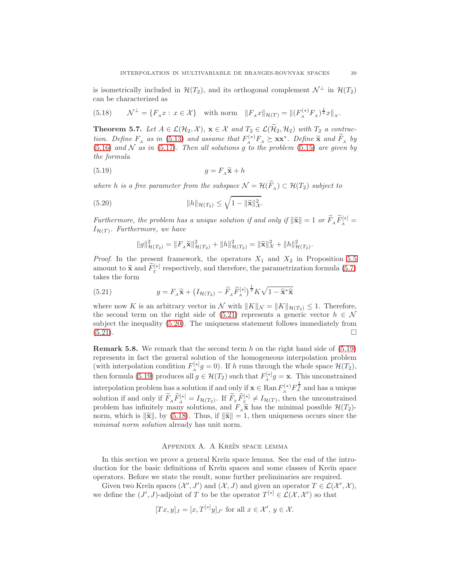is isometrically included in  $\mathcal{H}(T_2)$ , and its orthogonal complement  $\mathcal{N}^{\perp}$  in  $\mathcal{H}(T_2)$ can be characterized as

<span id="page-38-4"></span>(5.18) 
$$
\mathcal{N}^{\perp} = \{F_A x : x \in \mathcal{X}\} \text{ with norm } ||F_A x||_{\mathcal{H}(T)} = ||(F_A^{(*)} F_A)^{\frac{1}{2}} x||_{\mathcal{X}}.
$$

**Theorem 5.7.** Let  $A \in \mathcal{L}(\mathcal{H}_2, \mathcal{X})$ ,  $\mathbf{x} \in \mathcal{X}$  and  $T_2 \in \mathcal{L}(\widetilde{\mathcal{H}}_2, \mathcal{H}_2)$  with  $T_2$  a contraction. Define  $F_A$  as in [\(5.13\)](#page-36-4) and assume that  $F^{(*)}F_A \succeq xx^*$ . Define  $\tilde{\mathbf{x}}$  and  $\tilde{F}_A$  by  $(5.16)$  and N as in  $(5.17)$ . Then all solutions g to the problem  $(5.15)$  are given by the formula

(5.19) 
$$
g = F_A \tilde{\mathbf{x}} + h
$$

where h is a free parameter from the subspace  $\mathcal{N} = \mathcal{H}(F_A) \subset \mathcal{H}(T_2)$  subject to

(5.20) 
$$
||h||_{\mathcal{H}(T_2)} \leq \sqrt{1 - ||\widetilde{\mathbf{x}}||_{\mathcal{X}}^2}.
$$

Furthermore, the problem has a unique solution if and only if  $\|\widetilde{\mathbf{x}}\| = 1$  or  $\widetilde{F}_A \widetilde{F}_A^{[*]} = I$  $I_{\mathcal{H}(T)}$ . Furthermore, we have

<span id="page-38-3"></span><span id="page-38-2"></span><span id="page-38-1"></span>
$$
||g||_{\mathcal{H}(T_2)}^2 = ||F_A \widetilde{\mathbf{x}}||_{\mathcal{H}(T_2)}^2 + ||h||_{\mathcal{H}(T_2)}^2 = ||\widetilde{\mathbf{x}}||_{\mathcal{X}}^2 + ||h||_{\mathcal{H}(T_2)}^2.
$$

*Proof.* In the present framework, the operators  $X_1$  and  $X_2$  in Proposition [5.5](#page-36-3) amount to  $\widetilde{\mathbf{x}}$  and  $\widetilde{F}_T^{[*]}$  respectively, and therefore, the parametrization formula [\(5.7\)](#page-34-2) takes the form

(5.21) 
$$
g = F_A \widetilde{\mathbf{x}} + \left( I_{\mathcal{H}(T_2)} - \widetilde{F}_A \widetilde{F}_A^{[*]} \right)^{\frac{1}{2}} K \sqrt{1 - \widetilde{\mathbf{x}}^* \widetilde{\mathbf{x}}}
$$

where now K is an arbitrary vector in N with  $||K||_{\mathcal{N}} = ||K||_{\mathcal{H}(T_2)} \leq 1$ . Therefore, the second term on the right side of [\(5.21\)](#page-38-1) represents a generic vector  $h \in \mathcal{N}$ subject the inequality [\(5.20\)](#page-38-2). The uniqueness statement follows immediately from  $(5.21)$ .

**Remark 5.8.** We remark that the second term h on the right hand side of  $(5.19)$ represents in fact the general solution of the homogeneous interpolation problem (with interpolation condition  $F_A^{[*]}g = 0$ ). If h runs through the whole space  $\mathcal{H}(T_2)$ , then formula [\(5.19\)](#page-38-3) produces all  $g \in \mathcal{H}(T_2)$  such that  $F_A^{[*]}g = \mathbf{x}$ . This unconstrained interpolation problem has a solution if and only if  $\mathbf{x} \in \text{Ran}\, F_A^{(*)} F_A^{\frac{1}{2}}$  and has a unique solution if and only if  $\widetilde{F}_A \widetilde{F}_A^{[*]} = I_{\mathcal{H}(T_2)}$ . If  $\widetilde{F}_T \widetilde{F}_T^{[*]} \neq I_{\mathcal{H}(T)}$ , then the unconstrained problem has infinitely many solutions, and  $F_A \widetilde{\mathbf{x}}$  has the minimal possible  $\mathcal{H}(T_2)$ norm, which is  $\|\widetilde{\mathbf{x}}\|$ , by [\(5.18\)](#page-38-4). Thus, if  $\|\widetilde{\mathbf{x}}\| = 1$ , then uniqueness occurs since the minimal norm solution already has unit norm.

#### APPENDIX A. A KREÏN SPACE LEMMA

<span id="page-38-0"></span>In this section we prove a general Kreĭn space lemma. See the end of the introduction for the basic definitions of Kreĭn spaces and some classes of Kreĭn space operators. Before we state the result, some further preliminaries are required.

Given two Kreĭn spaces  $(\mathcal{X}', J')$  and  $(\mathcal{X}, J)$  and given an operator  $T \in \mathcal{L}(\mathcal{X}', \mathcal{X})$ , we define the  $(J', J)$ -adjoint of T to be the operator  $T^{[*]}\in \mathcal{L}(\mathcal{X}, \mathcal{X}')$  so that

$$
[Tx, y]_J = [x, T^{[*]}y]_{J'}
$$
 for all  $x \in \mathcal{X}', y \in \mathcal{X}$ .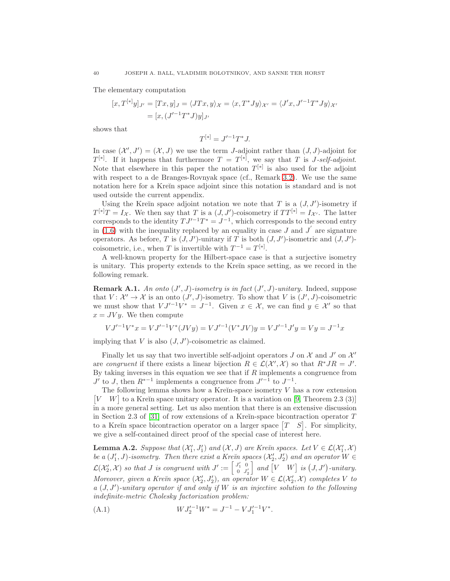The elementary computation

$$
[x, T^{[*]}y]_{J'} = [Tx, y]_J = \langle JTx, y \rangle_{\mathcal{X}} = \langle x, T^*Jy \rangle_{\mathcal{X}'} = \langle J'x, J'^{-1}T^*Jy \rangle_{\mathcal{X}'} = [x, (J'^{-1}T^*J)y]_{J'}
$$

shows that

$$
T^{[*]} = J'^{-1}T^*J.
$$

In case  $(\mathcal{X}', J') = (\mathcal{X}, J)$  we use the term J-adjoint rather than  $(J, J)$ -adjoint for  $T^{[*]}$ . If it happens that furthermore  $T = T^{[*]}$ , we say that T is J-self-adjoint. Note that elsewhere in this paper the notation  $T^{[*]}$  is also used for the adjoint with respect to a de Branges-Rovnyak space (cf., Remark [3.2\)](#page-10-8). We use the same notation here for a Kreĭn space adjoint since this notation is standard and is not used outside the current appendix.

Using the Kreĭn space adjoint notation we note that  $T$  is a  $(J, J')$ -isometry if  $T^{[*]}T = I_{\mathcal{X}}$ . We then say that T is a  $(J, J')$ -coisometry if  $TT^{[*]} = I_{\mathcal{X}'}$ . The latter corresponds to the identity  $T J'^{-1} T^* = J^{-1}$ , which corresponds to the second entry in  $(1.6)$  with the inequality replaced by an equality in case J and J' are signature operators. As before, T is  $(J, J')$ -unitary if T is both  $(J, J')$ -isometric and  $(J, J')$ coisometric, i.e., when T is invertible with  $T^{-1} = T^{[*]}$ .

A well-known property for the Hilbert-space case is that a surjective isometry is unitary. This property extends to the Kreĭn space setting, as we record in the following remark.

<span id="page-39-2"></span>**Remark A.1.** An onto  $(J', J)$ -isometry is in fact  $(J', J)$ -unitary. Indeed, suppose that  $V: \mathcal{X}' \to \mathcal{X}$  is an onto  $(J', J)$ -isometry. To show that V is  $(J', J)$ -coisometric we must show that  $V J'^{-1} V^* = J^{-1}$ . Given  $x \in \mathcal{X}$ , we can find  $y \in \mathcal{X}'$  so that  $x = JVy$ . We then compute

$$
VJ'^{-1}V^*x = VJ'^{-1}V^*(JVy) = VJ'^{-1}(V^*JV)y = VJ'^{-1}J'y = Vy = J^{-1}x
$$

implying that  $V$  is also  $(J, J')$ -coisometric as claimed.

Finally let us say that two invertible self-adjoint operators  $J$  on  $\mathcal X$  and  $J'$  on  $\mathcal X'$ are congruent if there exists a linear bijection  $R \in \mathcal{L}(\mathcal{X}',\mathcal{X})$  so that  $R^*JR = J'.$ By taking inverses in this equation we see that if  $R$  implements a congruence from  $J'$  to  $J$ , then  $R^{*-1}$  implements a congruence from  $J'^{-1}$  to  $J^{-1}$ .

The following lemma shows how a Kreĭn-space isometry  $V$  has a row extension  $[V \mid W]$  to a Kreĭn space unitary operator. It is a variation on [\[9,](#page-44-11) Theorem 2.3 (3)] in a more general setting. Let us also mention that there is an extensive discussion in Section 2.3 of [\[31\]](#page-45-6) of row extensions of a Kreĭn-space bicontraction operator  $T$ to a Kreĭn space bicontraction operator on a larger space  $[T \quad S]$ . For simplicity, we give a self-contained direct proof of the special case of interest here.

<span id="page-39-0"></span>**Lemma A.2.** Suppose that  $(X'_1, J'_1)$  and  $(X, J)$  are Kreïn spaces. Let  $V \in \mathcal{L}(X'_1, \mathcal{X})$ be a  $(J'_1, J)$ -isometry. Then there exist a Kreĭn spaces  $(\mathcal{X}'_2, J'_2)$  and an operator  $W \in$  $\mathcal{L}(\mathcal{X}'_2, \mathcal{X})$  so that J is congruent with  $J' := \begin{bmatrix} J'_1 & 0 \\ 0 & J'_2 \end{bmatrix}$  $0 \t J'_2$ and  $[V \mid W]$  is  $(J, J')$ -unitary. Moreover, given a Kreĭn space  $(\mathcal{X}'_2, J'_2)$ , an operator  $W \in \mathcal{L}(\mathcal{X}'_2, \mathcal{X})$  completes V to  $a\ (J, J')$ -unitary operator if and only if W is an injective solution to the following indefinite-metric Cholesky factorization problem:

<span id="page-39-1"></span>(A.1) 
$$
WJ_2'^{-1}W^* = J^{-1} - VJ_1'^{-1}V^*.
$$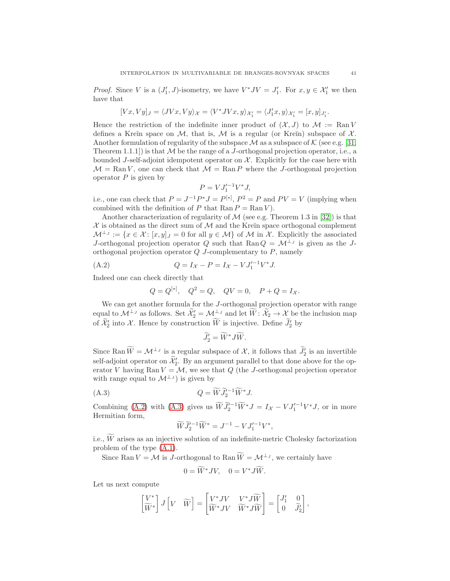*Proof.* Since V is a  $(J'_1, J)$ -isometry, we have  $V^*JV = J'_1$ . For  $x, y \in \mathcal{X}'_1$  we then have that

$$
[Vx,Vy]_J=\langle JVx,Vy\rangle_{\mathcal{X}}=\langle V^*JVx,y\rangle_{\mathcal{X}_1'}=\langle J_1'x,y\rangle_{\mathcal{X}_1'}=[x,y]_{J_1'}.
$$

Hence the restriction of the indefinite inner product of  $(\mathcal{X}, J)$  to  $\mathcal{M} := \text{Ran} V$ defines a Kreĭn space on M, that is, M is a regular (or Kreĭn) subspace of  $\mathcal{X}$ . Another formulation of regularity of the subspace  $\mathcal M$  as a subspace of K (see e.g. [\[31,](#page-45-6) Theorem 1.1.1] is that  $M$  be the range of a *J*-orthogonal projection operator, i.e., a bounded J-self-adjoint idempotent operator on  $\mathcal{X}$ . Explicitly for the case here with  $\mathcal{M} = \text{Ran } V$ , one can check that  $\mathcal{M} = \text{Ran } P$  where the J-orthogonal projection operator  $P$  is given by

$$
P = VJ_1^{\prime -1}V^*J,
$$

i.e., one can check that  $P = J^{-1}P^*J = P^{[*]}$ ,  $P^2 = P$  and  $PV = V$  (implying when combined with the definition of P that  $\text{Ran} P = \text{Ran} V$ .

Another characterization of regularity of  $\mathcal M$  (see e.g. Theorem 1.3 in [\[32\]](#page-45-15)) is that  $X$  is obtained as the direct sum of  $M$  and the Kreĭn space orthogonal complement  $\mathcal{M}^{\perp_j} := \{x \in \mathcal{X} : [x, y]_J = 0 \text{ for all } y \in \mathcal{M}\}\$  of M in X. Explicitly the associated J-orthogonal projection operator Q such that Ran $Q = \mathcal{M}^{\perp_J}$  is given as the Jorthogonal projection operator  $Q$  J-complementary to  $P$ , namely

(A.2) 
$$
Q = I_{\mathcal{X}} - P = I_{\mathcal{X}} - V J_1'^{-1} V^* J.
$$

Indeed one can check directly that

<span id="page-40-0"></span>
$$
Q = Q^{[*]}, \quad Q^2 = Q, \quad QV = 0, \quad P + Q = I_{\mathcal{X}}.
$$

We can get another formula for the J-orthogonal projection operator with range equal to  $\mathcal{M}^{\perp_J}$  as follows. Set  $\mathcal{X}'_2 = \mathcal{M}^{\perp_J}$  and let  $\overline{W}$ :  $\mathcal{X}_2 \to \mathcal{X}$  be the inclusion map of  $\mathcal{X}'_2$  into  $\mathcal{X}$ . Hence by construction W is injective. Define  $\mathcal{Y}'_2$  by

$$
\widetilde{J}'_2 = \widetilde{W}^* J \widetilde{W}.
$$

Since Ran  $\widetilde{W} = \mathcal{M}^{\perp_J}$  is a regular subspace of  $\mathcal{X}$ , it follows that  $\widetilde{J}_2'$  is an invertible self-adjoint operator on  $\mathcal{X}'_2$ . By an argument parallel to that done above for the operator V having Ran  $V = M$ , we see that Q (the J-orthogonal projection operator with range equal to  $\mathcal{M}^{\perp_J}$  is given by

(A.3) 
$$
Q = \widetilde{W} \widetilde{J}_2'^{-1} \widetilde{W}^* J.
$$

Combining [\(A.2\)](#page-40-0) with [\(A.3\)](#page-40-1) gives us  $\widetilde{W} \widetilde{J}_2^{j-1} \widetilde{W}^* J = I_{\mathcal{X}} - V J_1^{j-1} V^* J$ , or in more Hermitian form,

<span id="page-40-1"></span>
$$
\widetilde{W}\widetilde{J}_2'^{-1}\widetilde{W}^* = J^{-1} - VJ_1'^{-1}V^*,
$$

i.e.,  $\widetilde{W}$  arises as an injective solution of an indefinite-metric Cholesky factorization problem of the type [\(A.1\)](#page-39-1).

Since Ran  $V = \mathcal{M}$  is J-orthogonal to Ran  $\widetilde{W} = \mathcal{M}^{\perp_J}$ , we certainly have

$$
0 = \widetilde{W}^* J V, \quad 0 = V^* J \widetilde{W}.
$$

Let us next compute

$$
\begin{bmatrix} V^* \\ \widetilde{W}^* \end{bmatrix} J \begin{bmatrix} V & \widetilde{W} \end{bmatrix} = \begin{bmatrix} V^*JV & V^*J\widetilde{W} \\ \widetilde{W}^*JV & \widetilde{W}^*J\widetilde{W} \end{bmatrix} = \begin{bmatrix} J_1' & 0 \\ 0 & \widetilde{J}_2' \end{bmatrix},
$$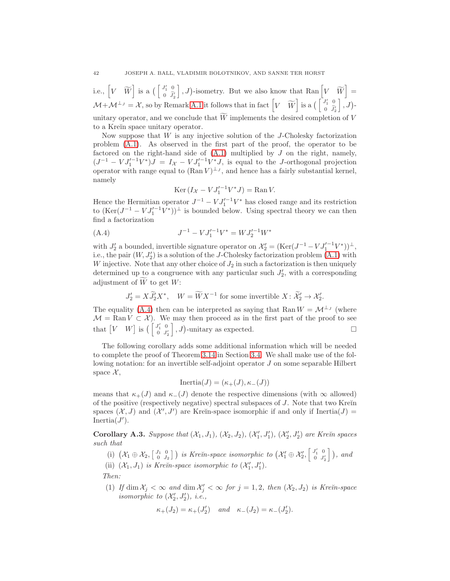i.e.,  $\begin{bmatrix} V & \widetilde{W} \end{bmatrix}$  is a  $\begin{bmatrix} \begin{bmatrix} J_1' & 0 \\ 0 & \widetilde{J}_2' \end{bmatrix} \end{bmatrix}$  $\Bigl], J$ )-isometry. But we also know that Ran  $\Bigl[V \quad \widetilde{W}\Bigr] =$  $\mathcal{M} + \mathcal{M}^{\perp_J} = \mathcal{X}$ , so by Remark [A.1](#page-39-2) it follows that in fact  $\begin{bmatrix} V & \widetilde{W} \end{bmatrix}$  is a  $\begin{bmatrix} J'_1 & 0 \\ 0 & \widetilde{J}'_2 \end{bmatrix}$  $\begin{bmatrix} 0 \\ 0 \end{bmatrix}$ ,  $J$ )unitary operator, and we conclude that  $\widetilde{W}$  implements the desired completion of V to a Kreïn space unitary operator.

Now suppose that  $W$  is any injective solution of the J-Cholesky factorization problem [\(A.1\)](#page-39-1). As observed in the first part of the proof, the operator to be factored on the right-hand side of  $(A.1)$  multiplied by  $J$  on the right, namely,  $(J^{-1} - V J_1^{\prime -1} V^*)J = I_{\mathcal{X}} - V J_1^{\prime -1} V^* J$ , is equal to the J-orthogonal projection operator with range equal to  $(\text{Ran } V)^{\perp_J}$ , and hence has a fairly substantial kernel, namely

<span id="page-41-1"></span>
$$
\operatorname{Ker}\left(\left(I_{\mathcal{X}} - VJ_1'^{-1}V^*J\right) = \operatorname{Ran} V.
$$

Hence the Hermitian operator  $J^{-1} - V J_1'^{-1} V^*$  has closed range and its restriction to  $(\text{Ker}(J^{-1} - VJ_1^{\prime -1}V^*))^{\perp}$  is bounded below. Using spectral theory we can then find a factorization

(A.4) 
$$
J^{-1} - V J_1'^{-1} V^* = W J_2'^{-1} W^*
$$

with  $J'_2$  a bounded, invertible signature operator on  $\mathcal{X}'_2 = (\text{Ker}(J^{-1} - VJ_1'^{-1}V^*))^{\perp}$ , i.e., the pair  $(W, J'_2)$  is a solution of the J-Cholesky factorization problem  $(A.1)$  with W injective. Note that any other choice of  $J_2$  in such a factorization is then uniquely determined up to a congruence with any particular such  $J'_2$ , with a corresponding adjustment of  $\widetilde{W}$  to get W:

$$
J_2' = X \widetilde{J}_2' X^*, \quad W = \widetilde{W} X^{-1} \text{ for some invertible } X \colon \widetilde{\mathcal{X}}_2' \to \mathcal{X}_2'.
$$

The equality [\(A.4\)](#page-41-1) then can be interpreted as saying that Ran  $W = \mathcal{M}^{\perp_J}$  (where  $\mathcal{M} = \text{Ran } V \subset \mathcal{X}$ . We may then proceed as in the first part of the proof to see that  $\begin{bmatrix} V & W \end{bmatrix}$  is  $\begin{bmatrix} \begin{bmatrix} J_1' & 0 \\ 0 & I' \end{bmatrix} \end{bmatrix}$ 0  $J'_2$  $\bigg$ , J)-unitary as expected.

The following corollary adds some additional information which will be needed to complete the proof of Theorem [3.14](#page-18-2) in Section [3.4.](#page-15-5) We shall make use of the following notation: for an invertible self-adjoint operator J on some separable Hilbert space  $\mathcal{X},$ 

$$
Inertia(J) = (\kappa_{+}(J), \kappa_{-}(J))
$$

means that  $\kappa_+(J)$  and  $\kappa_-(J)$  denote the respective dimensions (with  $\infty$  allowed) of the positive (respectively negative) spectral subspaces of  $J$ . Note that two Kre $\check{\text{nn}}$ spaces  $(\mathcal{X}, J)$  and  $(\mathcal{X}', J')$  are Krein-space isomorphic if and only if Inertia $(J)$  = Inertia $(J')$ .

<span id="page-41-0"></span>Corollary A.3. Suppose that  $(\mathcal{X}_1, J_1), (\mathcal{X}_2, J_2), (\mathcal{X}'_1, J'_1), (\mathcal{X}'_2, J'_2)$  are Krein spaces such that

(i)  $(\mathcal{X}_1 \oplus \mathcal{X}_2, \begin{bmatrix} J_1 & 0 \\ 0 & J_2 \end{bmatrix})$  is Krein-space isomorphic to  $(\mathcal{X}_1' \oplus \mathcal{X}_2', \begin{bmatrix} J_1' & 0 \\ 0 & J_2' \end{bmatrix})$  $\begin{bmatrix}J_1' & 0\\ 0 & J_2'\end{bmatrix}$ ), and (ii)  $(\mathcal{X}_1, J_1)$  is Krein-space isomorphic to  $(\mathcal{X}'_1, J'_1)$ .

Then:

(1) If  $\dim \mathcal{X}_j < \infty$  and  $\dim \mathcal{X}'_j < \infty$  for  $j = 1, 2$ , then  $(\mathcal{X}_2, J_2)$  is Kreïn-space isomorphic to  $(\mathcal{X}'_2, J'_2)$ , i.e.,

$$
\kappa_+(J_2)=\kappa_+(J_2')\quad\text{and}\quad \kappa_-(J_2)=\kappa_-(J_2').
$$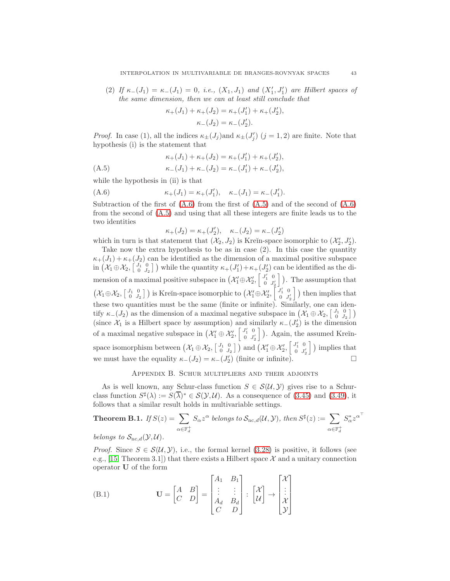(2) If  $\kappa_-(J_1) = \kappa_-(J_1) = 0$ , i.e.,  $(X_1, J_1)$  and  $(X'_1, J'_1)$  are Hilbert spaces of the same dimension, then we can at least still conclude that

$$
\kappa_+(J_1) + \kappa_+(J_2) = \kappa_+(J'_1) + \kappa_+(J'_2),
$$
  

$$
\kappa_-(J_2) = \kappa_-(J'_2).
$$

*Proof.* In case (1), all the indices  $\kappa_{\pm}(J_j)$  and  $\kappa_{\pm}(J'_j)$  ( $j = 1, 2$ ) are finite. Note that hypothesis (i) is the statement that

$$
\kappa_{+}(J_{1}) + \kappa_{+}(J_{2}) = \kappa_{+}(J'_{1}) + \kappa_{+}(J'_{2}),
$$
\n
$$
\kappa_{-}(J_{1}) + \kappa_{-}(J_{2}) = \kappa_{-}(J') + \kappa_{-}(J')
$$

<span id="page-42-1"></span>(A.5) 
$$
\kappa_{-}(J_1) + \kappa_{-}(J_2) = \kappa_{-}(J'_1) + \kappa_{-}(J'_2),
$$

while the hypothesis in (ii) is that

(A.6) 
$$
\kappa_{+}(J_{1}) = \kappa_{+}(J'_{1}), \quad \kappa_{-}(J_{1}) = \kappa_{-}(J'_{1}).
$$

Subtraction of the first of  $(A.6)$  from the first of  $(A.5)$  and of the second of  $(A.6)$ from the second of [\(A.5\)](#page-42-1) and using that all these integers are finite leads us to the two identities

<span id="page-42-0"></span>
$$
\kappa_+(J_2) = \kappa_+(J_2'), \quad \kappa_-(J_2) = \kappa_-(J_2')
$$

which in turn is that statement that  $(\mathcal{X}_2, J_2)$  is Kreĭn-space isomorphic to  $(\mathcal{X}'_2, J'_2)$ . Take now the extra hypothesis to be as in case (2). In this case the quantity  $\kappa_{+}(J_1) + \kappa_{+}(J_2)$  can be identified as the dimension of a maximal positive subspace in  $(\mathcal{X}_1 \oplus \mathcal{X}_2, \begin{bmatrix} J_1 & 0 \\ 0 & J_2 \end{bmatrix})$  while the quantity  $\kappa_+(J'_1) + \kappa_+(J'_2)$  can be identified as the dimension of a maximal positive subspace in  $(\mathcal{X}_1' \oplus \mathcal{X}_2', \begin{bmatrix} J_1' & 0 \\ 0 & J_2' \end{bmatrix})$  $\begin{bmatrix}J_1' & 0 \\ 0 & J_2'\end{bmatrix}$ ). The assumption that  $(\mathcal{X}_1 \oplus \mathcal{X}_2, \begin{bmatrix} J_1 & 0 \\ 0 & J_2 \end{bmatrix})$  is Kreĭn-space isomorphic to  $(\mathcal{X}_1' \oplus \mathcal{X}_2', \begin{bmatrix} J_1' & 0 \\ 0 & J_2' \end{bmatrix})$  $\left[\begin{smallmatrix}I_1' & 0 \\ 0 & J_2' \end{smallmatrix}\right]$  then implies that these two quantities must be the same (finite or infinite). Similarly, one can identify  $\kappa_-(J_2)$  as the dimension of a maximal negative subspace in  $(\mathcal{X}_1 \oplus \mathcal{X}_2, \begin{bmatrix} J_1 & 0 \\ 0 & J_2 \end{bmatrix})$ (since  $\mathcal{X}_1$  is a Hilbert space by assumption) and similarly  $\kappa_-(J'_2)$  is the dimension of a maximal negative subspace in  $(\mathcal{X}'_1 \oplus \mathcal{X}'_2, \begin{bmatrix} J'_1 & 0 \\ 0 & J'_2 \end{bmatrix})$  $\begin{bmatrix} I_1' & 0 \\ 0 & J_2' \end{bmatrix}$ ). Again, the assumed Kreĭnspace isomorphism between  $(\mathcal{X}_1 \oplus \mathcal{X}_2, \begin{bmatrix} J_1 & 0 \\ 0 & J_2 \end{bmatrix})$  and  $(\mathcal{X}_1' \oplus \mathcal{X}_2', \begin{bmatrix} J_1' & 0 \\ 0 & J_2' \end{bmatrix})$  $\begin{bmatrix} J_1' & 0 \\ 0 & J_2' \end{bmatrix}$ ) implies that we must have the equality  $\kappa_-(J_2) = \kappa_-(J_2')$  (finite or infinite).

#### Appendix B. Schur multipliers and their adjoints

As is well known, any Schur-class function  $S \in \mathcal{S}(\mathcal{U}, \mathcal{Y})$  gives rise to a Schurclass function  $S^{\sharp}(\lambda) := S(\overline{\lambda})^* \in \mathcal{S}(\mathcal{Y}, \mathcal{U})$ . As a consequence of [\(3.45\)](#page-20-4) and [\(3.49\)](#page-20-2), it follows that a similar result holds in multivariable settings.

<span id="page-42-2"></span>**Theorem B.1.** If 
$$
S(z) = \sum_{\alpha \in \mathbb{F}_d^+} S_{\alpha} z^{\alpha}
$$
 belongs to  $S_{\text{nc},d}(\mathcal{U}, \mathcal{Y})$ , then  $S^{\sharp}(z) := \sum_{\alpha \in \mathbb{F}_d^+} S_{\alpha}^* z^{\alpha^{\top}}$   
belence to  $S_{\alpha}(\mathcal{Y}, \mathcal{U})$ 

belongs to  $S_{\text{nc},d}(\mathcal{Y},\mathcal{U})$ .

*Proof.* Since  $S \in \mathcal{S}(\mathcal{U}, \mathcal{Y})$ , i.e., the formal kernel [\(3.28\)](#page-13-0) is positive, it follows (see e.g., [\[15,](#page-44-15) Theorem 3.1]) that there exists a Hilbert space  $\mathcal X$  and a unitary connection operator U of the form  $\mathbf{r}$  $\sim$   $\sim$ 

(B.1) 
$$
\mathbf{U} = \begin{bmatrix} A & B \\ C & D \end{bmatrix} = \begin{bmatrix} A_1 & B_1 \\ \vdots & \vdots \\ A_d & B_d \\ C & D \end{bmatrix} : \begin{bmatrix} \mathcal{X} \\ \mathcal{U} \end{bmatrix} \rightarrow \begin{bmatrix} \mathcal{X} \\ \vdots \\ \mathcal{X} \\ \mathcal{Y} \end{bmatrix}
$$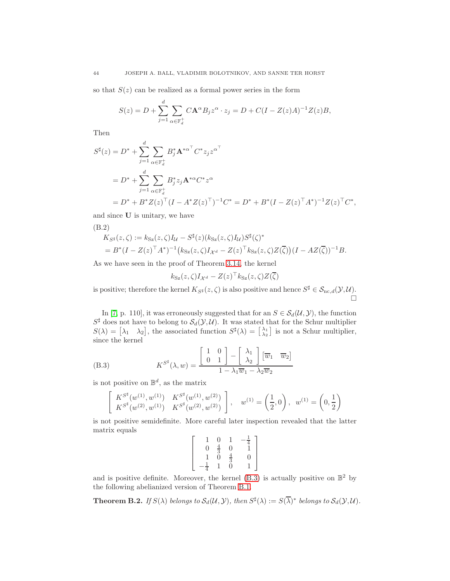so that  $S(z)$  can be realized as a formal power series in the form

$$
S(z) = D + \sum_{j=1}^{d} \sum_{\alpha \in \mathbb{F}_d^+} C \mathbf{A}^{\alpha} B_j z^{\alpha} \cdot z_j = D + C(I - Z(z)A)^{-1} Z(z)B,
$$

Then

$$
S^{\sharp}(z) = D^* + \sum_{j=1}^{d} \sum_{\alpha \in \mathbb{F}_d^+} B_j^* \mathbf{A}^{*\alpha^{\top}} C^* z_j z^{\alpha^{\top}}
$$
  
=  $D^* + \sum_{j=1}^{d} \sum_{\alpha \in \mathbb{F}_d^+} B_j^* z_j \mathbf{A}^{*\alpha} C^* z^{\alpha}$   
=  $D^* + B^* Z(z)^{\top} (I - A^* Z(z)^{\top})^{-1} C^* = D^* + B^* (I - Z(z)^{\top} A^*)^{-1} Z(z)^{\top} C^*,$ 

and since U is unitary, we have

(B.2)

$$
K_{S^{\sharp}}(z,\zeta) := k_{S_{Z}}(z,\zeta)I_{\mathcal{U}} - S^{\sharp}(z)(k_{S_{Z}}(z,\zeta)I_{\mathcal{U}})S^{\sharp}(\zeta)^{*}
$$
  
=  $B^{*}(I - Z(z)^{\top}A^{*})^{-1}(k_{S_{Z}}(z,\zeta)I_{\mathcal{X}^{d}} - Z(z)^{\top}k_{S_{Z}}(z,\zeta)Z(\overline{\zeta}))(I - AZ(\overline{\zeta}))^{-1}B.$ 

As we have seen in the proof of Theorem [3.14,](#page-18-2) the kernel

$$
k_{\text{Sz}}(z,\zeta)I_{\mathcal{X}^d} - Z(z)^{\top}k_{\text{Sz}}(z,\zeta)Z(\overline{\zeta})
$$

is positive; therefore the kernel  $K_{S^{\sharp}}(z,\zeta)$  is also positive and hence  $S^{\sharp} \in \mathcal{S}_{\mathrm{nc},d}(\mathcal{Y},\mathcal{U})$ .  $\Box$ 

In [\[7,](#page-44-16) p. 110], it was erroneously suggested that for an  $S \in \mathcal{S}_d(\mathcal{U}, \mathcal{Y})$ , the function  $S^{\sharp}$  does not have to belong to  $\mathcal{S}_d(\mathcal{Y}, \mathcal{U})$ . It was stated that for the Schur multiplier  $S(\lambda) = \begin{bmatrix} \lambda_1 & \lambda_2 \end{bmatrix}$ , the associated function  $S^{\sharp}(\lambda) = \begin{bmatrix} \lambda_1 \\ \lambda_2 \end{bmatrix}$  is not a Schur multiplier, since the kernel

(B.3) 
$$
K^{S^{\sharp}}(\lambda, w) = \frac{\begin{bmatrix} 1 & 0 \\ 0 & 1 \end{bmatrix} - \begin{bmatrix} \lambda_1 \\ \lambda_2 \end{bmatrix} \begin{bmatrix} \overline{w}_1 & \overline{w}_2 \end{bmatrix}}{1 - \lambda_1 \overline{w}_1 - \lambda_2 \overline{w}_2}
$$

is not positive on  $\mathbb{B}^d$ , as the matrix

<span id="page-43-0"></span>
$$
\left[ \begin{array}{cc} K^{S^{\sharp}}(w^{(1)},w^{(1)}) & K^{S^{\sharp}}(w^{(1)},w^{(2)}) \\ K^{S^{\sharp}}(w^{(2)},w^{(1)}) & K^{S^{\sharp}}(w^{(2)},w^{(2)}) \end{array} \right], \quad w^{(1)} = \left( \frac{1}{2},0 \right), \; \; w^{(1)} = \left( 0, \frac{1}{2} \right)
$$

is not positive semidefinite. More careful later inspection revealed that the latter matrix equals

$$
\left[\begin{array}{cccc} 1 & 0 & 1 & -\frac{1}{4} \\ 0 & \frac{4}{3} & 0 & 1 \\ 1 & 0 & \frac{4}{3} & 0 \\ -\frac{1}{4} & 1 & 0 & 1 \end{array}\right]
$$

and is positive definite. Moreover, the kernel  $(B.3)$  is actually positive on  $\mathbb{B}^2$  by the following abelianized version of Theorem [B.1.](#page-42-2)

**Theorem B.2.** If  $S(\lambda)$  belongs to  $S_d(\mathcal{U}, \mathcal{Y})$ , then  $S^{\sharp}(\lambda) := S(\overline{\lambda})^*$  belongs to  $S_d(\mathcal{Y}, \mathcal{U})$ .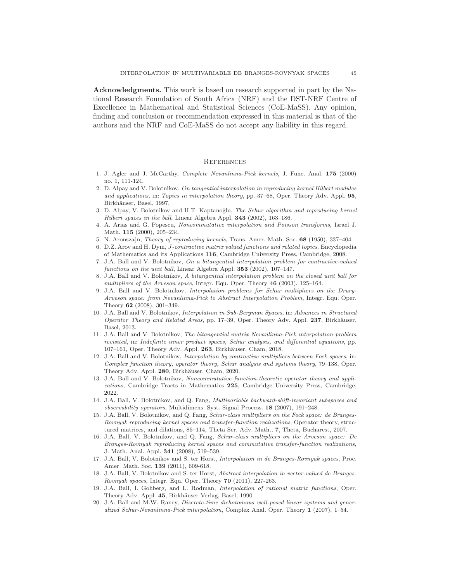Acknowledgments. This work is based on research supported in part by the National Research Foundation of South Africa (NRF) and the DST-NRF Centre of Excellence in Mathematical and Statistical Sciences (CoE-MaSS). Any opinion, finding and conclusion or recommendation expressed in this material is that of the authors and the NRF and CoE-MaSS do not accept any liability in this regard.

# **REFERENCES**

- <span id="page-44-9"></span>1. J. Agler and J. McCarthy, Complete Nevanlinna-Pick kernels, J. Func. Anal. 175 (2000) no. 1, 111-124.
- 2. D. Alpay and V. Bolotnikov, On tangential interpolation in reproducing kernel Hilbert modules and applications, in: Topics in interpolation theory, pp. 37–68, Oper. Theory Adv. Appl. 95, Birkhäuser, Basel, 1997.
- <span id="page-44-12"></span>3. D. Alpay, V. Bolotnikov and H.T. Kaptanoğlu, The Schur algorithm and reproducing kernel Hilbert spaces in the ball, Linear Algebra Appl. 343 (2002), 163–186.
- <span id="page-44-8"></span>4. A. Arias and G. Popescu, Noncommutative interpolation and Poisson transforms, Israel J. Math. 115 (2000), 205–234.
- <span id="page-44-7"></span>5. N. Aronszajn, Theory of reproducing kernels, Trans. Amer. Math. Soc. 68 (1950), 337–404.
- 6. D.Z. Arov and H. Dym, J-contractive matrix valued functions and related topics, Encyclopedia of Mathematics and its Applications 116, Cambridge University Press, Cambridge, 2008.
- <span id="page-44-16"></span>7. J.A. Ball and V. Bolotnikov, On a bitangential interpolation problem for contractive-valued functions on the unit ball, Linear Algebra Appl. 353 (2002), 107-147.
- <span id="page-44-13"></span>8. J.A. Ball and V. Bolotnikov, A bitangential interpolation problem on the closed unit ball for multipliers of the Arveson space, Integr. Equ. Oper. Theory 46 (2003), 125–164.
- <span id="page-44-11"></span>9. J.A. Ball and V. Bolotnikov, Interpolation problems for Schur multipliers on the Drury-Arveson space: from Nevanlinna-Pick to Abstract Interpolation Problem, Integr. Equ. Oper. Theory 62 (2008), 301–349.
- <span id="page-44-5"></span>10. J.A. Ball and V. Bolotnikov, Interpolation in Sub-Bergman Spaces, in: Advances in Structured Operator Theory and Related Areas, pp. 17–39, Oper. Theory Adv. Appl.  $237$ , Birkhäuser, Basel, 2013.
- <span id="page-44-3"></span>11. J.A. Ball and V. Bolotnikov, The bitangential matrix Nevanlinna-Pick interpolation problem revisited, in: Indefinite inner product spaces, Schur analysis, and differential equations, pp. 107–161, Oper. Theory Adv. Appl. 263, Birkhäuser, Cham, 2018.
- <span id="page-44-2"></span>12. J.A. Ball and V. Bolotnikov, Interpolation by contractive multipliers between Fock spaces, in: Complex function theory, operator theory, Schur analysis and systems theory, 79–138, Oper. Theory Adv. Appl. 280, Birkhäuser, Cham, 2020.
- <span id="page-44-6"></span>13. J.A. Ball and V. Bolotnikov, Noncommutative function-theoretic operator theory and applications, Cambridge Tracts in Mathematics 225, Cambridge University Press, Cambridge, 2022.
- <span id="page-44-10"></span>14. J.A. Ball, V. Bolotnikov, and Q. Fang, Multivariable backward-shift-invariant subspaces and observability operators, Multidimens. Syst. Signal Process. 18 (2007), 191–248.
- <span id="page-44-15"></span>15. J.A. Ball, V. Bolotnikov, and Q. Fang, Schur-class multipliers on the Fock space: de Branges-Rovnyak reproducing kernel spaces and transfer-function realizations, Operator theory, structured matrices, and dilations, 85–114, Theta Ser. Adv. Math., 7, Theta, Bucharest, 2007.
- <span id="page-44-14"></span>16. J.A. Ball, V. Bolotnikov, and Q. Fang, Schur-class multipliers on the Arveson space: De Branges-Rovnyak reproducing kernel spaces and commutative transfer-function realizations, J. Math. Anal. Appl. 341 (2008), 519–539.
- <span id="page-44-0"></span>17. J.A. Ball, V. Bolotnikov and S. ter Horst, Interpolation in de Branges-Rovnyak spaces, Proc. Amer. Math. Soc. 139 (2011), 609-618.
- <span id="page-44-1"></span>18. J.A. Ball, V. Bolotnikov and S. ter Horst, Abstract interpolation in vector-valued de Branges-Rovnyak spaces, Integr. Equ. Oper. Theory 70 (2011), 227-263.
- 19. J.A. Ball, I. Gohberg, and L. Rodman, Interpolation of rational matrix functions, Oper. Theory Adv. Appl. 45, Birkhäuser Verlag, Basel, 1990.
- <span id="page-44-4"></span>20. J.A. Ball and M.W. Raney, Discrete-time dichotomous well-posed linear systems and generalized Schur-Nevanlinna-Pick interpolation, Complex Anal. Oper. Theory 1 (2007), 1–54.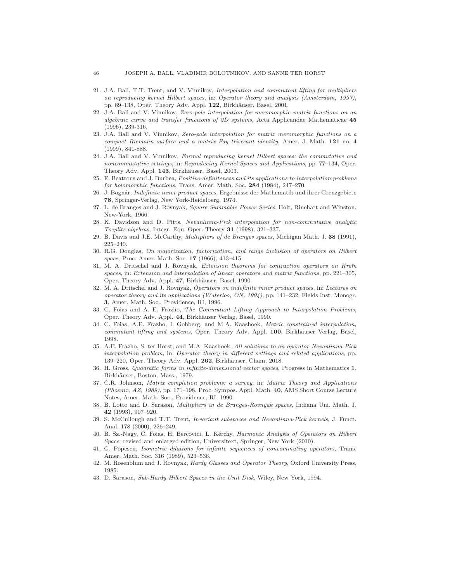- <span id="page-45-8"></span>21. J.A. Ball, T.T. Trent, and V. Vinnikov, Interpolation and commutant lifting for multipliers on reproducing kernel Hilbert spaces, in: Operator theory and analysis (Amsterdam, 1997), pp. 89–138, Oper. Theory Adv. Appl. 122, Birkhäuser, Basel, 2001.
- <span id="page-45-4"></span>22. J.A. Ball and V. Vinnikov, Zero-pole interpolation for meromorphic matrix functions on an algebraic curve and transfer functions of 2D systems, Acta Applicandae Mathematicae 45 (1996), 239-316.
- <span id="page-45-5"></span>23. J.A. Ball and V. Vinnikov, Zero-pole interpolation for matrix meromorphic functions on a compact Riemann surface and a matrix Fay trisecant identity, Amer. J. Math. 121 no. 4 (1999), 841-888.
- <span id="page-45-3"></span>24. J.A. Ball and V. Vinnikov, Formal reproducing kernel Hilbert spaces: the commutative and noncommutative settings, in: Reproducing Kernel Spaces and Applications, pp. 77–134, Oper. Theory Adv. Appl. 143, Birkhäuser, Basel, 2003.
- 25. F. Beatrous and J. Burbea, Positive-definiteness and its applications to interpolation problems for holomorphic functions, Trans. Amer. Math. Soc. 284 (1984), 247–270.
- 26. J. Bognár, Indefinite inner product spaces, Ergebnisse der Mathematik und ihrer Grenzgebiete 78, Springer-Verlag, New York-Heidelberg, 1974.
- <span id="page-45-11"></span>27. L. de Branges and J. Rovnyak, Square Summable Power Series, Holt, Rinehart and Winston, New-York, 1966.
- <span id="page-45-9"></span>28. K. Davidson and D. Pitts, Nevanlinna-Pick interpolation for non-commutative analytic Toeplitz algebras, Integr. Equ. Oper. Theory 31 (1998), 321–337.
- <span id="page-45-13"></span>29. B. Davis and J.E. McCarthy, Multipliers of de Branges spaces, Michigan Math. J. 38 (1991), 225–240.
- 30. R.G. Douglas, On majorization, factorization, and range inclusion of operators on Hilbert space, Proc. Amer. Math. Soc. 17 (1966), 413-415.
- <span id="page-45-6"></span>31. M. A. Dritschel and J. Rovnyak, Extension theorems for contraction operators on Kreïn spaces, in: Extension and interpolation of linear operators and matrix functions, pp. 221–305, Oper. Theory Adv. Appl. 47, Birkhäuser, Basel, 1990.
- <span id="page-45-15"></span>32. M. A. Dritschel and J. Rovnyak, Operators on indefinite inner product spaces, in: Lectures on operator theory and its applications (Waterloo, ON, 1994), pp. 141–232, Fields Inst. Monogr. 3, Amer. Math. Soc., Providence, RI, 1996.
- 33. C. Foias and A. E. Frazho, The Commutant Lifting Approach to Interpolation Problems, Oper. Theory Adv. Appl. 44, Birkhäuser Verlag, Basel, 1990.
- <span id="page-45-0"></span>34. C. Foias, A.E. Frazho, I. Gohberg, and M.A. Kaashoek, Metric constrained interpolation, commutant lifting and systems, Oper. Theory Adv. Appl. 100, Birkhäuser Verlag, Basel, 1998.
- <span id="page-45-1"></span>35. A.E. Frazho, S. ter Horst, and M.A. Kaashoek, All solutions to an operator Nevanlinna-Pick interpolation problem, in: Operator theory in different settings and related applications, pp. 139–220, Oper. Theory Adv. Appl. 262, Birkhäuser, Cham, 2018.
- 36. H. Gross, Quadratic forms in infinite-dimensional vector spaces, Progress in Mathematics 1, Birkhäuser, Boston, Mass., 1979.
- <span id="page-45-14"></span>37. C.R. Johnson, Matrix completion problems: a survey, in: Matrix Theory and Applications (Phoenix, AZ, 1989), pp. 171–198, Proc. Sympos. Appl. Math. 40, AMS Short Course Lecture Notes, Amer. Math. Soc., Providence, RI, 1990.
- 38. B. Lotto and D. Sarason, Multipliers in de Branges-Rovnyak spaces, Indiana Uni. Math. J. 42 (1993), 907–920.
- <span id="page-45-10"></span>39. S. McCullough and T.T. Trent, Invariant subspaces and Nevanlinna-Pick kernels, J. Funct. Anal. 178 (2000), 226–249.
- <span id="page-45-2"></span>40. B. Sz.-Nagy, C. Foias, H. Bercovici, L. Kérchy, Harmonic Analysis of Operators on Hilbert Space, revised and enlarged edition, Universitext, Springer, New York (2010).
- <span id="page-45-7"></span>41. G. Popescu, Isometric dilations for infinite sequences of noncommuting operators, Trans. Amer. Math. Soc. 316 (1989), 523–536.
- 42. M. Rosenblum and J. Rovnyak, Hardy Classes and Operator Theory, Oxford University Press, 1985.
- <span id="page-45-12"></span>43. D. Sarason, Sub-Hardy Hilbert Spaces in the Unit Disk, Wiley, New York, 1994.